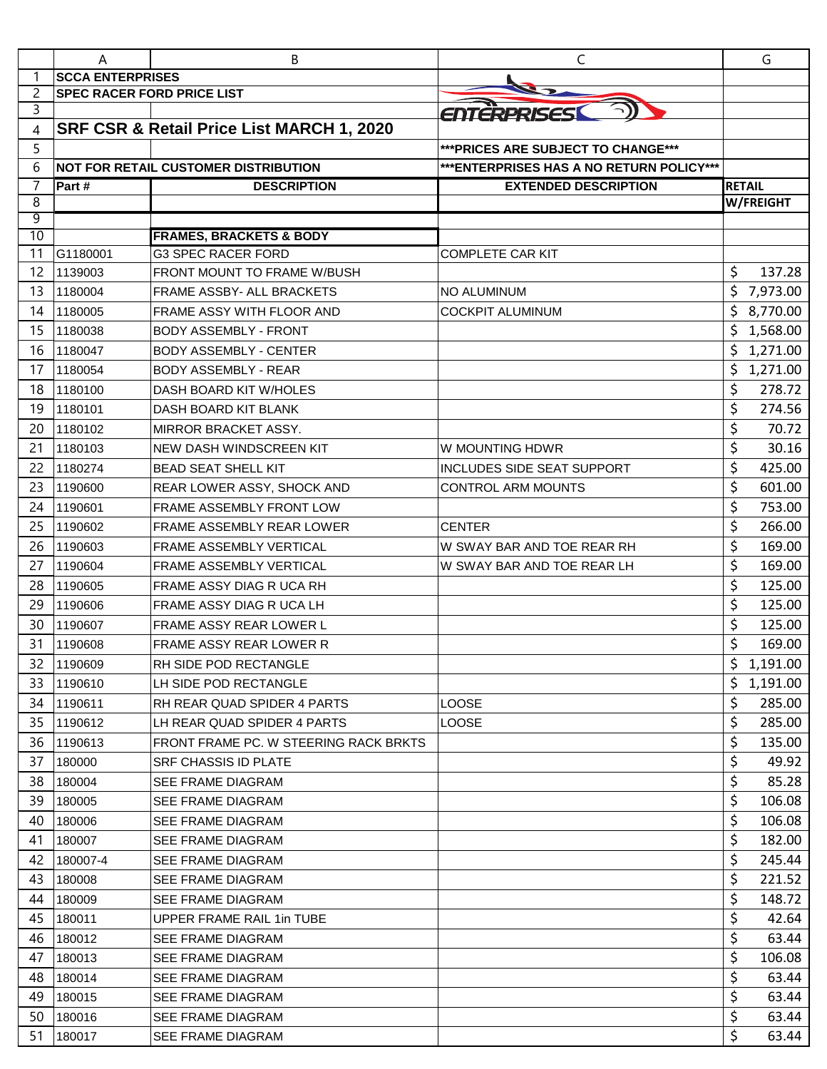|                | Α                       | В                                           | C                                         | G                |
|----------------|-------------------------|---------------------------------------------|-------------------------------------------|------------------|
|                | <b>SCCA ENTERPRISES</b> |                                             |                                           |                  |
| $\overline{c}$ |                         | <b>SPEC RACER FORD PRICE LIST</b>           |                                           |                  |
| 3              |                         |                                             | ENTERPRISES                               |                  |
| 4              |                         | SRF CSR & Retail Price List MARCH 1, 2020   |                                           |                  |
| 5              |                         |                                             | *** PRICES ARE SUBJECT TO CHANGE***       |                  |
| 6              |                         | <b>NOT FOR RETAIL CUSTOMER DISTRIBUTION</b> | *** ENTERPRISES HAS A NO RETURN POLICY*** |                  |
| $\overline{7}$ | Part#                   | <b>DESCRIPTION</b>                          | <b>EXTENDED DESCRIPTION</b>               | <b>RETAIL</b>    |
| 8              |                         |                                             |                                           | <b>W/FREIGHT</b> |
| 9<br>10        |                         | <b>FRAMES, BRACKETS &amp; BODY</b>          |                                           |                  |
| 11             | G1180001                | <b>G3 SPEC RACER FORD</b>                   | <b>COMPLETE CAR KIT</b>                   |                  |
| 12             | 1139003                 | FRONT MOUNT TO FRAME W/BUSH                 |                                           | \$<br>137.28     |
| 13             | 1180004                 | FRAME ASSBY- ALL BRACKETS                   | NO ALUMINUM                               | \$<br>7,973.00   |
| 14             | 1180005                 | <b>FRAME ASSY WITH FLOOR AND</b>            | <b>COCKPIT ALUMINUM</b>                   | \$<br>8,770.00   |
| 15             | 1180038                 | <b>BODY ASSEMBLY - FRONT</b>                |                                           | 1,568.00<br>\$   |
| 16             | 1180047                 | <b>BODY ASSEMBLY - CENTER</b>               |                                           | \$<br>1,271.00   |
| 17             | 1180054                 | <b>BODY ASSEMBLY - REAR</b>                 |                                           | \$<br>1,271.00   |
| 18             | 1180100                 | DASH BOARD KIT W/HOLES                      |                                           | \$<br>278.72     |
| 19             | 1180101                 | DASH BOARD KIT BLANK                        |                                           | \$<br>274.56     |
| 20             | 1180102                 | MIRROR BRACKET ASSY.                        |                                           | \$<br>70.72      |
| 21             | 1180103                 | NEW DASH WINDSCREEN KIT                     | W MOUNTING HDWR                           | \$<br>30.16      |
| 22             | 1180274                 | <b>BEAD SEAT SHELL KIT</b>                  | <b>INCLUDES SIDE SEAT SUPPORT</b>         | \$<br>425.00     |
| 23             | 1190600                 | REAR LOWER ASSY, SHOCK AND                  | <b>CONTROL ARM MOUNTS</b>                 | \$<br>601.00     |
| 24             | 1190601                 | FRAME ASSEMBLY FRONT LOW                    |                                           | \$<br>753.00     |
| 25             | 1190602                 | FRAME ASSEMBLY REAR LOWER                   | <b>CENTER</b>                             | \$<br>266.00     |
| 26             | 1190603                 | FRAME ASSEMBLY VERTICAL                     | W SWAY BAR AND TOE REAR RH                | \$<br>169.00     |
| 27             | 1190604                 | <b>FRAME ASSEMBLY VERTICAL</b>              | W SWAY BAR AND TOE REAR LH                | \$<br>169.00     |
| 28             | 1190605                 | FRAME ASSY DIAG R UCA RH                    |                                           | \$<br>125.00     |
| 29             | 1190606                 | FRAME ASSY DIAG R UCA LH                    |                                           | \$<br>125.00     |
| 30             | 1190607                 | <b>FRAME ASSY REAR LOWER L</b>              |                                           | \$<br>125.00     |
| 31             | 1190608                 | <b>FRAME ASSY REAR LOWER R</b>              |                                           | \$<br>169.00     |
| 32             | 1190609                 | <b>RH SIDE POD RECTANGLE</b>                |                                           | \$<br>1,191.00   |
| 33             |                         |                                             |                                           |                  |
|                | 1190610                 | LH SIDE POD RECTANGLE                       |                                           | \$<br>1,191.00   |
| 34             | 1190611                 | RH REAR QUAD SPIDER 4 PARTS                 | LOOSE                                     | \$<br>285.00     |
| 35             | 1190612                 | LH REAR QUAD SPIDER 4 PARTS                 | LOOSE                                     | \$<br>285.00     |
| 36             | 1190613                 | FRONT FRAME PC. W STEERING RACK BRKTS       |                                           | \$<br>135.00     |
| 37             | 180000                  | <b>SRF CHASSIS ID PLATE</b>                 |                                           | \$<br>49.92      |
| 38             | 180004                  | <b>SEE FRAME DIAGRAM</b>                    |                                           | \$<br>85.28      |
| 39             | 180005                  | <b>SEE FRAME DIAGRAM</b>                    |                                           | \$<br>106.08     |
| 40             | 180006                  | <b>SEE FRAME DIAGRAM</b>                    |                                           | \$<br>106.08     |
| 41             | 180007                  | <b>SEE FRAME DIAGRAM</b>                    |                                           | \$<br>182.00     |
| 42             | 180007-4                | <b>SEE FRAME DIAGRAM</b>                    |                                           | \$<br>245.44     |
| 43             | 180008                  | <b>SEE FRAME DIAGRAM</b>                    |                                           | \$<br>221.52     |
| 44             | 180009                  | <b>SEE FRAME DIAGRAM</b>                    |                                           | \$<br>148.72     |
| 45             | 180011                  | UPPER FRAME RAIL 1in TUBE                   |                                           | \$<br>42.64      |
| 46             | 180012                  | SEE FRAME DIAGRAM                           |                                           | \$<br>63.44      |
| 47             | 180013                  | <b>SEE FRAME DIAGRAM</b>                    |                                           | \$<br>106.08     |
| 48             | 180014                  | <b>SEE FRAME DIAGRAM</b>                    |                                           | \$<br>63.44      |
| 49             | 180015                  | <b>SEE FRAME DIAGRAM</b>                    |                                           | \$<br>63.44      |
| 50             | 180016                  | <b>SEE FRAME DIAGRAM</b>                    |                                           | \$<br>63.44      |
| 51             | 180017                  | SEE FRAME DIAGRAM                           |                                           | \$<br>63.44      |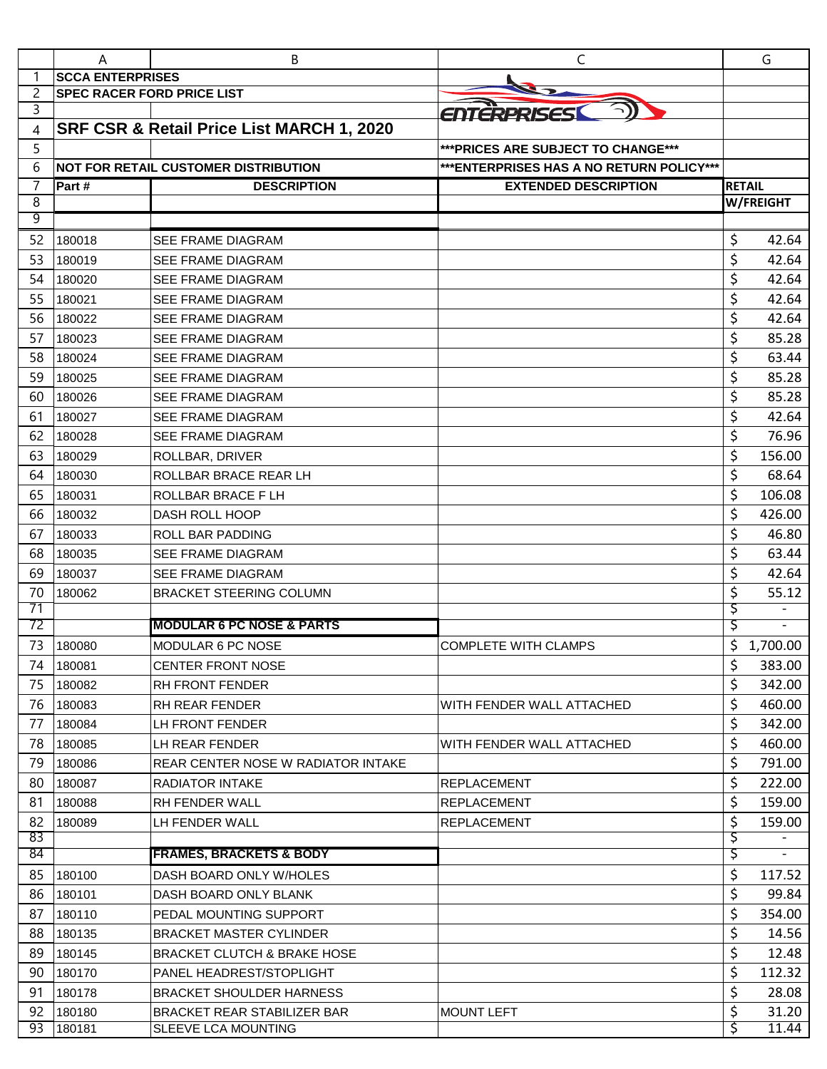|                | Α                                 | B                                                         | C                                         |               | G                |
|----------------|-----------------------------------|-----------------------------------------------------------|-------------------------------------------|---------------|------------------|
|                | <b>SCCA ENTERPRISES</b>           |                                                           |                                           |               |                  |
| $\overline{c}$ | <b>SPEC RACER FORD PRICE LIST</b> |                                                           |                                           |               |                  |
| 3              |                                   |                                                           | ENTERPRISES                               |               |                  |
| 4              |                                   | SRF CSR & Retail Price List MARCH 1, 2020                 |                                           |               |                  |
| 5              |                                   |                                                           | *** PRICES ARE SUBJECT TO CHANGE***       |               |                  |
| 6              |                                   | <b>NOT FOR RETAIL CUSTOMER DISTRIBUTION</b>               | *** ENTERPRISES HAS A NO RETURN POLICY*** |               |                  |
| $\overline{7}$ | Part#                             | <b>DESCRIPTION</b>                                        | <b>EXTENDED DESCRIPTION</b>               | <b>RETAIL</b> |                  |
| 8              |                                   |                                                           |                                           |               | <b>W/FREIGHT</b> |
| 9              |                                   |                                                           |                                           |               |                  |
| 52             | 180018                            | <b>SEE FRAME DIAGRAM</b>                                  |                                           | \$            | 42.64            |
| 53             | 180019                            | <b>SEE FRAME DIAGRAM</b>                                  |                                           | \$            | 42.64            |
| 54             | 180020                            | SEE FRAME DIAGRAM                                         |                                           | \$            | 42.64            |
| 55             | 180021                            | <b>SEE FRAME DIAGRAM</b>                                  |                                           | \$            | 42.64            |
| 56             | 180022                            | <b>SEE FRAME DIAGRAM</b>                                  |                                           | \$            | 42.64            |
| 57             | 180023                            | <b>SEE FRAME DIAGRAM</b>                                  |                                           | \$            | 85.28            |
| 58             | 180024                            | SEE FRAME DIAGRAM                                         |                                           | \$            | 63.44            |
| 59             | 180025                            | <b>SEE FRAME DIAGRAM</b>                                  |                                           | \$            | 85.28            |
| 60             | 180026                            | <b>SEE FRAME DIAGRAM</b>                                  |                                           | \$            | 85.28            |
| 61             | 180027                            | <b>SEE FRAME DIAGRAM</b>                                  |                                           | \$            | 42.64            |
| 62             | 180028                            | <b>SEE FRAME DIAGRAM</b>                                  |                                           | \$            | 76.96            |
| 63             | 180029                            | ROLLBAR, DRIVER                                           |                                           | \$            | 156.00           |
| 64             | 180030                            | ROLLBAR BRACE REAR LH                                     |                                           | \$            | 68.64            |
| 65             | 180031                            | <b>ROLLBAR BRACE FLH</b>                                  |                                           | \$            | 106.08           |
| 66             | 180032                            | <b>DASH ROLL HOOP</b>                                     |                                           | \$            | 426.00           |
| 67             | 180033                            | ROLL BAR PADDING                                          |                                           | \$            | 46.80            |
| 68             | 180035                            | SEE FRAME DIAGRAM                                         |                                           | \$            | 63.44            |
| 69             | 180037                            | SEE FRAME DIAGRAM                                         |                                           | \$            | 42.64            |
| 70             | 180062                            | <b>BRACKET STEERING COLUMN</b>                            |                                           | \$            | 55.12            |
| 71             |                                   |                                                           |                                           | Ş             |                  |
| 72             |                                   | <b>MODULAR 6 PC NOSE &amp; PARTS</b>                      |                                           | \$            |                  |
| 73             | 180080                            | <b>MODULAR 6 PC NOSE</b>                                  | <b>COMPLETE WITH CLAMPS</b>               | \$            | 1,700.00         |
| 74             | 180081                            | <b>CENTER FRONT NOSE</b>                                  |                                           | \$            | 383.00           |
| 75             | 180082                            | RH FRONT FENDER                                           |                                           | \$            | 342.00           |
| 76             | 180083                            | <b>RH REAR FENDER</b>                                     | WITH FENDER WALL ATTACHED                 | \$            | 460.00           |
| 77             | 180084                            | LH FRONT FENDER                                           |                                           | \$            | 342.00           |
| 78             | 180085                            | LH REAR FENDER                                            | WITH FENDER WALL ATTACHED                 | \$            | 460.00           |
| 79             | 180086                            | <b>REAR CENTER NOSE W RADIATOR INTAKE</b>                 |                                           | \$            | 791.00           |
| 80             | 180087                            | RADIATOR INTAKE                                           | <b>REPLACEMENT</b>                        | \$            | 222.00           |
| 81             | 180088                            | <b>RH FENDER WALL</b>                                     | <b>REPLACEMENT</b>                        | \$            | 159.00           |
| 82             | 180089                            | LH FENDER WALL                                            | <b>REPLACEMENT</b>                        | \$            | 159.00           |
| 83<br>84       |                                   | <b>FRAMES, BRACKETS &amp; BODY</b>                        |                                           | \$<br>Ş       |                  |
|                |                                   |                                                           |                                           |               |                  |
| 85             | 180100                            | DASH BOARD ONLY W/HOLES                                   |                                           | \$<br>\$      | 117.52           |
| 86<br>87       | 180101                            | DASH BOARD ONLY BLANK                                     |                                           |               | 99.84            |
|                | 180110                            | PEDAL MOUNTING SUPPORT                                    |                                           | \$            | 354.00           |
| 88             | 180135                            | <b>BRACKET MASTER CYLINDER</b>                            |                                           | \$            | 14.56            |
| 89             | 180145                            | <b>BRACKET CLUTCH &amp; BRAKE HOSE</b>                    |                                           | \$            | 12.48            |
| 90             | 180170                            | PANEL HEADREST/STOPLIGHT                                  |                                           | \$            | 112.32           |
| 91             | 180178                            | <b>BRACKET SHOULDER HARNESS</b>                           |                                           | \$            | 28.08            |
| 92<br>93       | 180180<br>180181                  | <b>BRACKET REAR STABILIZER BAR</b><br>SLEEVE LCA MOUNTING | <b>MOUNT LEFT</b>                         | \$<br>\$      | 31.20<br>11.44   |
|                |                                   |                                                           |                                           |               |                  |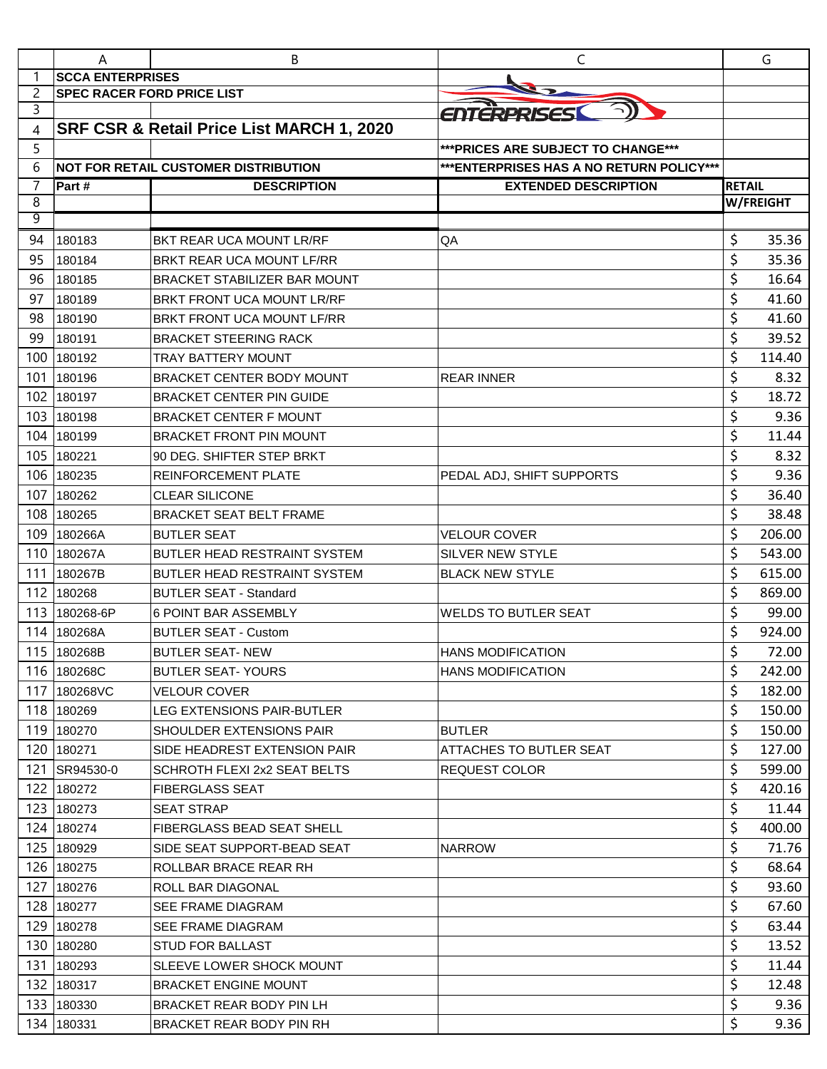|                     | A                                 | B                                           | C                                         |               | G         |
|---------------------|-----------------------------------|---------------------------------------------|-------------------------------------------|---------------|-----------|
| 1                   | <b>SCCA ENTERPRISES</b>           |                                             |                                           |               |           |
| 2                   | <b>SPEC RACER FORD PRICE LIST</b> |                                             |                                           |               |           |
| 3                   |                                   |                                             | ENTERPRISES                               |               |           |
| 4                   |                                   | SRF CSR & Retail Price List MARCH 1, 2020   |                                           |               |           |
| 5                   |                                   |                                             | *** PRICES ARE SUBJECT TO CHANGE***       |               |           |
| 6                   |                                   | <b>NOT FOR RETAIL CUSTOMER DISTRIBUTION</b> | *** ENTERPRISES HAS A NO RETURN POLICY*** |               |           |
| $\overline{7}$<br>8 | Part #                            | <b>DESCRIPTION</b>                          | <b>EXTENDED DESCRIPTION</b>               | <b>RETAIL</b> | W/FREIGHT |
| 9                   |                                   |                                             |                                           |               |           |
| 94                  | 180183                            | BKT REAR UCA MOUNT LR/RF                    | QA                                        | \$            | 35.36     |
| 95                  | 180184                            | BRKT REAR UCA MOUNT LF/RR                   |                                           | \$            | 35.36     |
| 96                  | 180185                            | <b>BRACKET STABILIZER BAR MOUNT</b>         |                                           | \$            | 16.64     |
| 97                  | 180189                            | BRKT FRONT UCA MOUNT LR/RF                  |                                           | \$            | 41.60     |
| 98                  | 180190                            | BRKT FRONT UCA MOUNT LF/RR                  |                                           | \$            | 41.60     |
| 99                  | 180191                            | <b>BRACKET STEERING RACK</b>                |                                           | \$            | 39.52     |
| 100                 | 180192                            | <b>TRAY BATTERY MOUNT</b>                   |                                           | \$            | 114.40    |
| 101                 | 180196                            | BRACKET CENTER BODY MOUNT                   | <b>REAR INNER</b>                         | \$            | 8.32      |
| 102                 | 180197                            | <b>BRACKET CENTER PIN GUIDE</b>             |                                           | \$            | 18.72     |
| 103                 | 180198                            | <b>BRACKET CENTER F MOUNT</b>               |                                           | \$            | 9.36      |
| 104                 | 180199                            | <b>BRACKET FRONT PIN MOUNT</b>              |                                           | \$            | 11.44     |
| 105                 | 180221                            | 90 DEG. SHIFTER STEP BRKT                   |                                           | \$            | 8.32      |
| 106                 | 180235                            | <b>REINFORCEMENT PLATE</b>                  | PEDAL ADJ, SHIFT SUPPORTS                 | \$            | 9.36      |
| 107                 | 180262                            | <b>CLEAR SILICONE</b>                       |                                           | \$            | 36.40     |
| 108                 | 180265                            | <b>BRACKET SEAT BELT FRAME</b>              |                                           | \$            | 38.48     |
| 109                 | 180266A                           | <b>BUTLER SEAT</b>                          | <b>VELOUR COVER</b>                       | \$            | 206.00    |
| 110                 | 180267A                           | BUTLER HEAD RESTRAINT SYSTEM                | SILVER NEW STYLE                          | \$            | 543.00    |
| 111                 | 180267B                           | BUTLER HEAD RESTRAINT SYSTEM                | <b>BLACK NEW STYLE</b>                    | \$            | 615.00    |
| 112                 | 180268                            | <b>BUTLER SEAT - Standard</b>               |                                           | \$            | 869.00    |
| 113                 | 180268-6P                         | 6 POINT BAR ASSEMBLY                        | <b>WELDS TO BUTLER SEAT</b>               | \$            | 99.00     |
| 114                 | 180268A                           | <b>BUTLER SEAT - Custom</b>                 |                                           | \$            | 924.00    |
|                     | 115 180268B                       | <b>BUTLER SEAT-NEW</b>                      | <b>HANS MODIFICATION</b>                  | Ś             | 72.00     |
|                     | 116 180268C                       | <b>BUTLER SEAT-YOURS</b>                    | <b>HANS MODIFICATION</b>                  | \$            | 242.00    |
|                     | 117 180268VC                      | <b>VELOUR COVER</b>                         |                                           | \$            | 182.00    |
|                     | 118 180269                        | <b>LEG EXTENSIONS PAIR-BUTLER</b>           |                                           | \$            | 150.00    |
|                     | 119 180270                        | SHOULDER EXTENSIONS PAIR                    | <b>BUTLER</b>                             | \$            | 150.00    |
|                     | 120 180271                        | SIDE HEADREST EXTENSION PAIR                | ATTACHES TO BUTLER SEAT                   | \$            | 127.00    |
|                     | 121 SR94530-0                     | SCHROTH FLEXI 2x2 SEAT BELTS                | REQUEST COLOR                             | \$            | 599.00    |
|                     | 122 180272                        | <b>FIBERGLASS SEAT</b>                      |                                           | \$            | 420.16    |
|                     | 123 180273                        | <b>SEAT STRAP</b>                           |                                           | \$            | 11.44     |
|                     | 124 180274                        | FIBERGLASS BEAD SEAT SHELL                  |                                           | \$            | 400.00    |
|                     | 125 180929                        | SIDE SEAT SUPPORT-BEAD SEAT                 | <b>NARROW</b>                             | \$            | 71.76     |
|                     | 126 180275                        | ROLLBAR BRACE REAR RH                       |                                           | \$            | 68.64     |
|                     | 127 180276                        | ROLL BAR DIAGONAL                           |                                           | \$            | 93.60     |
|                     | 128 180277                        | <b>SEE FRAME DIAGRAM</b>                    |                                           | \$            | 67.60     |
|                     | 129 180278                        | SEE FRAME DIAGRAM                           |                                           | \$            | 63.44     |
|                     | 130 180280                        | <b>STUD FOR BALLAST</b>                     |                                           | \$            | 13.52     |
|                     | 131 180293                        | SLEEVE LOWER SHOCK MOUNT                    |                                           | \$            | 11.44     |
|                     | 132 180317                        | <b>BRACKET ENGINE MOUNT</b>                 |                                           | \$            | 12.48     |
|                     | 133 180330                        | BRACKET REAR BODY PIN LH                    |                                           | \$            | 9.36      |
|                     | 134 180331                        | BRACKET REAR BODY PIN RH                    |                                           | \$            | 9.36      |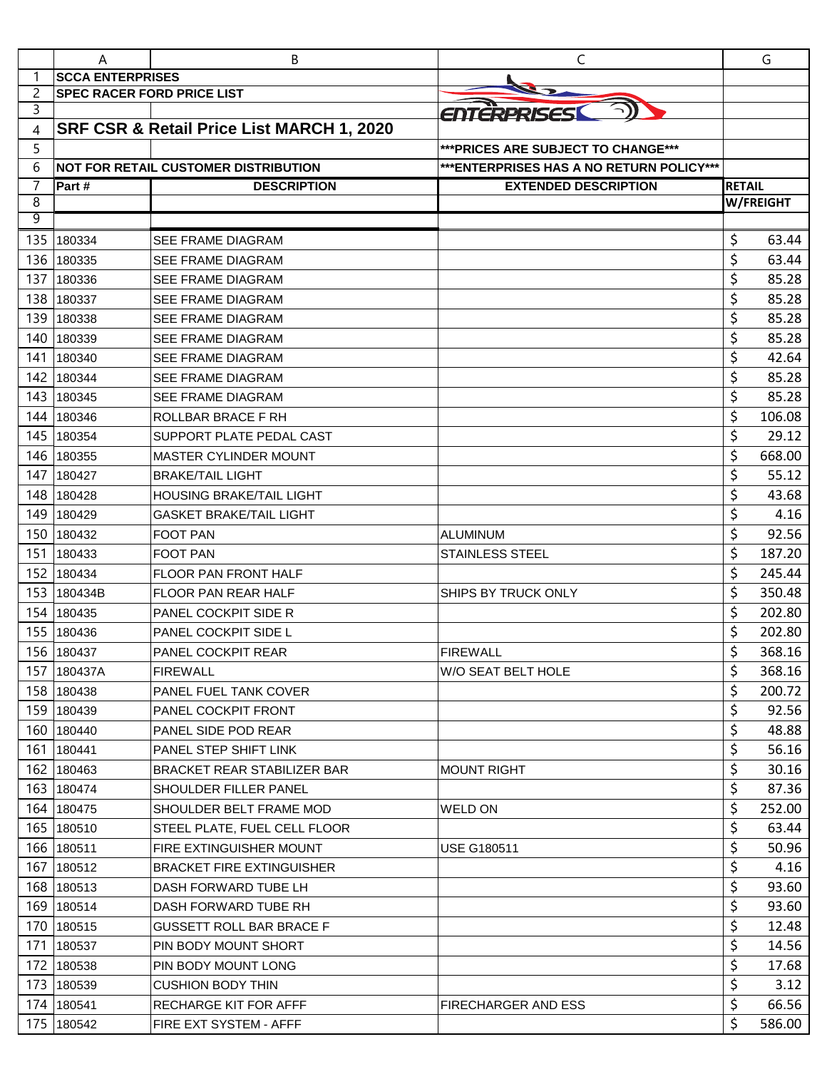|                     | A                                 | B                                           | C                                         |               | G                |
|---------------------|-----------------------------------|---------------------------------------------|-------------------------------------------|---------------|------------------|
| 1                   | <b>SCCA ENTERPRISES</b>           |                                             |                                           |               |                  |
| $\overline{c}$      | <b>SPEC RACER FORD PRICE LIST</b> |                                             |                                           |               |                  |
| 3                   |                                   |                                             | ENTERPRISES                               |               |                  |
| 4                   |                                   | SRF CSR & Retail Price List MARCH 1, 2020   |                                           |               |                  |
| 5                   |                                   |                                             | *** PRICES ARE SUBJECT TO CHANGE***       |               |                  |
| 6                   |                                   | <b>NOT FOR RETAIL CUSTOMER DISTRIBUTION</b> | *** ENTERPRISES HAS A NO RETURN POLICY*** |               |                  |
| $\overline{7}$<br>8 | Part#                             | <b>DESCRIPTION</b>                          | <b>EXTENDED DESCRIPTION</b>               | <b>RETAIL</b> | <b>W/FREIGHT</b> |
| 9                   |                                   |                                             |                                           |               |                  |
| 135                 | 180334                            | <b>SEE FRAME DIAGRAM</b>                    |                                           | \$            | 63.44            |
| 136                 | 180335                            | <b>SEE FRAME DIAGRAM</b>                    |                                           | \$            | 63.44            |
| 137                 | 180336                            | <b>SEE FRAME DIAGRAM</b>                    |                                           | \$            | 85.28            |
| 138                 | 180337                            | <b>SEE FRAME DIAGRAM</b>                    |                                           | \$            | 85.28            |
| 139                 | 180338                            | SEE FRAME DIAGRAM                           |                                           | \$            | 85.28            |
| 140                 | 180339                            | SEE FRAME DIAGRAM                           |                                           | \$            | 85.28            |
| 141                 | 180340                            | SEE FRAME DIAGRAM                           |                                           | \$            | 42.64            |
| 142                 | 180344                            | <b>SEE FRAME DIAGRAM</b>                    |                                           | \$            | 85.28            |
| 143                 | 180345                            | <b>SEE FRAME DIAGRAM</b>                    |                                           | \$            | 85.28            |
| 144                 | 180346                            | ROLLBAR BRACE F RH                          |                                           | \$            | 106.08           |
| 145                 | 180354                            | SUPPORT PLATE PEDAL CAST                    |                                           | \$            | 29.12            |
| 146                 | 180355                            | <b>MASTER CYLINDER MOUNT</b>                |                                           | \$            | 668.00           |
| 147                 | 180427                            | <b>BRAKE/TAIL LIGHT</b>                     |                                           | \$            | 55.12            |
| 148                 | 180428                            | <b>HOUSING BRAKE/TAIL LIGHT</b>             |                                           | \$            | 43.68            |
| 149                 | 180429                            | <b>GASKET BRAKE/TAIL LIGHT</b>              |                                           | \$            | 4.16             |
| 150                 | 180432                            | <b>FOOT PAN</b>                             | <b>ALUMINUM</b>                           | \$            | 92.56            |
| 151                 | 180433                            | <b>FOOT PAN</b>                             | <b>STAINLESS STEEL</b>                    | \$            | 187.20           |
| 152                 | 180434                            | <b>FLOOR PAN FRONT HALF</b>                 |                                           | \$            | 245.44           |
| 153                 | 180434B                           | <b>FLOOR PAN REAR HALF</b>                  | SHIPS BY TRUCK ONLY                       | \$            | 350.48           |
| 154                 | 180435                            | PANEL COCKPIT SIDE R                        |                                           | \$            | 202.80           |
| 155                 | 180436                            | PANEL COCKPIT SIDE L                        |                                           | \$            | 202.80           |
|                     | 156 180437                        | PANEL COCKPIT REAR                          | <b>FIREWALL</b>                           | Ś             | 368.16           |
|                     | 157 180437A                       | <b>FIREWALL</b>                             | W/O SEAT BELT HOLE                        | \$            | 368.16           |
|                     | 158 180438                        | PANEL FUEL TANK COVER                       |                                           | \$            | 200.72           |
|                     | 159 180439                        | PANEL COCKPIT FRONT                         |                                           | \$            | 92.56            |
|                     | 160 180440                        | PANEL SIDE POD REAR                         |                                           | \$            | 48.88            |
|                     | 161 180441                        | PANEL STEP SHIFT LINK                       |                                           | \$            | 56.16            |
|                     | 162 180463                        | <b>BRACKET REAR STABILIZER BAR</b>          | <b>MOUNT RIGHT</b>                        | \$            | 30.16            |
|                     | 163 180474                        | SHOULDER FILLER PANEL                       |                                           | \$            | 87.36            |
|                     | 164 180475                        | SHOULDER BELT FRAME MOD                     | <b>WELD ON</b>                            | \$            | 252.00           |
|                     | 165 180510                        | STEEL PLATE, FUEL CELL FLOOR                |                                           | \$            | 63.44            |
|                     | 166 180511                        | FIRE EXTINGUISHER MOUNT                     | <b>USE G180511</b>                        | \$            | 50.96            |
| 167                 | 180512                            | <b>BRACKET FIRE EXTINGUISHER</b>            |                                           | \$            | 4.16             |
|                     | 168 180513                        | DASH FORWARD TUBE LH                        |                                           | \$            | 93.60            |
|                     | 169 180514                        | DASH FORWARD TUBE RH                        |                                           | \$            | 93.60            |
|                     | 170 180515                        | <b>GUSSETT ROLL BAR BRACE F</b>             |                                           | \$            | 12.48            |
| 171                 | 180537                            | PIN BODY MOUNT SHORT                        |                                           | \$            | 14.56            |
| 172                 | 180538                            | PIN BODY MOUNT LONG                         |                                           | \$            | 17.68            |
| 173                 | 180539                            | <b>CUSHION BODY THIN</b>                    |                                           | \$            | 3.12             |
|                     | 174 180541                        | RECHARGE KIT FOR AFFF                       | FIRECHARGER AND ESS                       | \$            | 66.56            |
|                     | 175 180542                        | FIRE EXT SYSTEM - AFFF                      |                                           | \$            | 586.00           |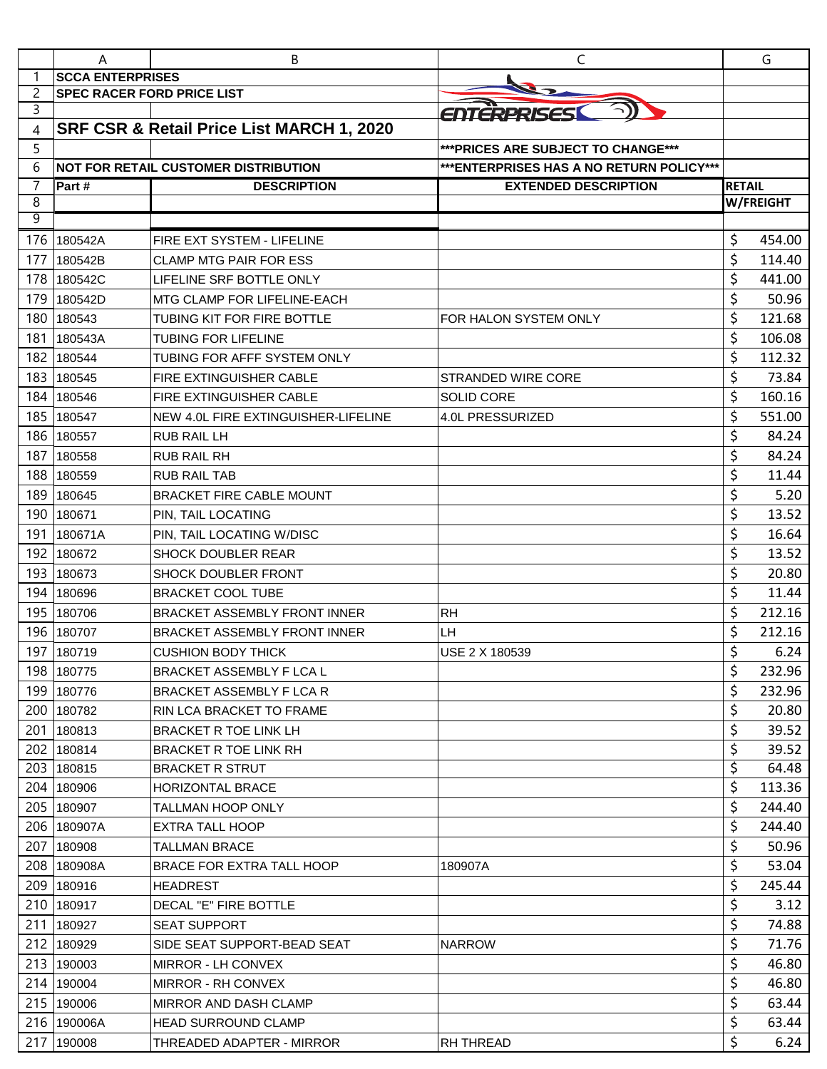|     | A                                 | В                                           | C                                         |               | G         |
|-----|-----------------------------------|---------------------------------------------|-------------------------------------------|---------------|-----------|
| 1   | <b>SCCA ENTERPRISES</b>           |                                             |                                           |               |           |
| 2   | <b>SPEC RACER FORD PRICE LIST</b> |                                             |                                           |               |           |
| 3   |                                   |                                             | ENTERPRISES                               |               |           |
| 4   |                                   | SRF CSR & Retail Price List MARCH 1, 2020   |                                           |               |           |
| 5   |                                   |                                             | *** PRICES ARE SUBJECT TO CHANGE***       |               |           |
| 6   |                                   | <b>NOT FOR RETAIL CUSTOMER DISTRIBUTION</b> | *** ENTERPRISES HAS A NO RETURN POLICY*** |               |           |
| 7   | Part #                            | <b>DESCRIPTION</b>                          | <b>EXTENDED DESCRIPTION</b>               | <b>RETAIL</b> |           |
| 8   |                                   |                                             |                                           |               | W/FREIGHT |
| 9   |                                   |                                             |                                           |               |           |
| 176 | 180542A                           | FIRE EXT SYSTEM - LIFELINE                  |                                           | \$            | 454.00    |
| 177 | 180542B                           | <b>CLAMP MTG PAIR FOR ESS</b>               |                                           | \$            | 114.40    |
| 178 | 180542C                           | LIFELINE SRF BOTTLE ONLY                    |                                           | \$            | 441.00    |
| 179 | 180542D                           | <b>MTG CLAMP FOR LIFELINE-EACH</b>          |                                           | \$            | 50.96     |
| 180 | 180543                            | TUBING KIT FOR FIRE BOTTLE                  | FOR HALON SYSTEM ONLY                     | \$            | 121.68    |
| 181 | 180543A                           | <b>TUBING FOR LIFELINE</b>                  |                                           | \$            | 106.08    |
| 182 | 180544                            | TUBING FOR AFFF SYSTEM ONLY                 |                                           | \$            | 112.32    |
| 183 | 180545                            | <b>FIRE EXTINGUISHER CABLE</b>              | STRANDED WIRE CORE                        | \$            | 73.84     |
| 184 | 180546                            | FIRE EXTINGUISHER CABLE                     | <b>SOLID CORE</b>                         | \$            | 160.16    |
| 185 | 180547                            | NEW 4.0L FIRE EXTINGUISHER-LIFELINE         | 4.0L PRESSURIZED                          | \$            | 551.00    |
| 186 | 180557                            | <b>RUB RAIL LH</b>                          |                                           | \$            | 84.24     |
| 187 | 180558                            | RUB RAIL RH                                 |                                           | \$            | 84.24     |
| 188 | 180559                            | <b>RUB RAIL TAB</b>                         |                                           | \$            | 11.44     |
| 189 | 180645                            | BRACKET FIRE CABLE MOUNT                    |                                           | \$            | 5.20      |
| 190 | 180671                            | PIN, TAIL LOCATING                          |                                           | \$            | 13.52     |
| 191 | 180671A                           | PIN, TAIL LOCATING W/DISC                   |                                           | \$            | 16.64     |
| 192 | 180672                            | <b>SHOCK DOUBLER REAR</b>                   |                                           | \$            | 13.52     |
| 193 | 180673                            | SHOCK DOUBLER FRONT                         |                                           | \$            | 20.80     |
| 194 | 180696                            | <b>BRACKET COOL TUBE</b>                    |                                           | \$            | 11.44     |
| 195 | 180706                            | <b>BRACKET ASSEMBLY FRONT INNER</b>         | <b>RH</b>                                 | \$            | 212.16    |
| 196 | 180707                            | BRACKET ASSEMBLY FRONT INNER                | LH                                        | \$            | 212.16    |
| 197 | 180719                            | <b>CUSHION BODY THICK</b>                   | USE 2 X 180539                            | \$<br>⇁       | 6.24      |
|     | 198 180775                        | BRACKET ASSEMBLY F LCA L                    |                                           | \$            | 232.96    |
|     | 199 180776                        | BRACKET ASSEMBLY F LCA R                    |                                           | \$            | 232.96    |
|     | 200 180782                        | RIN LCA BRACKET TO FRAME                    |                                           | \$            | 20.80     |
|     | 201 180813                        | BRACKET R TOE LINK LH                       |                                           | \$            | 39.52     |
|     | 202 180814                        | <b>BRACKET R TOE LINK RH</b>                |                                           | \$            | 39.52     |
|     | 203 180815                        | BRACKET R STRUT                             |                                           | \$            | 64.48     |
|     | 204 180906                        | <b>HORIZONTAL BRACE</b>                     |                                           | \$            | 113.36    |
|     | 205 180907                        | TALLMAN HOOP ONLY                           |                                           | \$            | 244.40    |
|     | 206 180907A                       | <b>EXTRA TALL HOOP</b>                      |                                           | \$            | 244.40    |
|     | 207 180908                        | TALLMAN BRACE                               |                                           | \$            | 50.96     |
|     | 208 180908A                       | BRACE FOR EXTRA TALL HOOP                   | 180907A                                   | \$            | 53.04     |
|     | 209 180916                        | <b>HEADREST</b>                             |                                           | \$            | 245.44    |
|     | 210 180917                        | DECAL "E" FIRE BOTTLE                       |                                           | \$            | 3.12      |
|     | 211 180927                        | <b>SEAT SUPPORT</b>                         |                                           | \$            | 74.88     |
|     | 212 180929                        | SIDE SEAT SUPPORT-BEAD SEAT                 | <b>NARROW</b>                             | \$            | 71.76     |
|     | 213 190003                        | MIRROR - LH CONVEX                          |                                           | \$            | 46.80     |
|     | 214 190004                        |                                             |                                           | \$            | 46.80     |
|     | 215 190006                        | MIRROR - RH CONVEX                          |                                           | \$            | 63.44     |
|     |                                   | MIRROR AND DASH CLAMP                       |                                           | \$            |           |
|     | 216 190006A                       | <b>HEAD SURROUND CLAMP</b>                  |                                           |               | 63.44     |
|     | 217 190008                        | THREADED ADAPTER - MIRROR                   | RH THREAD                                 | \$            | 6.24      |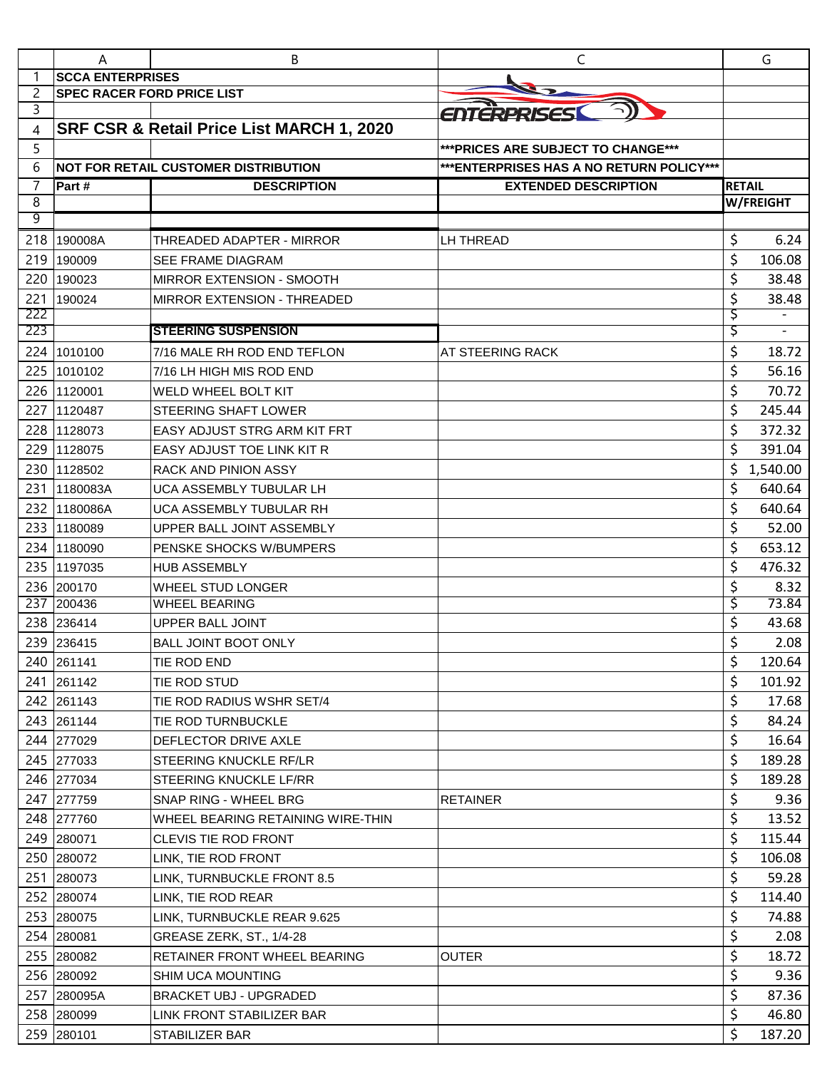|            | A                                 | B                                           | C                                         |               | G         |
|------------|-----------------------------------|---------------------------------------------|-------------------------------------------|---------------|-----------|
|            | <b>SCCA ENTERPRISES</b>           |                                             |                                           |               |           |
| 2          | <b>SPEC RACER FORD PRICE LIST</b> |                                             |                                           |               |           |
| 3          |                                   |                                             | ENTERPRISESI                              |               |           |
| 4          |                                   | SRF CSR & Retail Price List MARCH 1, 2020   |                                           |               |           |
| 5          |                                   |                                             | *** PRICES ARE SUBJECT TO CHANGE***       |               |           |
| 6          |                                   | <b>NOT FOR RETAIL CUSTOMER DISTRIBUTION</b> | *** ENTERPRISES HAS A NO RETURN POLICY*** |               |           |
| 7          | Part #                            | <b>DESCRIPTION</b>                          | <b>EXTENDED DESCRIPTION</b>               | <b>RETAIL</b> |           |
| 8          |                                   |                                             |                                           |               | W/FREIGHT |
| 9          |                                   |                                             |                                           |               |           |
| 218        | 190008A                           | THREADED ADAPTER - MIRROR                   | LH THREAD                                 | \$            | 6.24      |
| 219        | 190009                            | <b>SEE FRAME DIAGRAM</b>                    |                                           | \$            | 106.08    |
| 220        | 190023                            | <b>MIRROR EXTENSION - SMOOTH</b>            |                                           | \$            | 38.48     |
| 221        | 190024                            | <b>MIRROR EXTENSION - THREADED</b>          |                                           | \$            | 38.48     |
| 222<br>223 |                                   | <b>STEERING SUSPENSION</b>                  |                                           | Ş<br>Ş        |           |
|            |                                   | 7/16 MALE RH ROD END TEFLON                 |                                           | \$            |           |
| 224        | 1010100                           |                                             | AT STEERING RACK                          |               | 18.72     |
| 225        | 1010102                           | 7/16 LH HIGH MIS ROD END                    |                                           | \$            | 56.16     |
| 226        | 1120001                           | <b>WELD WHEEL BOLT KIT</b>                  |                                           | \$            | 70.72     |
| 227        | 1120487                           | <b>STEERING SHAFT LOWER</b>                 |                                           | \$            | 245.44    |
| 228        | 1128073                           | <b>EASY ADJUST STRG ARM KIT FRT</b>         |                                           | \$            | 372.32    |
| 229        | 1128075                           | <b>EASY ADJUST TOE LINK KIT R</b>           |                                           | \$            | 391.04    |
| 230        | 1128502                           | <b>RACK AND PINION ASSY</b>                 |                                           | \$            | 1,540.00  |
| 231        | 1180083A                          | UCA ASSEMBLY TUBULAR LH                     |                                           | \$            | 640.64    |
| 232        | 1180086A                          | UCA ASSEMBLY TUBULAR RH                     |                                           | \$            | 640.64    |
| 233        | 1180089                           | UPPER BALL JOINT ASSEMBLY                   |                                           | \$            | 52.00     |
| 234        | 1180090                           | PENSKE SHOCKS W/BUMPERS                     |                                           | \$            | 653.12    |
| 235        | 1197035                           | <b>HUB ASSEMBLY</b>                         |                                           | \$            | 476.32    |
| 236        | 200170                            | WHEEL STUD LONGER                           |                                           | \$            | 8.32      |
| 237        | 200436                            | <b>WHEEL BEARING</b>                        |                                           | \$            | 73.84     |
|            | 238 236414                        | <b>UPPER BALL JOINT</b>                     |                                           | \$            | 43.68     |
| 239        | 236415                            | <b>BALL JOINT BOOT ONLY</b>                 |                                           | \$            | 2.08      |
|            | 240 261141                        | TIE ROD END                                 |                                           | \$            | 120.64    |
|            | 241 261142                        | TIE ROD STUD                                |                                           | \$            | 101.92    |
|            | 242 261143                        | TIE ROD RADIUS WSHR SET/4                   |                                           | \$            | 17.68     |
|            | 243 261144                        | TIE ROD TURNBUCKLE                          |                                           | \$            | 84.24     |
|            | 244 277029                        | DEFLECTOR DRIVE AXLE                        |                                           | \$            | 16.64     |
|            | 245 277033                        | STEERING KNUCKLE RF/LR                      |                                           | \$            | 189.28    |
|            | 246 277034                        | STEERING KNUCKLE LF/RR                      |                                           | \$            | 189.28    |
|            | 247 277759                        | SNAP RING - WHEEL BRG                       | <b>RETAINER</b>                           | \$            | 9.36      |
|            | 248 277760                        | WHEEL BEARING RETAINING WIRE-THIN           |                                           | \$            | 13.52     |
|            | 249 280071                        | CLEVIS TIE ROD FRONT                        |                                           | \$            | 115.44    |
|            | 250 280072                        | LINK, TIE ROD FRONT                         |                                           | \$            | 106.08    |
|            | 251 280073                        | LINK, TURNBUCKLE FRONT 8.5                  |                                           | \$            | 59.28     |
|            | 252 280074                        | LINK, TIE ROD REAR                          |                                           | \$            | 114.40    |
|            | 253 280075                        | LINK, TURNBUCKLE REAR 9.625                 |                                           | \$            | 74.88     |
|            | 254 280081                        | GREASE ZERK, ST., 1/4-28                    |                                           | \$            | 2.08      |
|            | 255 280082                        | <b>RETAINER FRONT WHEEL BEARING</b>         | <b>OUTER</b>                              | \$            | 18.72     |
|            | 256 280092                        | <b>SHIM UCA MOUNTING</b>                    |                                           | \$            | 9.36      |
|            | 257 280095A                       | <b>BRACKET UBJ - UPGRADED</b>               |                                           | \$            | 87.36     |
|            | 258 280099                        | LINK FRONT STABILIZER BAR                   |                                           | \$            | 46.80     |
|            | 259 280101                        | STABILIZER BAR                              |                                           | \$            | 187.20    |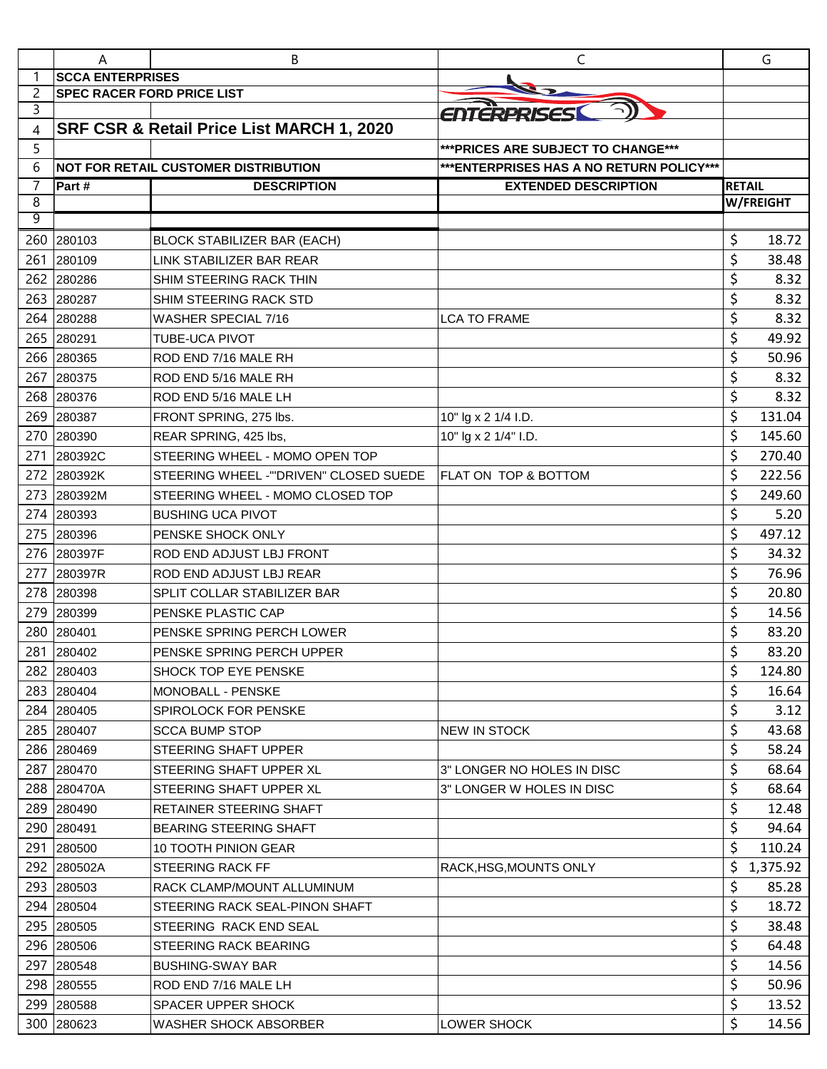|                     | A                                 | B                                           | C                                         |               | G         |
|---------------------|-----------------------------------|---------------------------------------------|-------------------------------------------|---------------|-----------|
| 1                   | <b>SCCA ENTERPRISES</b>           |                                             |                                           |               |           |
| 2                   | <b>SPEC RACER FORD PRICE LIST</b> |                                             |                                           |               |           |
| 3                   |                                   |                                             | ENTERPRISES                               |               |           |
| 4                   |                                   | SRF CSR & Retail Price List MARCH 1, 2020   |                                           |               |           |
| 5                   |                                   |                                             | *** PRICES ARE SUBJECT TO CHANGE***       |               |           |
| 6                   |                                   | <b>NOT FOR RETAIL CUSTOMER DISTRIBUTION</b> | *** ENTERPRISES HAS A NO RETURN POLICY*** |               |           |
| $\overline{7}$<br>8 | Part #                            | <b>DESCRIPTION</b>                          | <b>EXTENDED DESCRIPTION</b>               | <b>RETAIL</b> | W/FREIGHT |
| 9                   |                                   |                                             |                                           |               |           |
| 260                 | 280103                            | <b>BLOCK STABILIZER BAR (EACH)</b>          |                                           | \$            | 18.72     |
| 261                 | 280109                            | LINK STABILIZER BAR REAR                    |                                           | \$            | 38.48     |
| 262                 | 280286                            | SHIM STEERING RACK THIN                     |                                           | \$            | 8.32      |
| 263                 | 280287                            | SHIM STEERING RACK STD                      |                                           | \$            | 8.32      |
| 264                 | 280288                            | WASHER SPECIAL 7/16                         | <b>LCA TO FRAME</b>                       | \$            | 8.32      |
| 265                 | 280291                            | TUBE-UCA PIVOT                              |                                           | \$            | 49.92     |
| 266                 | 280365                            | ROD END 7/16 MALE RH                        |                                           | \$            | 50.96     |
| 267                 | 280375                            | ROD END 5/16 MALE RH                        |                                           | \$            | 8.32      |
| 268                 | 280376                            | ROD END 5/16 MALE LH                        |                                           | \$            | 8.32      |
| 269                 | 280387                            | FRONT SPRING, 275 lbs.                      | 10" lg x 2 1/4 I.D.                       | \$            | 131.04    |
| 270                 | 280390                            | REAR SPRING, 425 lbs,                       | 10" lg x 2 1/4" I.D.                      | \$            | 145.60    |
| 271                 | 280392C                           | STEERING WHEEL - MOMO OPEN TOP              |                                           | \$            | 270.40    |
| 272                 | 280392K                           | STEERING WHEEL - "DRIVEN" CLOSED SUEDE      | <b>FLAT ON TOP &amp; BOTTOM</b>           | \$            | 222.56    |
| 273                 | 280392M                           | STEERING WHEEL - MOMO CLOSED TOP            |                                           | \$            | 249.60    |
| 274                 | 280393                            | <b>BUSHING UCA PIVOT</b>                    |                                           | \$            | 5.20      |
| 275                 | 280396                            | PENSKE SHOCK ONLY                           |                                           | \$            | 497.12    |
| 276                 | 280397F                           | ROD END ADJUST LBJ FRONT                    |                                           | \$            | 34.32     |
| 277                 | 280397R                           | ROD END ADJUST LBJ REAR                     |                                           | \$            | 76.96     |
| 278                 | 280398                            | SPLIT COLLAR STABILIZER BAR                 |                                           | \$            | 20.80     |
| 279                 | 280399                            | PENSKE PLASTIC CAP                          |                                           | \$            | 14.56     |
| 280                 | 280401                            | PENSKE SPRING PERCH LOWER                   |                                           | \$            | 83.20     |
|                     | 281 280402                        | PENSKE SPRING PERCH UPPER                   |                                           | Ś.            | 83.20     |
|                     | 282 280403                        | SHOCK TOP EYE PENSKE                        |                                           | \$            | 124.80    |
|                     | 283 280404                        | MONOBALL - PENSKE                           |                                           | \$            | 16.64     |
|                     | 284 280405                        | SPIROLOCK FOR PENSKE                        |                                           | \$            | 3.12      |
|                     | 285 280407                        | <b>SCCA BUMP STOP</b>                       | NEW IN STOCK                              | \$            | 43.68     |
|                     | 286 280469                        | STEERING SHAFT UPPER                        |                                           | \$            | 58.24     |
| 287                 | 280470                            | STEERING SHAFT UPPER XL                     | 3" LONGER NO HOLES IN DISC                | \$            | 68.64     |
|                     | 288 280470A                       | STEERING SHAFT UPPER XL                     | 3" LONGER W HOLES IN DISC                 | \$            | 68.64     |
| 289                 | 280490                            | RETAINER STEERING SHAFT                     |                                           | \$            | 12.48     |
|                     | 290 280491                        | <b>BEARING STEERING SHAFT</b>               |                                           | \$            | 94.64     |
|                     | 291 280500                        | 10 TOOTH PINION GEAR                        |                                           | \$            | 110.24    |
|                     | 292 280502A                       | <b>STEERING RACK FF</b>                     | RACK, HSG, MOUNTS ONLY                    | \$            | 1,375.92  |
|                     | 293 280503                        | RACK CLAMP/MOUNT ALLUMINUM                  |                                           | \$            | 85.28     |
|                     | 294 280504                        | STEERING RACK SEAL-PINON SHAFT              |                                           | \$            | 18.72     |
|                     | 295 280505                        | STEERING RACK END SEAL                      |                                           | \$            | 38.48     |
|                     | 296 280506                        | STEERING RACK BEARING                       |                                           | \$            | 64.48     |
| 297                 | 280548                            | <b>BUSHING-SWAY BAR</b>                     |                                           | \$            | 14.56     |
|                     | 298 280555                        | ROD END 7/16 MALE LH                        |                                           | \$            | 50.96     |
|                     | 299 280588                        | <b>SPACER UPPER SHOCK</b>                   |                                           | \$            | 13.52     |
|                     | 300 280623                        | WASHER SHOCK ABSORBER                       | LOWER SHOCK                               | \$            | 14.56     |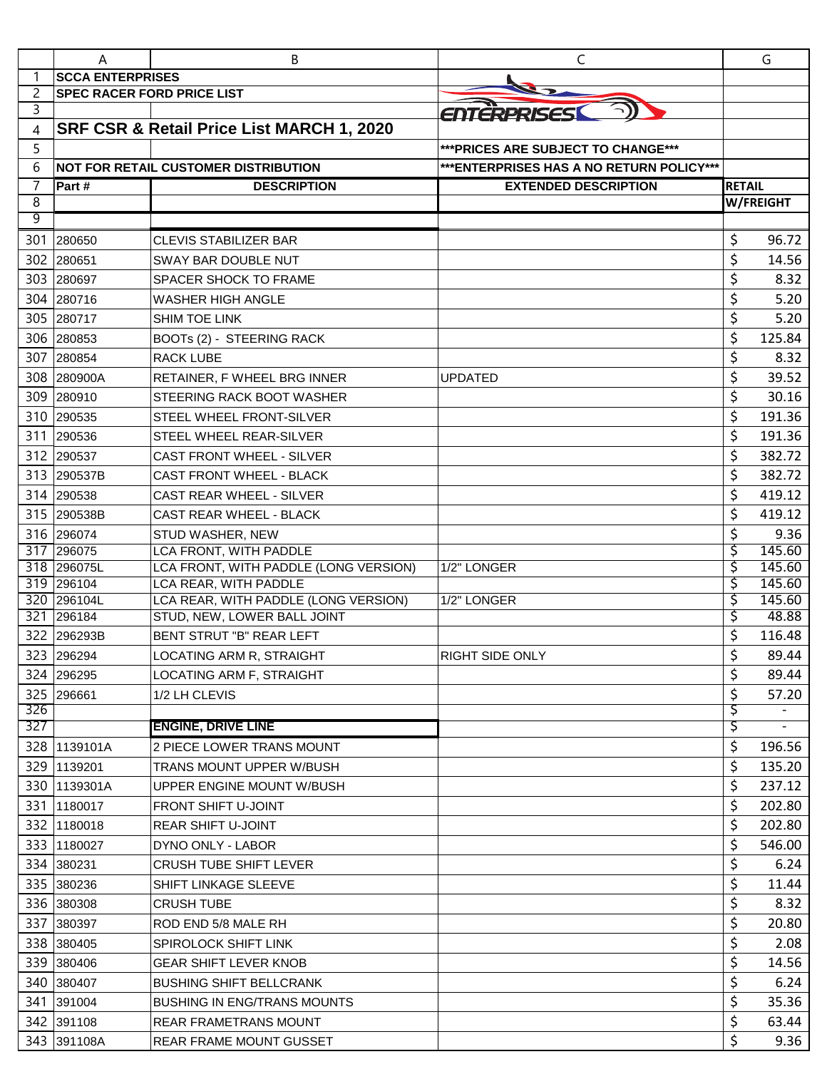|     | A                                 | B                                                                   | C                                         |               | G                        |
|-----|-----------------------------------|---------------------------------------------------------------------|-------------------------------------------|---------------|--------------------------|
| 1   | <b>SCCA ENTERPRISES</b>           |                                                                     |                                           |               |                          |
| 2   | <b>SPEC RACER FORD PRICE LIST</b> |                                                                     |                                           |               |                          |
| 3   |                                   |                                                                     | ENTERPRISESI                              |               |                          |
| 4   |                                   | SRF CSR & Retail Price List MARCH 1, 2020                           |                                           |               |                          |
| 5   |                                   |                                                                     | *** PRICES ARE SUBJECT TO CHANGE***       |               |                          |
| 6   |                                   | <b>NOT FOR RETAIL CUSTOMER DISTRIBUTION</b>                         | *** ENTERPRISES HAS A NO RETURN POLICY*** |               |                          |
| 7   | Part #                            | <b>DESCRIPTION</b>                                                  | <b>EXTENDED DESCRIPTION</b>               | <b>RETAIL</b> |                          |
| 8   |                                   |                                                                     |                                           |               | W/FREIGHT                |
| 9   |                                   |                                                                     |                                           |               |                          |
| 301 | 280650                            | <b>CLEVIS STABILIZER BAR</b>                                        |                                           | \$            | 96.72                    |
| 302 | 280651                            | SWAY BAR DOUBLE NUT                                                 |                                           | \$            | 14.56                    |
| 303 | 280697                            | SPACER SHOCK TO FRAME                                               |                                           | \$            | 8.32                     |
|     | 304 280716                        | <b>WASHER HIGH ANGLE</b>                                            |                                           | \$            | 5.20                     |
|     | 305 280717                        | <b>SHIM TOE LINK</b>                                                |                                           | \$            | 5.20                     |
| 306 | 280853                            | BOOTs (2) - STEERING RACK                                           |                                           | \$            | 125.84                   |
| 307 | 280854                            | <b>RACK LUBE</b>                                                    |                                           | \$            | 8.32                     |
|     | 308 280900A                       | RETAINER, F WHEEL BRG INNER                                         | <b>UPDATED</b>                            | \$            | 39.52                    |
|     | 309 280910                        | STEERING RACK BOOT WASHER                                           |                                           | \$            | 30.16                    |
|     | 310 290535                        | STEEL WHEEL FRONT-SILVER                                            |                                           | \$            | 191.36                   |
|     | 311 290536                        | STEEL WHEEL REAR-SILVER                                             |                                           | \$            | 191.36                   |
|     | 312 290537                        | <b>CAST FRONT WHEEL - SILVER</b>                                    |                                           | \$            | 382.72                   |
|     | 313 290537B                       | CAST FRONT WHEEL - BLACK                                            |                                           | \$            | 382.72                   |
|     | 314 290538                        | <b>CAST REAR WHEEL - SILVER</b>                                     |                                           | \$            | 419.12                   |
|     | 315 290538B                       | <b>CAST REAR WHEEL - BLACK</b>                                      |                                           | \$            | 419.12                   |
|     | 316 296074                        | STUD WASHER, NEW                                                    |                                           | \$            | 9.36                     |
|     | 317 296075                        | LCA FRONT, WITH PADDLE                                              |                                           | \$            | 145.60                   |
|     | 318 296075L                       | LCA FRONT, WITH PADDLE (LONG VERSION)                               | 1/2" LONGER                               | \$            | 145.60                   |
|     | 319 296104                        | LCA REAR, WITH PADDLE                                               |                                           | \$            | 145.60                   |
|     | 320 296104L<br>321 296184         | LCA REAR, WITH PADDLE (LONG VERSION)<br>STUD, NEW, LOWER BALL JOINT | 1/2" LONGER                               | \$<br>\$      | 145.60<br>48.88          |
| 322 |                                   |                                                                     |                                           |               | 116.48                   |
|     | 296293B                           | BENT STRUT "B" REAR LEFT                                            |                                           | \$            |                          |
|     | 323 296294                        | LOCATING ARM R, STRAIGHT                                            | RIGHT SIDE ONLY                           | \$            | 89.44                    |
|     | 324 296295                        | LOCATING ARM F, STRAIGHT                                            |                                           | \$            | 89.44                    |
| 326 | 325 296661                        | 1/2 LH CLEVIS                                                       |                                           | \$<br>ड़      | 57.20                    |
| 327 |                                   | <b>ENGINE, DRIVE LINE</b>                                           |                                           | Ş             | $\overline{\phantom{a}}$ |
|     | 328 1139101A                      | 2 PIECE LOWER TRANS MOUNT                                           |                                           | \$            | 196.56                   |
|     | 329 1139201                       | TRANS MOUNT UPPER W/BUSH                                            |                                           | \$            | 135.20                   |
|     | 330 1139301A                      | UPPER ENGINE MOUNT W/BUSH                                           |                                           | \$            | 237.12                   |
| 331 |                                   | <b>FRONT SHIFT U-JOINT</b>                                          |                                           | \$            | 202.80                   |
|     | 1180017<br>332 1180018            | <b>REAR SHIFT U-JOINT</b>                                           |                                           | \$            | 202.80                   |
|     |                                   |                                                                     |                                           |               |                          |
|     | 333 1180027                       | DYNO ONLY - LABOR                                                   |                                           | \$            | 546.00                   |
|     | 334 380231                        | <b>CRUSH TUBE SHIFT LEVER</b>                                       |                                           | \$            | 6.24                     |
|     | 335 380236                        | <b>SHIFT LINKAGE SLEEVE</b>                                         |                                           | \$            | 11.44                    |
|     | 336 380308                        | <b>CRUSH TUBE</b>                                                   |                                           | \$            | 8.32                     |
|     | 337 380397                        | ROD END 5/8 MALE RH                                                 |                                           | \$            | 20.80                    |
|     | 338 380405                        | SPIROLOCK SHIFT LINK                                                |                                           | \$            | 2.08                     |
|     | 339 380406                        | <b>GEAR SHIFT LEVER KNOB</b>                                        |                                           | \$            | 14.56                    |
|     | 340 380407                        | <b>BUSHING SHIFT BELLCRANK</b>                                      |                                           | \$            | 6.24                     |
|     | 341 391004                        | <b>BUSHING IN ENG/TRANS MOUNTS</b>                                  |                                           | \$            | 35.36                    |
|     | 342 391108                        | <b>REAR FRAMETRANS MOUNT</b>                                        |                                           | \$            | 63.44                    |
|     | 343 391108A                       | REAR FRAME MOUNT GUSSET                                             |                                           | \$            | 9.36                     |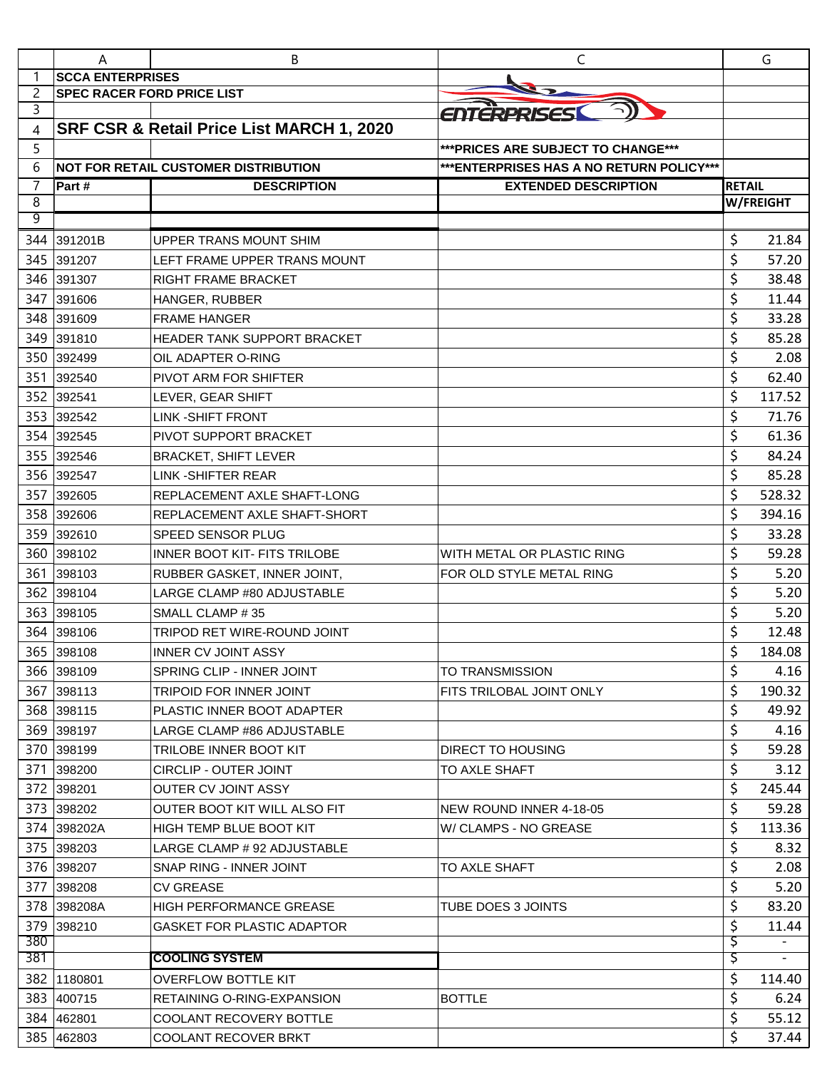|            | A                                 | В                                                    | C                                         |               | G              |
|------------|-----------------------------------|------------------------------------------------------|-------------------------------------------|---------------|----------------|
| 1          | <b>SCCA ENTERPRISES</b>           |                                                      |                                           |               |                |
| 2          | <b>SPEC RACER FORD PRICE LIST</b> |                                                      |                                           |               |                |
| 3          |                                   |                                                      | ENTERPRISES                               |               |                |
| 4          |                                   | SRF CSR & Retail Price List MARCH 1, 2020            |                                           |               |                |
| 5          |                                   |                                                      | *** PRICES ARE SUBJECT TO CHANGE***       |               |                |
| 6          |                                   | <b>NOT FOR RETAIL CUSTOMER DISTRIBUTION</b>          | *** ENTERPRISES HAS A NO RETURN POLICY*** |               |                |
| 7          | Part#                             | <b>DESCRIPTION</b>                                   | <b>EXTENDED DESCRIPTION</b>               | <b>RETAIL</b> |                |
| 8<br>9     |                                   |                                                      |                                           |               | W/FREIGHT      |
|            | 391201B                           | UPPER TRANS MOUNT SHIM                               |                                           | \$            | 21.84          |
| 344<br>345 |                                   | LEFT FRAME UPPER TRANS MOUNT                         |                                           | \$            | 57.20          |
| 346        | 391207                            |                                                      |                                           | \$            | 38.48          |
| 347        | 391307                            | RIGHT FRAME BRACKET                                  |                                           | \$            | 11.44          |
|            | 391606                            | HANGER, RUBBER                                       |                                           | \$            |                |
| 348<br>349 | 391609<br>391810                  | <b>FRAME HANGER</b><br>HEADER TANK SUPPORT BRACKET   |                                           | \$            | 33.28<br>85.28 |
|            |                                   |                                                      |                                           |               |                |
| 350        | 392499<br>392540                  | OIL ADAPTER O-RING                                   |                                           | \$<br>\$      | 2.08           |
| 351        |                                   | PIVOT ARM FOR SHIFTER                                |                                           |               | 62.40          |
| 352        | 392541                            | LEVER, GEAR SHIFT                                    |                                           | \$<br>\$      | 117.52         |
| 353        | 392542                            | LINK -SHIFT FRONT<br>PIVOT SUPPORT BRACKET           |                                           | \$            | 71.76<br>61.36 |
| 354        | 392545                            |                                                      |                                           |               |                |
| 355        | 392546                            | <b>BRACKET, SHIFT LEVER</b>                          |                                           | \$            | 84.24          |
| 356        | 392547                            | <b>LINK-SHIFTER REAR</b>                             |                                           | \$            | 85.28          |
| 357        | 392605                            | REPLACEMENT AXLE SHAFT-LONG                          |                                           | \$            | 528.32         |
| 358        | 392606                            | REPLACEMENT AXLE SHAFT-SHORT                         |                                           | \$            | 394.16         |
| 359        | 392610                            | SPEED SENSOR PLUG                                    |                                           | \$            | 33.28          |
| 360        | 398102                            | <b>INNER BOOT KIT- FITS TRILOBE</b>                  | WITH METAL OR PLASTIC RING                | \$            | 59.28          |
| 361        | 398103                            | RUBBER GASKET, INNER JOINT,                          | FOR OLD STYLE METAL RING                  | \$            | 5.20           |
| 362        | 398104                            | LARGE CLAMP #80 ADJUSTABLE                           |                                           | \$<br>\$      | 5.20           |
| 363<br>364 | 398105<br>398106                  | SMALL CLAMP #35                                      |                                           | \$            | 5.20<br>12.48  |
|            | 365 398108                        | TRIPOD RET WIRE-ROUND JOINT                          |                                           | Ś             | 184.08         |
|            | 366 398109                        | <b>INNER CV JOINT ASSY</b>                           | TO TRANSMISSION                           | \$            | 4.16           |
|            | 367 398113                        | SPRING CLIP - INNER JOINT<br>TRIPOID FOR INNER JOINT | FITS TRILOBAL JOINT ONLY                  | \$            | 190.32         |
|            | 368 398115                        | PLASTIC INNER BOOT ADAPTER                           |                                           | \$            | 49.92          |
|            | 369 398197                        | LARGE CLAMP #86 ADJUSTABLE                           |                                           | \$            | 4.16           |
|            | 370 398199                        | TRILOBE INNER BOOT KIT                               | DIRECT TO HOUSING                         | \$            | 59.28          |
| 371        | 398200                            | <b>CIRCLIP - OUTER JOINT</b>                         | TO AXLE SHAFT                             | \$            | 3.12           |
|            | 372 398201                        | <b>OUTER CV JOINT ASSY</b>                           |                                           | \$            | 245.44         |
|            | 373 398202                        | OUTER BOOT KIT WILL ALSO FIT                         | NEW ROUND INNER 4-18-05                   | \$            | 59.28          |
|            | 374 398202A                       | HIGH TEMP BLUE BOOT KIT                              | W/ CLAMPS - NO GREASE                     | \$            | 113.36         |
|            | 375 398203                        | LARGE CLAMP # 92 ADJUSTABLE                          |                                           | \$            | 8.32           |
|            | 376 398207                        | SNAP RING - INNER JOINT                              | TO AXLE SHAFT                             | \$            | 2.08           |
| 377        | 398208                            | <b>CV GREASE</b>                                     |                                           | \$            | 5.20           |
|            | 378 398208A                       | <b>HIGH PERFORMANCE GREASE</b>                       | TUBE DOES 3 JOINTS                        | \$            | 83.20          |
|            | 379 398210                        | GASKET FOR PLASTIC ADAPTOR                           |                                           | \$            | 11.44          |
| 380        |                                   |                                                      |                                           | Ş             |                |
| 381        |                                   | <b>COOLING SYSTEM</b>                                |                                           | Ş             |                |
| 382        | 1180801                           | <b>OVERFLOW BOTTLE KIT</b>                           |                                           | \$            | 114.40         |
|            | 383 400715                        | RETAINING O-RING-EXPANSION                           | <b>BOTTLE</b>                             | \$            | 6.24           |
|            | 384 462801                        | COOLANT RECOVERY BOTTLE                              |                                           | \$            | 55.12          |
|            | 385 462803                        | <b>COOLANT RECOVER BRKT</b>                          |                                           | \$            | 37.44          |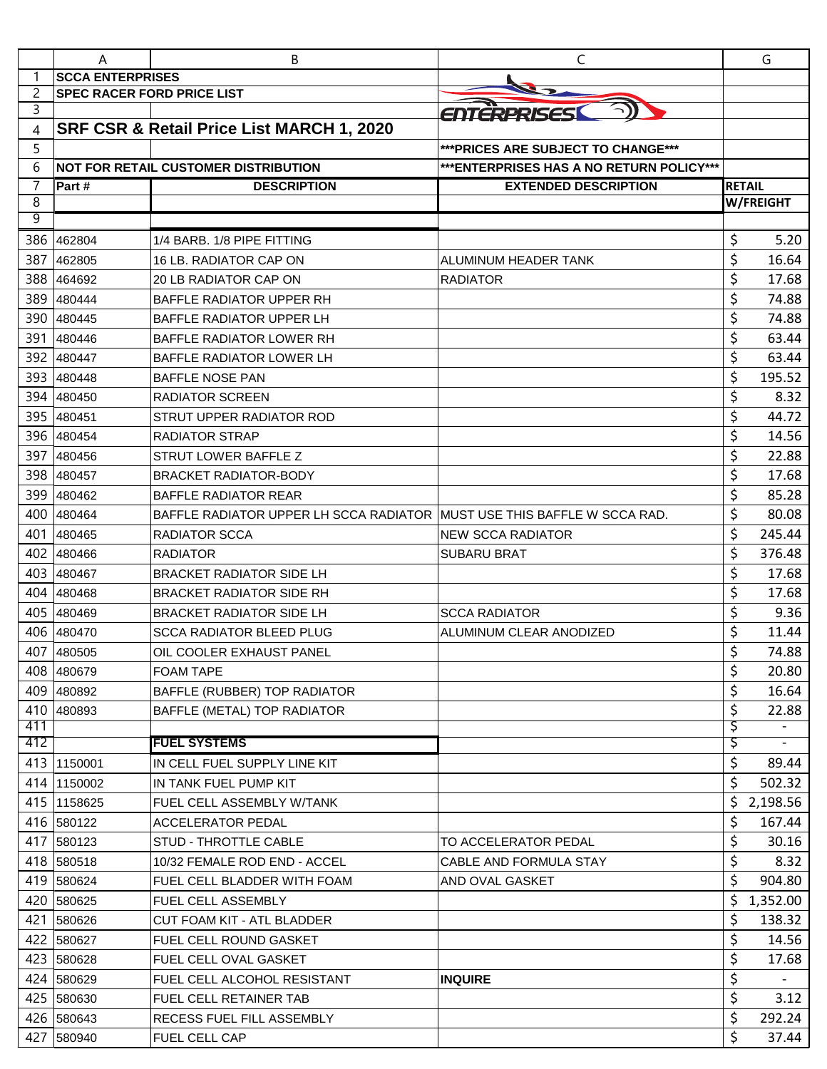|                | A                                 | B                                                                       | C                                         |               | G                        |
|----------------|-----------------------------------|-------------------------------------------------------------------------|-------------------------------------------|---------------|--------------------------|
| 1              | <b>SCCA ENTERPRISES</b>           |                                                                         |                                           |               |                          |
| 2              | <b>SPEC RACER FORD PRICE LIST</b> |                                                                         |                                           |               |                          |
| 3              |                                   |                                                                         | ENTERPRISES                               |               |                          |
| 4              |                                   | SRF CSR & Retail Price List MARCH 1, 2020                               |                                           |               |                          |
| 5              |                                   |                                                                         | *** PRICES ARE SUBJECT TO CHANGE***       |               |                          |
| 6              |                                   | <b>NOT FOR RETAIL CUSTOMER DISTRIBUTION</b>                             | *** ENTERPRISES HAS A NO RETURN POLICY*** |               |                          |
| $\overline{7}$ | Part #                            | <b>DESCRIPTION</b>                                                      | <b>EXTENDED DESCRIPTION</b>               | <b>RETAIL</b> |                          |
| 8              |                                   |                                                                         |                                           |               | W/FREIGHT                |
| 9              |                                   |                                                                         |                                           |               |                          |
|                | 386 462804                        | 1/4 BARB, 1/8 PIPE FITTING                                              |                                           | \$            | 5.20                     |
| 387            | 462805                            | 16 LB. RADIATOR CAP ON                                                  | ALUMINUM HEADER TANK                      | \$            | 16.64                    |
| 388            | 464692                            | <b>20 LB RADIATOR CAP ON</b>                                            | <b>RADIATOR</b>                           | \$            | 17.68                    |
| 389            | 480444                            | <b>BAFFLE RADIATOR UPPER RH</b>                                         |                                           | \$            | 74.88                    |
| 390            | 480445                            | BAFFLE RADIATOR UPPER LH                                                |                                           | \$            | 74.88                    |
| 391            | 480446                            | <b>BAFFLE RADIATOR LOWER RH</b>                                         |                                           | \$            | 63.44                    |
| 392            | 480447                            | <b>BAFFLE RADIATOR LOWER LH</b>                                         |                                           | \$            | 63.44                    |
| 393            | 480448                            | <b>BAFFLE NOSE PAN</b>                                                  |                                           | \$            | 195.52                   |
| 394            | 480450                            | <b>RADIATOR SCREEN</b>                                                  |                                           | \$            | 8.32                     |
| 395            | 480451                            | STRUT UPPER RADIATOR ROD                                                |                                           | \$            | 44.72                    |
| 396            | 480454                            | <b>RADIATOR STRAP</b>                                                   |                                           | \$            | 14.56                    |
| 397            | 480456                            | STRUT LOWER BAFFLE Z                                                    |                                           | \$            | 22.88                    |
| 398            | 480457                            | <b>BRACKET RADIATOR-BODY</b>                                            |                                           | \$            | 17.68                    |
| 399            | 480462                            | <b>BAFFLE RADIATOR REAR</b>                                             |                                           | \$            | 85.28                    |
| 400            | 480464                            | BAFFLE RADIATOR UPPER LH SCCA RADIATOR MUST USE THIS BAFFLE W SCCA RAD. |                                           | \$            | 80.08                    |
| 401            | 480465                            | RADIATOR SCCA                                                           | <b>NEW SCCA RADIATOR</b>                  | \$            | 245.44                   |
| 402            | 480466                            | <b>RADIATOR</b>                                                         | <b>SUBARU BRAT</b>                        | \$            | 376.48                   |
| 403            | 480467                            | <b>BRACKET RADIATOR SIDE LH</b>                                         |                                           | \$            | 17.68                    |
| 404            | 480468                            | <b>BRACKET RADIATOR SIDE RH</b>                                         |                                           | \$            | 17.68                    |
| 405            | 480469                            | <b>BRACKET RADIATOR SIDE LH</b>                                         | <b>SCCA RADIATOR</b>                      | \$            | 9.36                     |
|                | 406 480470                        | <b>SCCA RADIATOR BLEED PLUG</b>                                         | ALUMINUM CLEAR ANODIZED                   | \$            | 11.44                    |
|                | 407 480505                        | OIL COOLER EXHAUST PANEL                                                |                                           | ς             | 74.88                    |
|                | 408 480679                        | <b>FOAM TAPE</b>                                                        |                                           | \$            | 20.80                    |
|                | 409 480892                        | BAFFLE (RUBBER) TOP RADIATOR                                            |                                           | \$            | 16.64                    |
|                | 410 480893                        | BAFFLE (METAL) TOP RADIATOR                                             |                                           | \$            | 22.88                    |
| 411            |                                   |                                                                         |                                           | Ş             |                          |
| 412            |                                   | <b>FUEL SYSTEMS</b>                                                     |                                           | \$            | $\overline{\phantom{a}}$ |
|                | 413 1150001                       | IN CELL FUEL SUPPLY LINE KIT                                            |                                           | \$            | 89.44                    |
|                | 414 1150002                       | IN TANK FUEL PUMP KIT                                                   |                                           | \$            | 502.32                   |
|                | 415 1158625                       | FUEL CELL ASSEMBLY W/TANK                                               |                                           | \$            | 2,198.56                 |
|                | 416 580122                        | <b>ACCELERATOR PEDAL</b>                                                |                                           | \$            | 167.44                   |
|                | 417 580123                        | STUD - THROTTLE CABLE                                                   | TO ACCELERATOR PEDAL                      | \$            | 30.16                    |
|                | 418 580518                        | 10/32 FEMALE ROD END - ACCEL                                            | CABLE AND FORMULA STAY                    | \$            | 8.32                     |
|                | 419 580624                        | FUEL CELL BLADDER WITH FOAM                                             | AND OVAL GASKET                           | \$            | 904.80                   |
|                | 420 580625                        | FUEL CELL ASSEMBLY                                                      |                                           | \$            | 1,352.00                 |
|                | 421 580626                        | CUT FOAM KIT - ATL BLADDER                                              |                                           | \$            | 138.32                   |
|                |                                   |                                                                         |                                           | \$            | 14.56                    |
|                | 422 580627                        | FUEL CELL ROUND GASKET                                                  |                                           |               |                          |
|                | 423 580628                        | <b>FUEL CELL OVAL GASKET</b>                                            |                                           | \$            | 17.68                    |
|                | 424 580629                        | FUEL CELL ALCOHOL RESISTANT                                             | <b>INQUIRE</b>                            | \$            |                          |
|                | 425 580630                        | FUEL CELL RETAINER TAB                                                  |                                           | \$            | 3.12                     |
|                | 426 580643                        | RECESS FUEL FILL ASSEMBLY                                               |                                           | \$            | 292.24                   |
|                | 427 580940                        | FUEL CELL CAP                                                           |                                           | \$            | 37.44                    |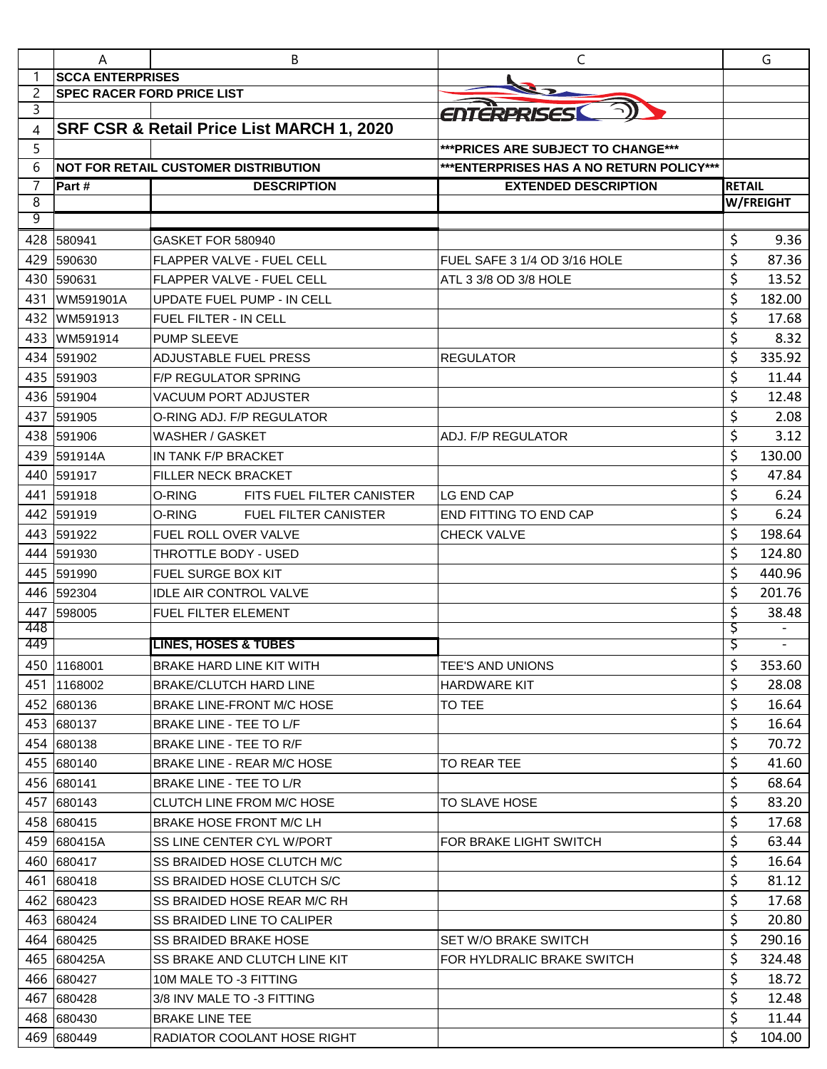|     | A                                 | В                                           | $\mathsf{C}$                              |               | G                        |
|-----|-----------------------------------|---------------------------------------------|-------------------------------------------|---------------|--------------------------|
| 1   | <b>SCCA ENTERPRISES</b>           |                                             |                                           |               |                          |
| 2   | <b>SPEC RACER FORD PRICE LIST</b> |                                             |                                           |               |                          |
| 3   |                                   |                                             | <b>ENTERPRISES</b>                        |               |                          |
| 4   |                                   | SRF CSR & Retail Price List MARCH 1, 2020   |                                           |               |                          |
| 5   |                                   |                                             | *** PRICES ARE SUBJECT TO CHANGE***       |               |                          |
| 6   |                                   | <b>NOT FOR RETAIL CUSTOMER DISTRIBUTION</b> | *** ENTERPRISES HAS A NO RETURN POLICY*** |               |                          |
| 7   | Part #                            | <b>DESCRIPTION</b>                          | <b>EXTENDED DESCRIPTION</b>               | <b>RETAIL</b> |                          |
| 8   |                                   |                                             |                                           |               | W/FREIGHT                |
| 9   |                                   |                                             |                                           |               |                          |
| 428 | 580941                            | GASKET FOR 580940                           |                                           | \$            | 9.36                     |
| 429 | 590630                            | <b>FLAPPER VALVE - FUEL CELL</b>            | FUEL SAFE 3 1/4 OD 3/16 HOLE              | \$            | 87.36                    |
| 430 | 590631                            | <b>FLAPPER VALVE - FUEL CELL</b>            | ATL 3 3/8 OD 3/8 HOLE                     | \$            | 13.52                    |
| 431 | WM591901A                         | UPDATE FUEL PUMP - IN CELL                  |                                           | \$            | 182.00                   |
| 432 | WM591913                          | <b>FUEL FILTER - IN CELL</b>                |                                           | \$            | 17.68                    |
| 433 | WM591914                          | <b>PUMP SLEEVE</b>                          |                                           | \$            | 8.32                     |
| 434 | 591902                            | <b>ADJUSTABLE FUEL PRESS</b>                | <b>REGULATOR</b>                          | \$            | 335.92                   |
| 435 | 591903                            | <b>F/P REGULATOR SPRING</b>                 |                                           | \$            | 11.44                    |
|     | 436 591904                        | <b>VACUUM PORT ADJUSTER</b>                 |                                           | \$            | 12.48                    |
| 437 | 591905                            | O-RING ADJ. F/P REGULATOR                   |                                           | \$            | 2.08                     |
|     | 438 591906                        | WASHER / GASKET                             | ADJ. F/P REGULATOR                        | \$            | 3.12                     |
| 439 | 591914A                           | IN TANK F/P BRACKET                         |                                           | \$            | 130.00                   |
| 440 | 591917                            | <b>FILLER NECK BRACKET</b>                  |                                           | \$            | 47.84                    |
| 441 | 591918                            | O-RING<br>FITS FUEL FILTER CANISTER         | <b>LG END CAP</b>                         | \$            | 6.24                     |
| 442 | 591919                            | O-RING<br><b>FUEL FILTER CANISTER</b>       | END FITTING TO END CAP                    | \$            | 6.24                     |
| 443 | 591922                            | FUEL ROLL OVER VALVE                        | <b>CHECK VALVE</b>                        | \$            | 198.64                   |
| 444 | 591930                            | THROTTLE BODY - USED                        |                                           | \$            | 124.80                   |
| 445 | 591990                            | FUEL SURGE BOX KIT                          |                                           | \$            | 440.96                   |
| 446 | 592304                            | <b>IDLE AIR CONTROL VALVE</b>               |                                           | \$            | 201.76                   |
| 447 | 598005                            | FUEL FILTER ELEMENT                         |                                           | \$            | 38.48                    |
| 448 |                                   |                                             |                                           | Ş             |                          |
| 449 |                                   | <b>LINES, HOSES &amp; TUBES</b>             |                                           | Ş             | $\overline{\phantom{a}}$ |
|     | 450 1168001                       | <b>BRAKE HARD LINE KIT WITH</b>             | <b>TEE'S AND UNIONS</b>                   | \$            | 353.60                   |
|     | 451 1168002                       | <b>BRAKE/CLUTCH HARD LINE</b>               | <b>HARDWARE KIT</b>                       | \$            | 28.08                    |
|     | 452 680136                        | BRAKE LINE-FRONT M/C HOSE                   | TO TEE                                    | \$            | 16.64                    |
|     | 453 680137                        | <b>BRAKE LINE - TEE TO L/F</b>              |                                           | \$            | 16.64                    |
|     | 454 680138                        | BRAKE LINE - TEE TO R/F                     |                                           | \$            | 70.72                    |
|     | 455 680140                        | <b>BRAKE LINE - REAR M/C HOSE</b>           | TO REAR TEE                               | \$            | 41.60                    |
|     | 456 680141                        | <b>BRAKE LINE - TEE TO L/R</b>              |                                           | \$            | 68.64                    |
|     | 457 680143                        | CLUTCH LINE FROM M/C HOSE                   | <b>TO SLAVE HOSE</b>                      | \$            | 83.20                    |
|     | 458 680415                        | <b>BRAKE HOSE FRONT M/C LH</b>              |                                           | \$            | 17.68                    |
|     | 459 680415A                       | SS LINE CENTER CYL W/PORT                   | FOR BRAKE LIGHT SWITCH                    | \$            | 63.44                    |
|     | 460 680417                        | SS BRAIDED HOSE CLUTCH M/C                  |                                           | \$            | 16.64                    |
|     | 461 680418                        | SS BRAIDED HOSE CLUTCH S/C                  |                                           | \$            | 81.12                    |
|     | 462 680423                        | SS BRAIDED HOSE REAR M/C RH                 |                                           | \$            | 17.68                    |
|     | 463 680424                        | <b>SS BRAIDED LINE TO CALIPER</b>           |                                           | \$            | 20.80                    |
|     | 464 680425                        | <b>SS BRAIDED BRAKE HOSE</b>                | SET W/O BRAKE SWITCH                      | \$            | 290.16                   |
|     | 465 680425A                       | SS BRAKE AND CLUTCH LINE KIT                | FOR HYLDRALIC BRAKE SWITCH                | \$            | 324.48                   |
|     | 466 680427                        | 10M MALE TO -3 FITTING                      |                                           | \$            | 18.72                    |
|     | 467 680428                        | 3/8 INV MALE TO -3 FITTING                  |                                           | \$            | 12.48                    |
|     | 468 680430                        | <b>BRAKE LINE TEE</b>                       |                                           | \$            | 11.44                    |
|     | 469 680449                        | RADIATOR COOLANT HOSE RIGHT                 |                                           | \$            | 104.00                   |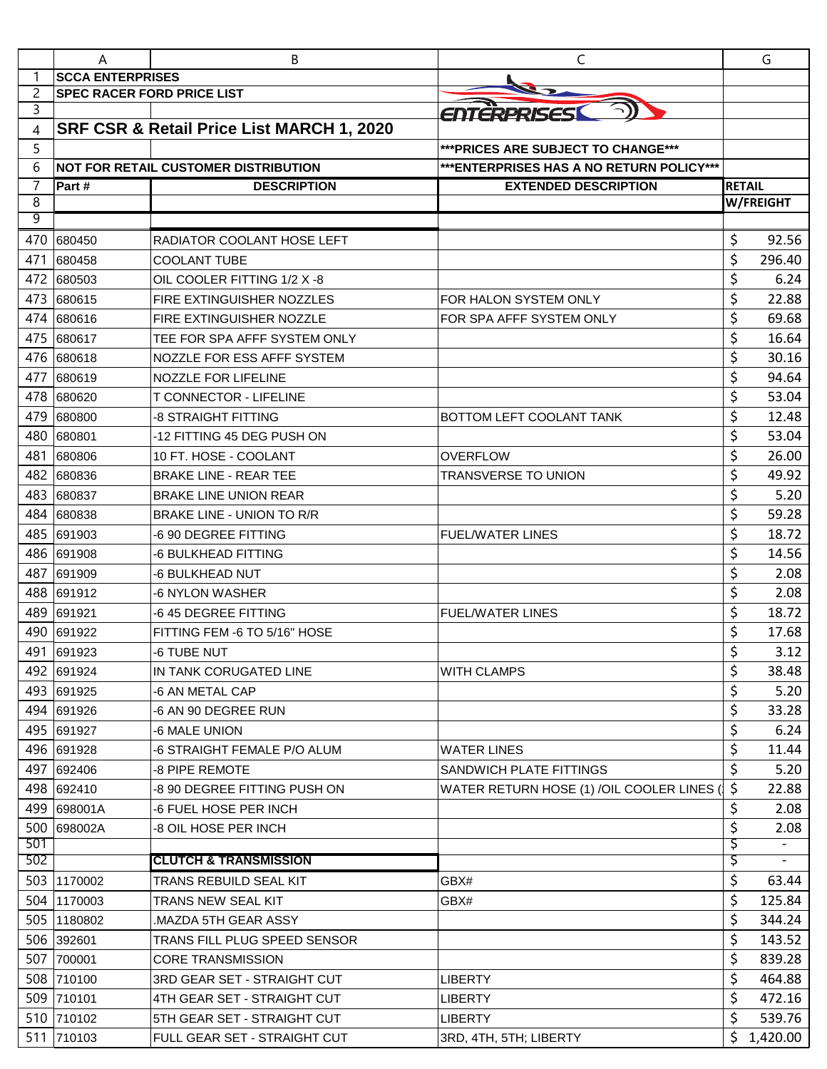|        | A                                 | B                                           | C                                         |               | G         |
|--------|-----------------------------------|---------------------------------------------|-------------------------------------------|---------------|-----------|
| 1      | <b>SCCA ENTERPRISES</b>           |                                             |                                           |               |           |
| 2      | <b>SPEC RACER FORD PRICE LIST</b> |                                             |                                           |               |           |
| 3      |                                   |                                             | ENTERPRISES                               |               |           |
| 4      |                                   | SRF CSR & Retail Price List MARCH 1, 2020   |                                           |               |           |
| 5      |                                   |                                             | *** PRICES ARE SUBJECT TO CHANGE***       |               |           |
| 6      |                                   | <b>NOT FOR RETAIL CUSTOMER DISTRIBUTION</b> | *** ENTERPRISES HAS A NO RETURN POLICY*** |               |           |
| 7      | Part #                            | <b>DESCRIPTION</b>                          | <b>EXTENDED DESCRIPTION</b>               | <b>RETAIL</b> |           |
| 8<br>9 |                                   |                                             |                                           |               | W/FREIGHT |
|        | 680450                            |                                             |                                           |               |           |
| 470    |                                   | RADIATOR COOLANT HOSE LEFT                  |                                           | \$            | 92.56     |
| 471    | 680458                            | <b>COOLANT TUBE</b>                         |                                           | \$            | 296.40    |
| 472    | 680503                            | OIL COOLER FITTING 1/2 X-8                  |                                           | \$            | 6.24      |
| 473    | 680615                            | FIRE EXTINGUISHER NOZZLES                   | FOR HALON SYSTEM ONLY                     | \$            | 22.88     |
| 474    | 680616                            | FIRE EXTINGUISHER NOZZLE                    | FOR SPA AFFF SYSTEM ONLY                  | \$            | 69.68     |
| 475    | 680617                            | TEE FOR SPA AFFF SYSTEM ONLY                |                                           | \$            | 16.64     |
| 476    | 680618                            | NOZZLE FOR ESS AFFF SYSTEM                  |                                           | \$            | 30.16     |
| 477    | 680619                            | NOZZLE FOR LIFELINE                         |                                           | \$            | 94.64     |
| 478    | 680620                            | <b>T CONNECTOR - LIFELINE</b>               |                                           | \$            | 53.04     |
| 479    | 680800                            | -8 STRAIGHT FITTING                         | BOTTOM LEFT COOLANT TANK                  | \$            | 12.48     |
| 480    | 680801                            | -12 FITTING 45 DEG PUSH ON                  |                                           | \$            | 53.04     |
| 481    | 680806                            | 10 FT. HOSE - COOLANT                       | <b>OVERFLOW</b>                           | \$            | 26.00     |
| 482    | 680836                            | <b>BRAKE LINE - REAR TEE</b>                | <b>TRANSVERSE TO UNION</b>                | \$            | 49.92     |
| 483    | 680837                            | <b>BRAKE LINE UNION REAR</b>                |                                           | \$            | 5.20      |
| 484    | 680838                            | <b>BRAKE LINE - UNION TO R/R</b>            |                                           | \$            | 59.28     |
| 485    | 691903                            | -6 90 DEGREE FITTING                        | <b>FUEL/WATER LINES</b>                   | \$            | 18.72     |
| 486    | 691908                            | -6 BULKHEAD FITTING                         |                                           | \$            | 14.56     |
| 487    | 691909                            | -6 BULKHEAD NUT                             |                                           | \$            | 2.08      |
| 488    | 691912                            | <b>6 NYLON WASHER</b>                       |                                           | \$            | 2.08      |
| 489    | 691921                            | -6 45 DEGREE FITTING                        | <b>FUEL/WATER LINES</b>                   | \$            | 18.72     |
| 490    | 691922                            | FITTING FEM -6 TO 5/16" HOSE                |                                           | \$            | 17.68     |
| 491    | 691923                            | -6 TUBE NUT                                 |                                           | ς             | 3.12      |
|        | 492 691924                        | IN TANK CORUGATED LINE                      | <b>WITH CLAMPS</b>                        | \$            | 38.48     |
|        | 493 691925                        | -6 AN METAL CAP                             |                                           | \$            | 5.20      |
|        | 494 691926                        | -6 AN 90 DEGREE RUN                         |                                           | \$            | 33.28     |
|        | 495 691927                        | -6 MALE UNION                               |                                           | \$            | 6.24      |
|        | 496 691928                        | -6 STRAIGHT FEMALE P/O ALUM                 | <b>WATER LINES</b>                        | \$            | 11.44     |
|        | 497 692406                        | -8 PIPE REMOTE                              | SANDWICH PLATE FITTINGS                   | \$            | 5.20      |
|        | 498 692410                        | -8 90 DEGREE FITTING PUSH ON                | WATER RETURN HOSE (1) /OIL COOLER LINES ( | \$            | 22.88     |
|        | 499 698001A                       | -6 FUEL HOSE PER INCH                       |                                           | \$            | 2.08      |
|        | 500 698002A                       | -8 OIL HOSE PER INCH                        |                                           | \$            | 2.08      |
| 501    |                                   |                                             |                                           | \$            |           |
| 502    |                                   | <b>CLUTCH &amp; TRANSMISSION</b>            |                                           | Ş             |           |
|        | 503 1170002                       | TRANS REBUILD SEAL KIT                      | GBX#                                      | \$            | 63.44     |
|        | 504 1170003                       | TRANS NEW SEAL KIT                          | GBX#                                      | \$            | 125.84    |
|        | 505 1180802                       | MAZDA 5TH GEAR ASSY.                        |                                           | \$            | 344.24    |
|        | 506 392601                        | TRANS FILL PLUG SPEED SENSOR                |                                           | \$            | 143.52    |
|        | 507 700001                        | <b>CORE TRANSMISSION</b>                    |                                           | \$            | 839.28    |
|        | 508 710100                        | 3RD GEAR SET - STRAIGHT CUT                 | <b>LIBERTY</b>                            | \$            | 464.88    |
|        | 509 710101                        | 4TH GEAR SET - STRAIGHT CUT                 | <b>LIBERTY</b>                            | \$            | 472.16    |
|        | 510 710102                        | 5TH GEAR SET - STRAIGHT CUT                 | <b>LIBERTY</b>                            | \$            | 539.76    |
|        | 511 710103                        | FULL GEAR SET - STRAIGHT CUT                | 3RD, 4TH, 5TH; LIBERTY                    | \$            | 1,420.00  |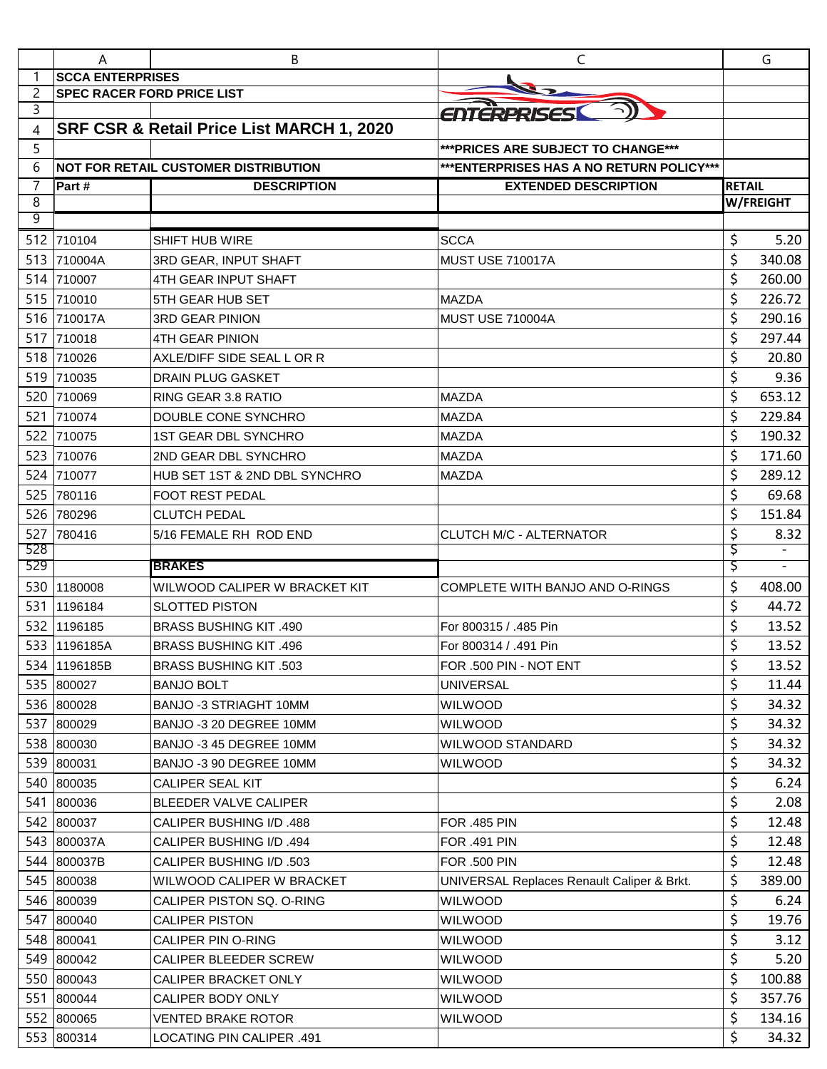|            | A                                 | В                                             | $\mathsf{C}$                               |               | G                |
|------------|-----------------------------------|-----------------------------------------------|--------------------------------------------|---------------|------------------|
|            | <b>SCCA ENTERPRISES</b>           |                                               |                                            |               |                  |
| 2          | <b>SPEC RACER FORD PRICE LIST</b> |                                               |                                            |               |                  |
| 3          |                                   |                                               | ENTERPRISES                                |               |                  |
| 4          |                                   | SRF CSR & Retail Price List MARCH 1, 2020     |                                            |               |                  |
| 5          |                                   |                                               | *** PRICES ARE SUBJECT TO CHANGE***        |               |                  |
| 6          |                                   | <b>NOT FOR RETAIL CUSTOMER DISTRIBUTION</b>   | *** ENTERPRISES HAS A NO RETURN POLICY***  |               |                  |
| 7          | Part#                             | <b>DESCRIPTION</b>                            | <b>EXTENDED DESCRIPTION</b>                | <b>RETAIL</b> |                  |
| 8<br>9     |                                   |                                               |                                            |               | <b>W/FREIGHT</b> |
|            | 512 710104                        | <b>SHIFT HUB WIRE</b>                         | <b>SCCA</b>                                | \$            | 5.20             |
| 513        | 710004A                           |                                               | MUST USE 710017A                           | \$            | 340.08           |
| 514        | 710007                            | 3RD GEAR, INPUT SHAFT<br>4TH GEAR INPUT SHAFT |                                            | \$            | 260.00           |
|            | 515 710010                        | <b>5TH GEAR HUB SET</b>                       | <b>MAZDA</b>                               | \$            | 226.72           |
|            |                                   |                                               |                                            |               | 290.16           |
| 517        | 516 710017A                       | <b>3RD GEAR PINION</b>                        | <b>MUST USE 710004A</b>                    | \$            | 297.44           |
|            | 710018<br>710026                  | <b>4TH GEAR PINION</b>                        |                                            | \$            |                  |
| 518        |                                   | AXLE/DIFF SIDE SEAL L OR R                    |                                            | \$            | 20.80            |
| 519        | 710035                            | <b>DRAIN PLUG GASKET</b>                      |                                            | \$            | 9.36             |
| 520        | 710069                            | RING GEAR 3.8 RATIO                           | <b>MAZDA</b>                               | \$            | 653.12           |
| 521        | 710074                            | DOUBLE CONE SYNCHRO                           | <b>MAZDA</b>                               | \$            | 229.84           |
| 522        | 710075                            | 1ST GEAR DBL SYNCHRO                          | <b>MAZDA</b>                               | \$            | 190.32           |
| 523        | 710076                            | 2ND GEAR DBL SYNCHRO                          | MAZDA                                      | \$            | 171.60           |
| 524        | 710077                            | HUB SET 1ST & 2ND DBL SYNCHRO                 | MAZDA                                      | \$            | 289.12           |
| 525        | 780116                            | <b>FOOT REST PEDAL</b>                        |                                            | \$            | 69.68            |
| 526        | 780296                            | <b>CLUTCH PEDAL</b>                           |                                            | \$            | 151.84           |
| 527<br>528 | 780416                            | 5/16 FEMALE RH ROD END                        | CLUTCH M/C - ALTERNATOR                    | \$<br>\$      | 8.32             |
| 529        |                                   | <b>BRAKES</b>                                 |                                            | Ş             |                  |
| 530        | 1180008                           | WILWOOD CALIPER W BRACKET KIT                 | COMPLETE WITH BANJO AND O-RINGS            | \$            | 408.00           |
| 531        | 1196184                           | <b>SLOTTED PISTON</b>                         |                                            | \$            | 44.72            |
| 532        | 1196185                           | <b>BRASS BUSHING KIT .490</b>                 | For 800315 / .485 Pin                      | \$            | 13.52            |
|            | 533 1196185A                      | <b>BRASS BUSHING KIT .496</b>                 | For 800314 / .491 Pin                      | \$            | 13.52            |
|            | 534 1196185B                      | <b>BRASS BUSHING KIT .503</b>                 | FOR .500 PIN - NOT ENT                     | \$            | 13.52            |
|            | 535 800027                        | <b>BANJO BOLT</b>                             | <b>UNIVERSAL</b>                           | \$            | 11.44            |
|            | 536 800028                        | BANJO -3 STRIAGHT 10MM                        | <b>WILWOOD</b>                             | \$            | 34.32            |
|            | 537 800029                        | BANJO -3 20 DEGREE 10MM                       | <b>WILWOOD</b>                             | \$            | 34.32            |
|            | 538 800030                        | BANJO -3 45 DEGREE 10MM                       | WILWOOD STANDARD                           | \$            | 34.32            |
|            | 539 800031                        | BANJO -3 90 DEGREE 10MM                       | WILWOOD                                    | \$            | 34.32            |
|            | 540 800035                        | CALIPER SEAL KIT                              |                                            | \$            | 6.24             |
|            | 541 800036                        | <b>BLEEDER VALVE CALIPER</b>                  |                                            | \$            | 2.08             |
|            | 542 800037                        | CALIPER BUSHING I/D .488                      | <b>FOR .485 PIN</b>                        | \$            | 12.48            |
|            | 543 800037A                       | CALIPER BUSHING I/D .494                      | <b>FOR .491 PIN</b>                        | \$            | 12.48            |
|            | 544 800037B                       | CALIPER BUSHING I/D .503                      | <b>FOR .500 PIN</b>                        | \$            | 12.48            |
|            | 545 800038                        | WILWOOD CALIPER W BRACKET                     | UNIVERSAL Replaces Renault Caliper & Brkt. | \$            | 389.00           |
|            | 546 800039                        | CALIPER PISTON SQ. O-RING                     | WILWOOD                                    | \$            | 6.24             |
|            | 547 800040                        | <b>CALIPER PISTON</b>                         | <b>WILWOOD</b>                             | \$            | 19.76            |
|            | 548 800041                        | <b>CALIPER PIN O-RING</b>                     | <b>WILWOOD</b>                             | \$            | 3.12             |
|            | 549 800042                        | CALIPER BLEEDER SCREW                         | <b>WILWOOD</b>                             | \$            | 5.20             |
|            | 550 800043                        | CALIPER BRACKET ONLY                          | <b>WILWOOD</b>                             | \$            | 100.88           |
|            | 551 800044                        | CALIPER BODY ONLY                             | <b>WILWOOD</b>                             | \$            | 357.76           |
|            | 552 800065                        | VENTED BRAKE ROTOR                            | <b>WILWOOD</b>                             | \$            | 134.16           |
|            | 553 800314                        | LOCATING PIN CALIPER .491                     |                                            | \$            | 34.32            |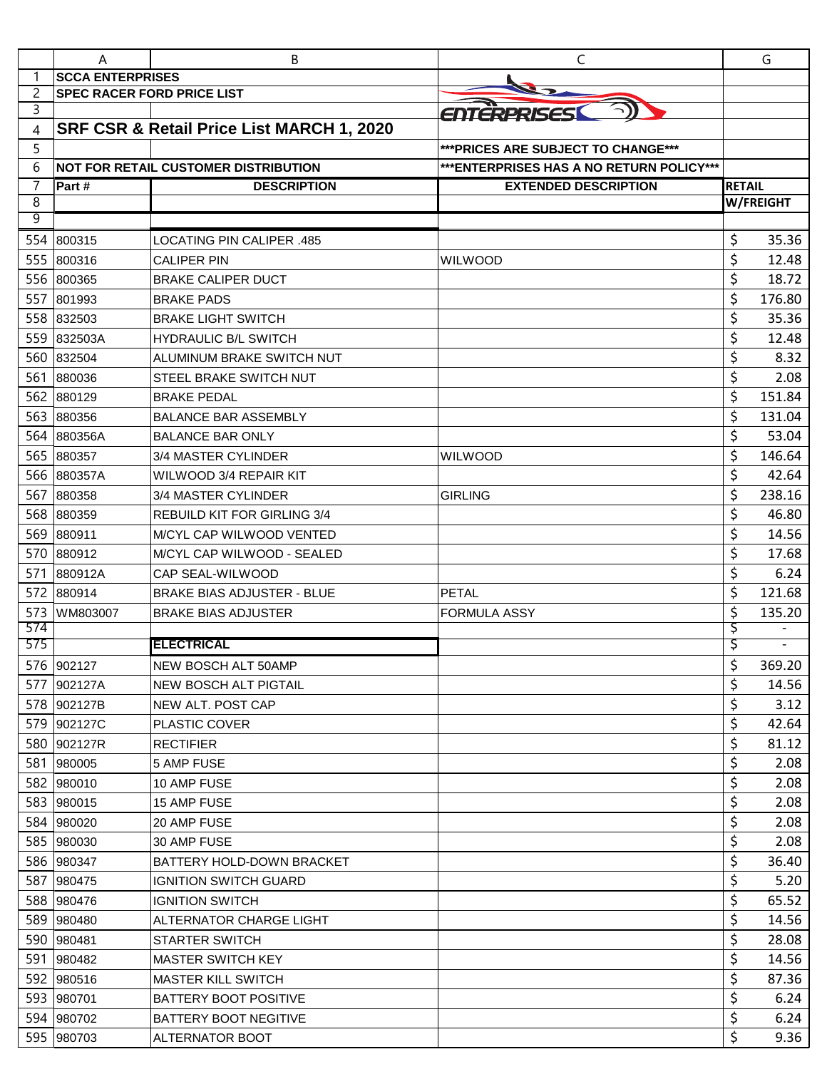|     | A                                 | В                                           | C                                        |               | G                        |
|-----|-----------------------------------|---------------------------------------------|------------------------------------------|---------------|--------------------------|
|     | <b>SCCA ENTERPRISES</b>           |                                             |                                          |               |                          |
| 2   | <b>SPEC RACER FORD PRICE LIST</b> |                                             |                                          |               |                          |
| 3   |                                   |                                             | ENTERPRISES                              |               |                          |
| 4   |                                   | SRF CSR & Retail Price List MARCH 1, 2020   |                                          |               |                          |
| 5   |                                   |                                             | *** PRICES ARE SUBJECT TO CHANGE***      |               |                          |
| 6   |                                   | <b>NOT FOR RETAIL CUSTOMER DISTRIBUTION</b> | ***ENTERPRISES HAS A NO RETURN POLICY*** |               |                          |
| 7   | Part#                             | <b>DESCRIPTION</b>                          | <b>EXTENDED DESCRIPTION</b>              | <b>RETAIL</b> |                          |
| 8   |                                   |                                             |                                          |               | <b>W/FREIGHT</b>         |
| 9   |                                   |                                             |                                          |               |                          |
| 554 | 800315                            | <b>LOCATING PIN CALIPER .485</b>            |                                          | \$            | 35.36                    |
| 555 | 800316                            | <b>CALIPER PIN</b>                          | <b>WILWOOD</b>                           | \$            | 12.48                    |
| 556 | 800365                            | <b>BRAKE CALIPER DUCT</b>                   |                                          | \$            | 18.72                    |
| 557 | 801993                            | <b>BRAKE PADS</b>                           |                                          | \$            | 176.80                   |
| 558 | 832503                            | <b>BRAKE LIGHT SWITCH</b>                   |                                          | \$            | 35.36                    |
| 559 | 832503A                           | <b>HYDRAULIC B/L SWITCH</b>                 |                                          | \$            | 12.48                    |
| 560 | 832504                            | ALUMINUM BRAKE SWITCH NUT                   |                                          | \$            | 8.32                     |
| 561 | 880036                            | <b>STEEL BRAKE SWITCH NUT</b>               |                                          | \$            | 2.08                     |
| 562 | 880129                            | <b>BRAKE PEDAL</b>                          |                                          | \$            | 151.84                   |
| 563 | 880356                            | <b>BALANCE BAR ASSEMBLY</b>                 |                                          | \$            | 131.04                   |
| 564 | 880356A                           | <b>BALANCE BAR ONLY</b>                     |                                          | \$            | 53.04                    |
| 565 | 880357                            | 3/4 MASTER CYLINDER                         | <b>WILWOOD</b>                           | \$            | 146.64                   |
| 566 | 880357A                           | WILWOOD 3/4 REPAIR KIT                      |                                          | \$            | 42.64                    |
| 567 | 880358                            | 3/4 MASTER CYLINDER                         | <b>GIRLING</b>                           | \$            | 238.16                   |
| 568 | 880359                            | <b>REBUILD KIT FOR GIRLING 3/4</b>          |                                          | \$            | 46.80                    |
| 569 | 880911                            | <b>M/CYL CAP WILWOOD VENTED</b>             |                                          | \$            | 14.56                    |
| 570 | 880912                            | M/CYL CAP WILWOOD - SEALED                  |                                          | \$            | 17.68                    |
| 571 | 880912A                           | CAP SEAL-WILWOOD                            |                                          | \$            | 6.24                     |
| 572 | 880914                            | <b>BRAKE BIAS ADJUSTER - BLUE</b>           | <b>PETAL</b>                             | \$            | 121.68                   |
| 573 | WM803007                          | <b>BRAKE BIAS ADJUSTER</b>                  | <b>FORMULA ASSY</b>                      | \$            | 135.20                   |
| 574 |                                   |                                             |                                          | \$            |                          |
| 575 |                                   | <b>ELECTRICAL</b>                           |                                          | Ş             | $\overline{\phantom{a}}$ |
|     | 576 902127                        | NEW BOSCH ALT 50AMP                         |                                          | \$            | 369.20                   |
|     | 577 902127A                       | <b>NEW BOSCH ALT PIGTAIL</b>                |                                          | \$            | 14.56                    |
|     | 578 902127B                       | NEW ALT. POST CAP                           |                                          | \$            | 3.12                     |
|     | 579 902127C                       | PLASTIC COVER                               |                                          | \$            | 42.64                    |
|     | 580 902127R                       | <b>RECTIFIER</b>                            |                                          | \$            | 81.12                    |
|     | 581 980005                        | 5 AMP FUSE                                  |                                          | \$            | 2.08                     |
|     | 582 980010                        | 10 AMP FUSE                                 |                                          | \$            | 2.08                     |
|     | 583 980015                        | 15 AMP FUSE                                 |                                          | \$            | 2.08                     |
|     | 584 980020                        | 20 AMP FUSE                                 |                                          | \$            | 2.08                     |
|     | 585 980030                        | 30 AMP FUSE                                 |                                          | \$            | 2.08                     |
|     | 586 980347                        | <b>BATTERY HOLD-DOWN BRACKET</b>            |                                          | \$            | 36.40                    |
|     | 587 980475                        | <b>IGNITION SWITCH GUARD</b>                |                                          | \$            | 5.20                     |
|     | 588 980476                        | <b>IGNITION SWITCH</b>                      |                                          | \$            | 65.52                    |
|     | 589 980480                        | ALTERNATOR CHARGE LIGHT                     |                                          | \$            | 14.56                    |
|     | 590 980481                        | <b>STARTER SWITCH</b>                       |                                          | \$            | 28.08                    |
|     | 591 980482                        | <b>MASTER SWITCH KEY</b>                    |                                          | \$            | 14.56                    |
|     | 592 980516                        | <b>MASTER KILL SWITCH</b>                   |                                          | \$            | 87.36                    |
|     | 593 980701                        | <b>BATTERY BOOT POSITIVE</b>                |                                          | \$            | 6.24                     |
|     | 594 980702                        | <b>BATTERY BOOT NEGITIVE</b>                |                                          | \$            | 6.24                     |
|     | 595 980703                        | <b>ALTERNATOR BOOT</b>                      |                                          | \$            | 9.36                     |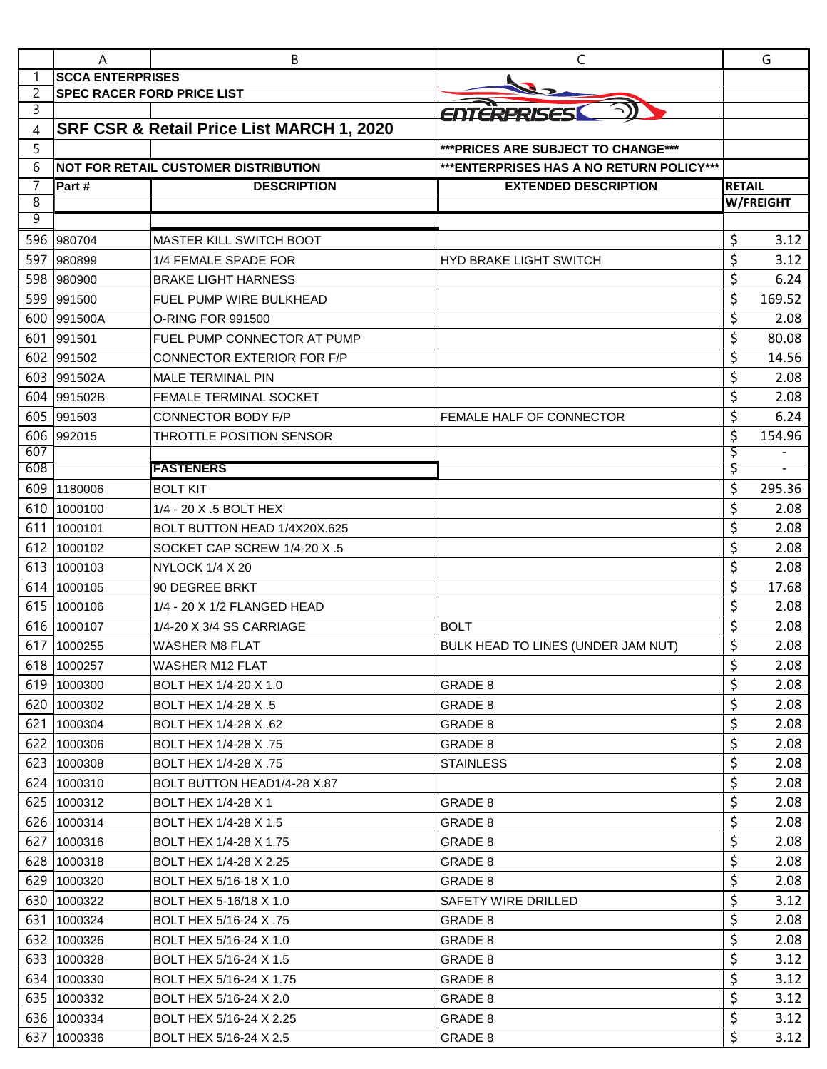|            | A                                 | В                                           | C                                         |               | G                        |
|------------|-----------------------------------|---------------------------------------------|-------------------------------------------|---------------|--------------------------|
|            | <b>SCCA ENTERPRISES</b>           |                                             |                                           |               |                          |
| 2          | <b>SPEC RACER FORD PRICE LIST</b> |                                             |                                           |               |                          |
| 3          |                                   |                                             | <b>ENTERPRISES</b>                        |               |                          |
| 4          |                                   | SRF CSR & Retail Price List MARCH 1, 2020   |                                           |               |                          |
| 5          |                                   |                                             | *** PRICES ARE SUBJECT TO CHANGE***       |               |                          |
| 6          |                                   | <b>NOT FOR RETAIL CUSTOMER DISTRIBUTION</b> | *** ENTERPRISES HAS A NO RETURN POLICY*** |               |                          |
| 7          | Part#                             | <b>DESCRIPTION</b>                          | <b>EXTENDED DESCRIPTION</b>               | <b>RETAIL</b> |                          |
| 8<br>9     |                                   |                                             |                                           |               | <b>W/FREIGHT</b>         |
| 596        | 980704                            | <b>MASTER KILL SWITCH BOOT</b>              |                                           | \$            | 3.12                     |
| 597        | 980899                            | 1/4 FEMALE SPADE FOR                        |                                           | \$            | 3.12                     |
| 598        | 980900                            | <b>BRAKE LIGHT HARNESS</b>                  | <b>HYD BRAKE LIGHT SWITCH</b>             | \$            | 6.24                     |
| 599        |                                   |                                             |                                           | \$            | 169.52                   |
|            | 991500                            | FUEL PUMP WIRE BULKHEAD                     |                                           |               |                          |
| 600<br>601 | 991500A                           | <b>O-RING FOR 991500</b>                    |                                           | \$            | 2.08<br>80.08            |
|            | 991501                            | FUEL PUMP CONNECTOR AT PUMP                 |                                           | \$<br>\$      |                          |
| 602        | 991502                            | <b>CONNECTOR EXTERIOR FOR F/P</b>           |                                           |               | 14.56                    |
| 603        | 991502A                           | <b>MALE TERMINAL PIN</b>                    |                                           | \$            | 2.08                     |
| 604        | 991502B                           | FEMALE TERMINAL SOCKET                      |                                           | \$            | 2.08                     |
| 605        | 991503                            | CONNECTOR BODY F/P                          | FEMALE HALF OF CONNECTOR                  | \$            | 6.24                     |
| 606<br>607 | 992015                            | THROTTLE POSITION SENSOR                    |                                           | \$<br>Ş       | 154.96                   |
| 608        |                                   | <b>FASTENERS</b>                            |                                           | Ş             | $\overline{\phantom{a}}$ |
| 609        | 1180006                           | <b>BOLT KIT</b>                             |                                           | \$            | 295.36                   |
| 610        | 1000100                           | 1/4 - 20 X .5 BOLT HEX                      |                                           | \$            | 2.08                     |
| 611        | 1000101                           | BOLT BUTTON HEAD 1/4X20X.625                |                                           | \$            | 2.08                     |
| 612        | 1000102                           | SOCKET CAP SCREW 1/4-20 X .5                |                                           | \$            | 2.08                     |
| 613        | 1000103                           | NYLOCK 1/4 X 20                             |                                           | \$            | 2.08                     |
| 614        | 1000105                           | 90 DEGREE BRKT                              |                                           | \$            | 17.68                    |
| 615        | 1000106                           | 1/4 - 20 X 1/2 FLANGED HEAD                 |                                           | \$            | 2.08                     |
| 616        | 1000107                           | 1/4-20 X 3/4 SS CARRIAGE                    | <b>BOLT</b>                               | \$            | 2.08                     |
| 617        | 1000255                           | <b>WASHER M8 FLAT</b>                       | BULK HEAD TO LINES (UNDER JAM NUT)        | \$            | 2.08                     |
|            | 618 1000257                       | <b>WASHER M12 FLAT</b>                      |                                           | \$            | 2.08                     |
|            | 619 1000300                       | BOLT HEX 1/4-20 X 1.0                       | GRADE 8                                   | \$            | 2.08                     |
|            | 620 1000302                       | BOLT HEX 1/4-28 X .5                        | GRADE 8                                   | \$            | 2.08                     |
|            | 621 1000304                       | BOLT HEX 1/4-28 X .62                       | GRADE 8                                   | \$            | 2.08                     |
|            | 622 1000306                       | BOLT HEX 1/4-28 X .75                       | GRADE 8                                   | \$            | 2.08                     |
|            | 623 1000308                       | BOLT HEX 1/4-28 X .75                       | <b>STAINLESS</b>                          | \$            | 2.08                     |
|            | 624 1000310                       | BOLT BUTTON HEAD1/4-28 X.87                 |                                           | \$            | 2.08                     |
|            | 625 1000312                       | BOLT HEX 1/4-28 X 1                         | GRADE 8                                   | \$            | 2.08                     |
|            | 626 1000314                       | BOLT HEX 1/4-28 X 1.5                       | GRADE 8                                   | \$            | 2.08                     |
|            | 627 1000316                       | BOLT HEX 1/4-28 X 1.75                      | GRADE 8                                   | \$            | 2.08                     |
|            | 628 1000318                       | BOLT HEX 1/4-28 X 2.25                      | GRADE 8                                   | \$            | 2.08                     |
|            | 629 1000320                       | BOLT HEX 5/16-18 X 1.0                      | GRADE 8                                   | \$            | 2.08                     |
|            | 630 1000322                       | BOLT HEX 5-16/18 X 1.0                      | SAFETY WIRE DRILLED                       | \$            | 3.12                     |
| 631        | 1000324                           | BOLT HEX 5/16-24 X.75                       | GRADE 8                                   | \$            | 2.08                     |
|            | 632 1000326                       | BOLT HEX 5/16-24 X 1.0                      | GRADE 8                                   | \$            | 2.08                     |
|            | 633 1000328                       | BOLT HEX 5/16-24 X 1.5                      | GRADE 8                                   | \$            | 3.12                     |
|            | 634 1000330                       | BOLT HEX 5/16-24 X 1.75                     | GRADE 8                                   | \$            | 3.12                     |
|            | 635 1000332                       | BOLT HEX 5/16-24 X 2.0                      | GRADE 8                                   | \$            | 3.12                     |
|            | 636 1000334                       | BOLT HEX 5/16-24 X 2.25                     | GRADE 8                                   | \$            | 3.12                     |
|            | 637 1000336                       | BOLT HEX 5/16-24 X 2.5                      | GRADE 8                                   | \$            | 3.12                     |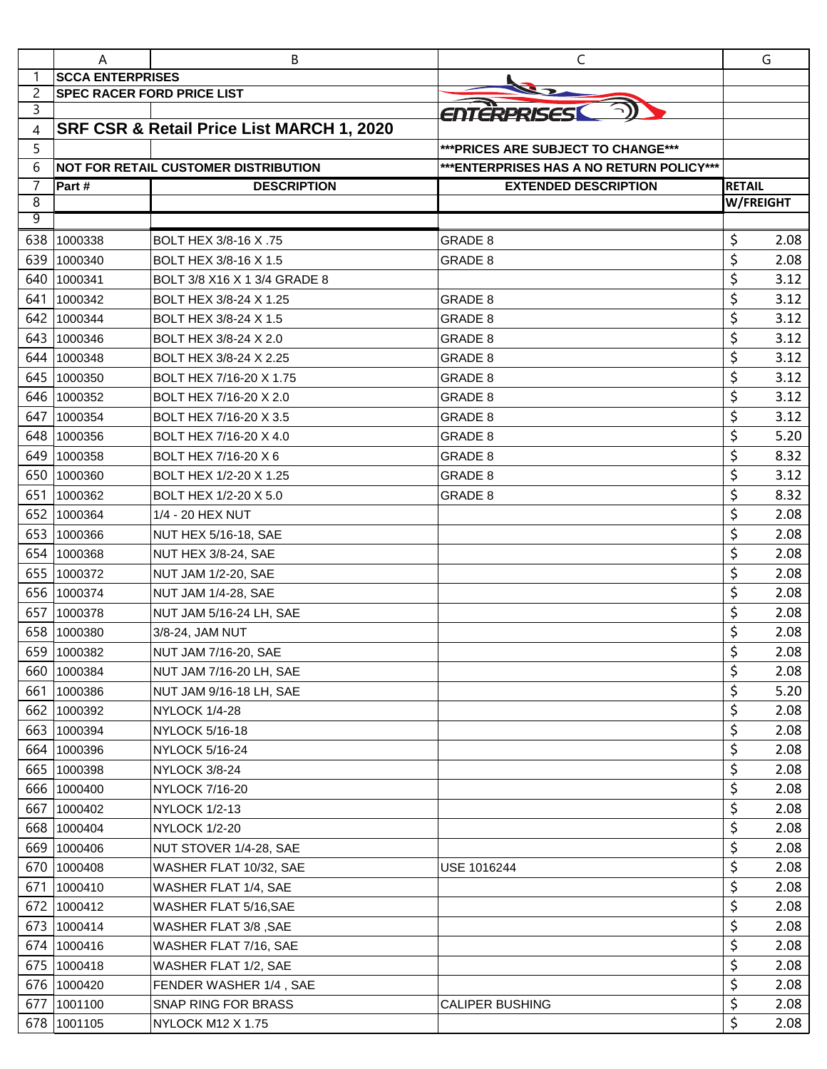|                | Α                                 | B                                         | C                                         | G                                 |      |
|----------------|-----------------------------------|-------------------------------------------|-------------------------------------------|-----------------------------------|------|
| 1              | <b>SCCA ENTERPRISES</b>           |                                           |                                           |                                   |      |
| $\overline{c}$ | <b>SPEC RACER FORD PRICE LIST</b> |                                           |                                           |                                   |      |
| 3              |                                   |                                           | ENTERPRISES                               |                                   |      |
| 4              |                                   | SRF CSR & Retail Price List MARCH 1, 2020 |                                           |                                   |      |
| 5              |                                   |                                           | *** PRICES ARE SUBJECT TO CHANGE***       |                                   |      |
| 6              |                                   | NOT FOR RETAIL CUSTOMER DISTRIBUTION      | *** ENTERPRISES HAS A NO RETURN POLICY*** |                                   |      |
| 7<br>8         | Part#                             | <b>DESCRIPTION</b>                        | <b>EXTENDED DESCRIPTION</b>               | <b>RETAIL</b><br><b>W/FREIGHT</b> |      |
| 9              |                                   |                                           |                                           |                                   |      |
| 638            | 1000338                           | BOLT HEX 3/8-16 X .75                     | GRADE 8                                   | \$                                | 2.08 |
| 639            | 1000340                           | BOLT HEX 3/8-16 X 1.5                     | GRADE 8                                   | \$                                | 2.08 |
| 640            | 1000341                           | BOLT 3/8 X16 X 1 3/4 GRADE 8              |                                           | \$                                | 3.12 |
| 641            | 1000342                           | BOLT HEX 3/8-24 X 1.25                    | GRADE 8                                   | \$                                | 3.12 |
| 642            | 1000344                           | BOLT HEX 3/8-24 X 1.5                     | <b>GRADE 8</b>                            | \$                                | 3.12 |
| 643            | 1000346                           | BOLT HEX 3/8-24 X 2.0                     | GRADE 8                                   | \$                                | 3.12 |
| 644            | 1000348                           | BOLT HEX 3/8-24 X 2.25                    | GRADE 8                                   | \$                                | 3.12 |
| 645            | 1000350                           | BOLT HEX 7/16-20 X 1.75                   | GRADE 8                                   | \$                                | 3.12 |
| 646            | 1000352                           | BOLT HEX 7/16-20 X 2.0                    | GRADE 8                                   | \$                                | 3.12 |
| 647            | 1000354                           | BOLT HEX 7/16-20 X 3.5                    | GRADE 8                                   | \$                                | 3.12 |
| 648            | 1000356                           | BOLT HEX 7/16-20 X 4.0                    | GRADE 8                                   | \$                                | 5.20 |
| 649            | 1000358                           | BOLT HEX 7/16-20 X 6                      | GRADE 8                                   | \$                                | 8.32 |
| 650            | 1000360                           | BOLT HEX 1/2-20 X 1.25                    | GRADE 8                                   | \$                                | 3.12 |
| 651            | 1000362                           | BOLT HEX 1/2-20 X 5.0                     | GRADE 8                                   | \$                                | 8.32 |
| 652            | 1000364                           | 1/4 - 20 HEX NUT                          |                                           | \$                                | 2.08 |
| 653            | 1000366                           | NUT HEX 5/16-18, SAE                      |                                           | \$                                | 2.08 |
| 654            | 1000368                           | NUT HEX 3/8-24, SAE                       |                                           | \$                                | 2.08 |
| 655            | 1000372                           | NUT JAM 1/2-20, SAE                       |                                           | \$                                | 2.08 |
| 656            | 1000374                           | <b>NUT JAM 1/4-28, SAE</b>                |                                           | \$                                | 2.08 |
| 657            | 1000378                           | NUT JAM 5/16-24 LH, SAE                   |                                           | \$                                | 2.08 |
| 658            | 1000380                           | 3/8-24, JAM NUT                           |                                           | \$                                | 2.08 |
|                | 659 1000382                       | NUT JAM 7/16-20, SAE                      |                                           | Ś                                 | 2.08 |
| 660            | 1000384                           | NUT JAM 7/16-20 LH, SAE                   |                                           | \$                                | 2.08 |
| 661            | 1000386                           | NUT JAM 9/16-18 LH, SAE                   |                                           | \$                                | 5.20 |
| 662            | 1000392                           | NYLOCK 1/4-28                             |                                           | \$                                | 2.08 |
| 663            | 1000394                           | <b>NYLOCK 5/16-18</b>                     |                                           | \$                                | 2.08 |
| 664            | 1000396                           | NYLOCK 5/16-24                            |                                           | \$                                | 2.08 |
|                | 665 1000398                       | NYLOCK 3/8-24                             |                                           | \$                                | 2.08 |
|                | 666 1000400                       | NYLOCK 7/16-20                            |                                           | \$                                | 2.08 |
| 667            | 1000402                           | NYLOCK 1/2-13                             |                                           | \$                                | 2.08 |
|                | 668 1000404                       | <b>NYLOCK 1/2-20</b>                      |                                           | \$                                | 2.08 |
| 669            | 1000406                           | NUT STOVER 1/4-28, SAE                    |                                           | \$                                | 2.08 |
| 670            | 1000408                           | WASHER FLAT 10/32, SAE                    | USE 1016244                               | \$                                | 2.08 |
| 671            | 1000410                           | WASHER FLAT 1/4, SAE                      |                                           | \$                                | 2.08 |
| 672            | 1000412                           | WASHER FLAT 5/16, SAE                     |                                           | \$                                | 2.08 |
|                | 673 1000414                       | WASHER FLAT 3/8, SAE                      |                                           | \$                                | 2.08 |
| 674            | 1000416                           | WASHER FLAT 7/16, SAE                     |                                           | \$                                | 2.08 |
| 675            | 1000418                           | WASHER FLAT 1/2, SAE                      |                                           | \$                                | 2.08 |
| 676            | 1000420                           | FENDER WASHER 1/4, SAE                    |                                           | \$                                | 2.08 |
| 677            | 1001100                           | <b>SNAP RING FOR BRASS</b>                | CALIPER BUSHING                           | \$                                | 2.08 |
| 678            | 1001105                           | NYLOCK M12 X 1.75                         |                                           | \$                                | 2.08 |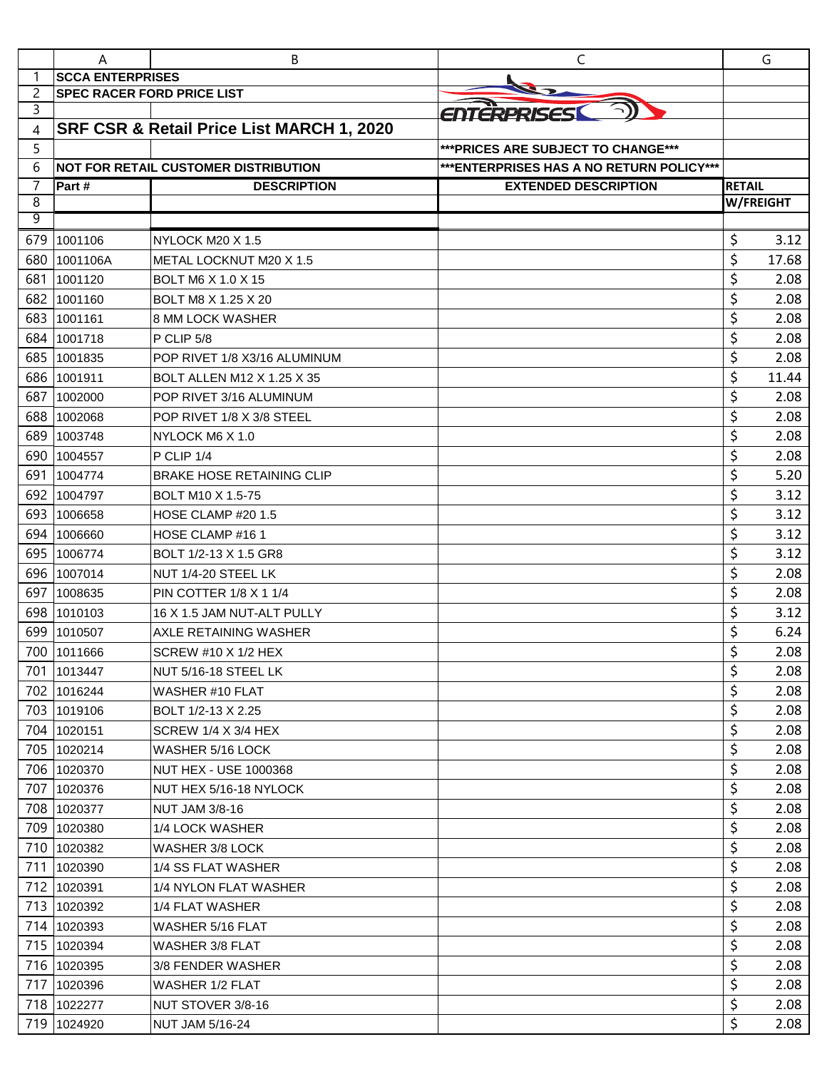|        | A                                 | В                                            | C                                         |                  | G     |
|--------|-----------------------------------|----------------------------------------------|-------------------------------------------|------------------|-------|
| -1     | <b>SCCA ENTERPRISES</b>           |                                              |                                           |                  |       |
| 2      | <b>SPEC RACER FORD PRICE LIST</b> |                                              |                                           |                  |       |
| 3      |                                   |                                              | ENTERPRISESI                              |                  |       |
| 4      |                                   | SRF CSR & Retail Price List MARCH 1, 2020    |                                           |                  |       |
| 5      |                                   |                                              | *** PRICES ARE SUBJECT TO CHANGE***       |                  |       |
| 6      |                                   | <b>INOT FOR RETAIL CUSTOMER DISTRIBUTION</b> | *** ENTERPRISES HAS A NO RETURN POLICY*** |                  |       |
| 7      | Part #                            | <b>DESCRIPTION</b>                           | <b>EXTENDED DESCRIPTION</b>               | <b>RETAIL</b>    |       |
| 8<br>9 |                                   |                                              |                                           | <b>W/FREIGHT</b> |       |
|        |                                   |                                              |                                           |                  |       |
| 679    | 1001106                           | NYLOCK M20 X 1.5                             |                                           | \$               | 3.12  |
| 680    | 1001106A                          | METAL LOCKNUT M20 X 1.5                      |                                           | \$               | 17.68 |
| 681    | 1001120                           | <b>BOLT M6 X 1.0 X 15</b>                    |                                           | \$               | 2.08  |
| 682    | 1001160                           | BOLT M8 X 1.25 X 20                          |                                           | \$               | 2.08  |
| 683    | 1001161                           | <b>8 MM LOCK WASHER</b>                      |                                           | \$               | 2.08  |
| 684    | 1001718                           | P CLIP 5/8                                   |                                           | \$               | 2.08  |
| 685    | 1001835                           | POP RIVET 1/8 X3/16 ALUMINUM                 |                                           | \$               | 2.08  |
| 686    | 1001911                           | <b>BOLT ALLEN M12 X 1.25 X 35</b>            |                                           | \$               | 11.44 |
| 687    | 1002000                           | POP RIVET 3/16 ALUMINUM                      |                                           | \$               | 2.08  |
| 688    | 1002068                           | POP RIVET 1/8 X 3/8 STEEL                    |                                           | \$               | 2.08  |
| 689    | 1003748                           | NYLOCK M6 X 1.0                              |                                           | \$               | 2.08  |
| 690    | 1004557                           | P CLIP 1/4                                   |                                           | \$               | 2.08  |
| 691    | 1004774                           | <b>BRAKE HOSE RETAINING CLIP</b>             |                                           | \$               | 5.20  |
| 692    | 1004797                           | <b>BOLT M10 X 1.5-75</b>                     |                                           | \$               | 3.12  |
| 693    | 1006658                           | HOSE CLAMP #20 1.5                           |                                           | \$               | 3.12  |
| 694    | 1006660                           | HOSE CLAMP #16 1                             |                                           | \$               | 3.12  |
| 695    | 1006774                           | BOLT 1/2-13 X 1.5 GR8                        |                                           | \$               | 3.12  |
| 696    | 1007014                           | NUT 1/4-20 STEEL LK                          |                                           | \$               | 2.08  |
| 697    | 1008635                           | <b>PIN COTTER 1/8 X 1 1/4</b>                |                                           | \$               | 2.08  |
| 698    | 1010103                           | 16 X 1.5 JAM NUT-ALT PULLY                   |                                           | \$               | 3.12  |
| 699    | 1010507                           | <b>AXLE RETAINING WASHER</b>                 |                                           | \$               | 6.24  |
|        | 700 1011666                       | <b>SCREW #10 X 1/2 HEX</b>                   |                                           | Ś                | 2.08  |
|        | 701 1013447                       | NUT 5/16-18 STEEL LK                         |                                           | \$               | 2.08  |
|        | 702 1016244                       | WASHER #10 FLAT                              |                                           | \$               | 2.08  |
|        | 703 1019106                       | BOLT 1/2-13 X 2.25                           |                                           | \$               | 2.08  |
|        | 704 1020151                       | SCREW 1/4 X 3/4 HEX                          |                                           | \$               | 2.08  |
|        | 705 1020214                       | WASHER 5/16 LOCK                             |                                           | \$               | 2.08  |
|        | 706 1020370                       | <b>NUT HEX - USE 1000368</b>                 |                                           | \$               | 2.08  |
|        | 707 1020376                       | NUT HEX 5/16-18 NYLOCK                       |                                           | \$               | 2.08  |
| 708    | 1020377                           | <b>NUT JAM 3/8-16</b>                        |                                           | \$               | 2.08  |
|        | 709 1020380                       | 1/4 LOCK WASHER                              |                                           | \$               | 2.08  |
|        | 710 1020382                       | WASHER 3/8 LOCK                              |                                           | \$               | 2.08  |
|        | 711 1020390                       | 1/4 SS FLAT WASHER                           |                                           | \$               | 2.08  |
|        | 712 1020391                       | 1/4 NYLON FLAT WASHER                        |                                           | \$               | 2.08  |
|        | 713 1020392                       | 1/4 FLAT WASHER                              |                                           | \$               | 2.08  |
|        | 714 1020393                       | WASHER 5/16 FLAT                             |                                           | \$               | 2.08  |
|        | 715 1020394                       | WASHER 3/8 FLAT                              |                                           | \$               | 2.08  |
|        | 716 1020395                       | 3/8 FENDER WASHER                            |                                           | \$               | 2.08  |
| 717    | 1020396                           | <b>WASHER 1/2 FLAT</b>                       |                                           | \$               | 2.08  |
|        | 718 1022277                       | NUT STOVER 3/8-16                            |                                           | \$               | 2.08  |
|        | 719 1024920                       | <b>NUT JAM 5/16-24</b>                       |                                           | \$               | 2.08  |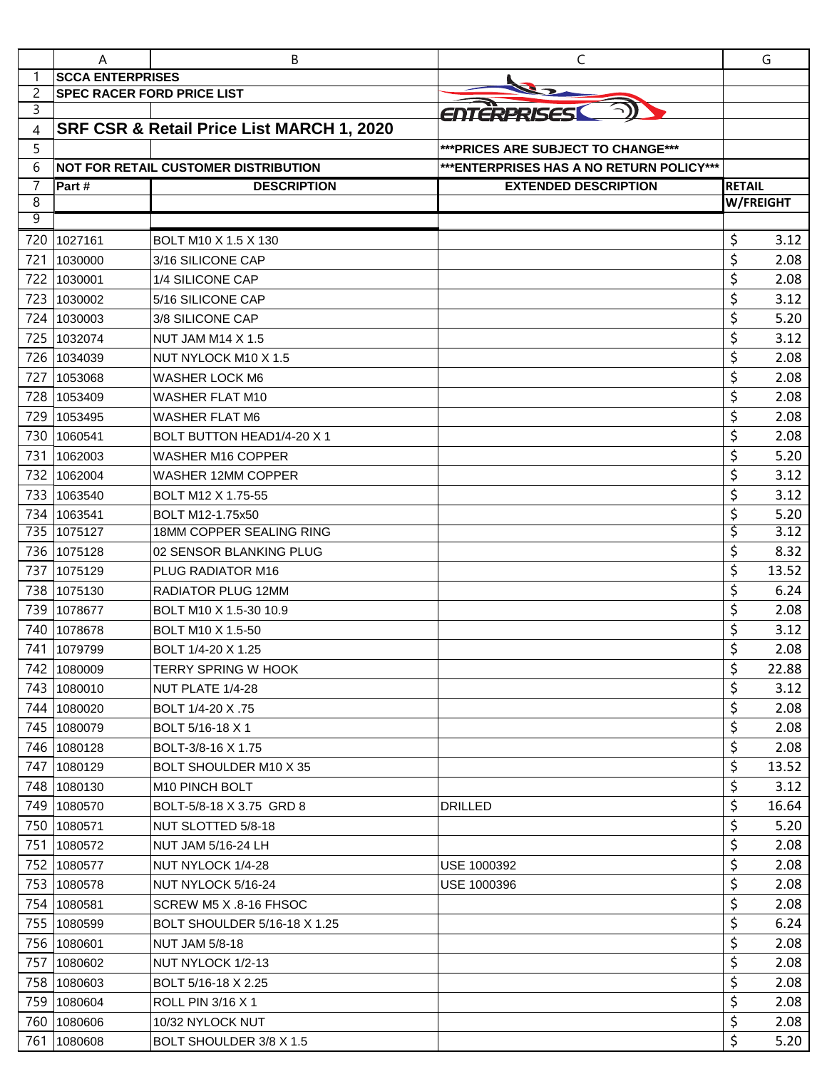|        | A                                 | В                                           | $\mathsf{C}$                             |               | G         |
|--------|-----------------------------------|---------------------------------------------|------------------------------------------|---------------|-----------|
| 1      | <b>SCCA ENTERPRISES</b>           |                                             |                                          |               |           |
| 2      | <b>SPEC RACER FORD PRICE LIST</b> |                                             |                                          |               |           |
| 3      |                                   |                                             | ENTERPRISESI                             |               |           |
| 4      |                                   | SRF CSR & Retail Price List MARCH 1, 2020   |                                          |               |           |
| 5      |                                   |                                             | *** PRICES ARE SUBJECT TO CHANGE***      |               |           |
| 6      |                                   | <b>NOT FOR RETAIL CUSTOMER DISTRIBUTION</b> | ***ENTERPRISES HAS A NO RETURN POLICY*** |               |           |
| 7      | Part #                            | <b>DESCRIPTION</b>                          | <b>EXTENDED DESCRIPTION</b>              | <b>RETAIL</b> |           |
| 8<br>9 |                                   |                                             |                                          |               | W/FREIGHT |
|        |                                   |                                             |                                          |               |           |
| 720    | 1027161                           | BOLT M10 X 1.5 X 130                        |                                          | \$            | 3.12      |
| 721    | 1030000                           | 3/16 SILICONE CAP                           |                                          | \$            | 2.08      |
| 722    | 1030001                           | 1/4 SILICONE CAP                            |                                          | \$            | 2.08      |
| 723    | 1030002                           | 5/16 SILICONE CAP                           |                                          | \$            | 3.12      |
| 724    | 1030003                           | 3/8 SILICONE CAP                            |                                          | \$            | 5.20      |
| 725    | 1032074                           | <b>NUT JAM M14 X 1.5</b>                    |                                          | \$            | 3.12      |
| 726    | 1034039                           | NUT NYLOCK M10 X 1.5                        |                                          | \$            | 2.08      |
| 727    | 1053068                           | <b>WASHER LOCK M6</b>                       |                                          | \$            | 2.08      |
| 728    | 1053409                           | <b>WASHER FLAT M10</b>                      |                                          | \$            | 2.08      |
| 729    | 1053495                           | <b>WASHER FLAT M6</b>                       |                                          | \$            | 2.08      |
| 730    | 1060541                           | BOLT BUTTON HEAD1/4-20 X 1                  |                                          | \$            | 2.08      |
| 731    | 1062003                           | <b>WASHER M16 COPPER</b>                    |                                          | \$            | 5.20      |
| 732    | 1062004                           | <b>WASHER 12MM COPPER</b>                   |                                          | \$            | 3.12      |
| 733    | 1063540                           | BOLT M12 X 1.75-55                          |                                          | \$            | 3.12      |
| 734    | 1063541                           | BOLT M12-1.75x50                            |                                          | \$            | 5.20      |
| 735    | 1075127                           | 18MM COPPER SEALING RING                    |                                          | \$            | 3.12      |
| 736    | 1075128                           | 02 SENSOR BLANKING PLUG                     |                                          | \$            | 8.32      |
| 737    | 1075129                           | PLUG RADIATOR M16                           |                                          | \$            | 13.52     |
| 738    | 1075130                           | <b>RADIATOR PLUG 12MM</b>                   |                                          | \$            | 6.24      |
| 739    | 1078677                           | BOLT M10 X 1.5-30 10.9                      |                                          | \$            | 2.08      |
| 740    | 1078678                           | BOLT M10 X 1.5-50                           |                                          | \$            | 3.12      |
|        | 741 1079799                       | BOLT 1/4-20 X 1.25                          |                                          | Ś             | 2.08      |
|        | 742 1080009                       | TERRY SPRING W HOOK                         |                                          | \$            | 22.88     |
|        | 743 1080010                       | NUT PLATE 1/4-28                            |                                          | \$            | 3.12      |
|        | 744 1080020                       | BOLT 1/4-20 X .75                           |                                          | \$            | 2.08      |
|        | 745 1080079                       | BOLT 5/16-18 X 1                            |                                          | \$            | 2.08      |
|        | 746 1080128                       | BOLT-3/8-16 X 1.75                          |                                          | \$            | 2.08      |
| 747    | 1080129                           | BOLT SHOULDER M10 X 35                      |                                          | \$            | 13.52     |
|        | 748 1080130                       | M <sub>10</sub> PINCH BOLT                  |                                          | \$            | 3.12      |
| 749    | 1080570                           | BOLT-5/8-18 X 3.75 GRD 8                    | <b>DRILLED</b>                           | \$            | 16.64     |
| 750    | 1080571                           | NUT SLOTTED 5/8-18                          |                                          | \$            | 5.20      |
| 751    | 1080572                           | NUT JAM 5/16-24 LH                          |                                          | \$            | 2.08      |
| 752    | 1080577                           | NUT NYLOCK 1/4-28                           | USE 1000392                              | \$            | 2.08      |
| 753    | 1080578                           | NUT NYLOCK 5/16-24                          | USE 1000396                              | \$            | 2.08      |
| 754    | 1080581                           | SCREW M5 X .8-16 FHSOC                      |                                          | \$            | 2.08      |
|        | 755 1080599                       | <b>BOLT SHOULDER 5/16-18 X 1.25</b>         |                                          | \$            | 6.24      |
|        | 756 1080601                       | <b>NUT JAM 5/8-18</b>                       |                                          | \$            | 2.08      |
| 757    | 1080602                           | NUT NYLOCK 1/2-13                           |                                          | \$            | 2.08      |
| 758    | 1080603                           | BOLT 5/16-18 X 2.25                         |                                          | \$            | 2.08      |
| 759    | 1080604                           | ROLL PIN 3/16 X 1                           |                                          | \$            | 2.08      |
|        | 760 1080606                       | 10/32 NYLOCK NUT                            |                                          | \$            | 2.08      |
| 761    | 1080608                           | BOLT SHOULDER 3/8 X 1.5                     |                                          | \$            | 5.20      |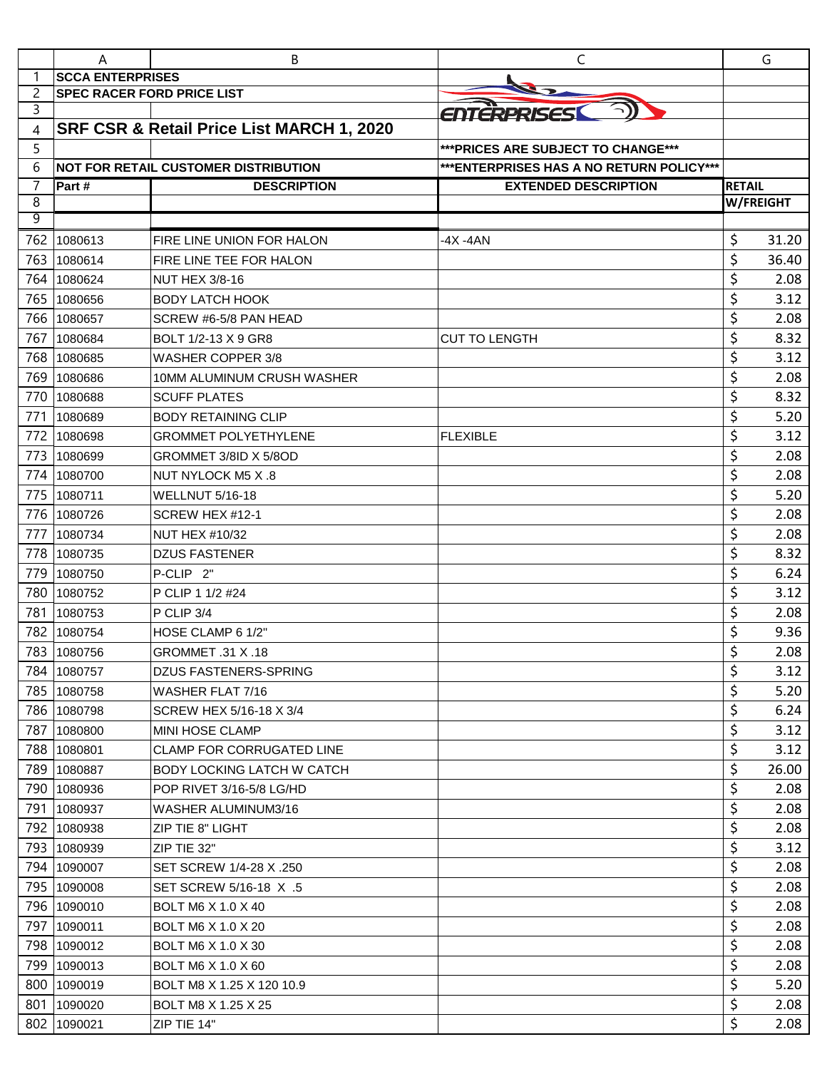|        | A                                 | B                                         | C                                        |               | G                |
|--------|-----------------------------------|-------------------------------------------|------------------------------------------|---------------|------------------|
| 1      | <b>SCCA ENTERPRISES</b>           |                                           |                                          |               |                  |
| 2      | <b>SPEC RACER FORD PRICE LIST</b> |                                           |                                          |               |                  |
| 3      |                                   |                                           | ENTERPRISES                              |               |                  |
| 4      |                                   | SRF CSR & Retail Price List MARCH 1, 2020 |                                          |               |                  |
| 5      |                                   |                                           | *** PRICES ARE SUBJECT TO CHANGE***      |               |                  |
| 6      |                                   | INOT FOR RETAIL CUSTOMER DISTRIBUTION     | ***ENTERPRISES HAS A NO RETURN POLICY*** |               |                  |
| 7<br>8 | Part#                             | <b>DESCRIPTION</b>                        | <b>EXTENDED DESCRIPTION</b>              | <b>RETAIL</b> | <b>W/FREIGHT</b> |
| 9      |                                   |                                           |                                          |               |                  |
| 762    | 1080613                           | FIRE LINE UNION FOR HALON                 | -4X -4AN                                 | \$            | 31.20            |
| 763    | 1080614                           | FIRE LINE TEE FOR HALON                   |                                          | \$            | 36.40            |
| 764    | 1080624                           | <b>NUT HEX 3/8-16</b>                     |                                          | \$            | 2.08             |
| 765    | 1080656                           | <b>BODY LATCH HOOK</b>                    |                                          | \$            | 3.12             |
| 766    | 1080657                           | SCREW #6-5/8 PAN HEAD                     |                                          | \$            | 2.08             |
| 767    | 1080684                           | BOLT 1/2-13 X 9 GR8                       | <b>CUT TO LENGTH</b>                     | \$            | 8.32             |
| 768    | 1080685                           | <b>WASHER COPPER 3/8</b>                  |                                          | \$            | 3.12             |
| 769    | 1080686                           | <b>10MM ALUMINUM CRUSH WASHER</b>         |                                          | \$            | 2.08             |
| 770    | 1080688                           | <b>SCUFF PLATES</b>                       |                                          | \$            | 8.32             |
| 771    | 1080689                           | <b>BODY RETAINING CLIP</b>                |                                          | \$            | 5.20             |
| 772    | 1080698                           | <b>GROMMET POLYETHYLENE</b>               | <b>FLEXIBLE</b>                          | \$            | 3.12             |
| 773    | 1080699                           | GROMMET 3/8ID X 5/8OD                     |                                          | \$            | 2.08             |
| 774    | 1080700                           | NUT NYLOCK M5 X .8                        |                                          | \$            | 2.08             |
| 775    | 1080711                           | WELLNUT 5/16-18                           |                                          | \$            | 5.20             |
| 776    | 1080726                           | SCREW HEX #12-1                           |                                          | \$            | 2.08             |
| 777    | 1080734                           | <b>NUT HEX #10/32</b>                     |                                          | \$            | 2.08             |
| 778    | 1080735                           | <b>DZUS FASTENER</b>                      |                                          | \$            | 8.32             |
| 779    | 1080750                           | P-CLIP <sub>2"</sub>                      |                                          | \$            | 6.24             |
| 780    | 1080752                           | P CLIP 1 1/2 #24                          |                                          | \$            | 3.12             |
| 781    | 1080753                           | P CLIP 3/4                                |                                          | \$            | 2.08             |
| 782    | 1080754                           | HOSE CLAMP 6 1/2"                         |                                          | \$            | 9.36             |
|        | 783 1080756                       | GROMMET .31 X .18                         |                                          | \$            | 2.08             |
|        | 784 1080757                       | <b>DZUS FASTENERS-SPRING</b>              |                                          | \$            | 3.12             |
| 785    | 1080758                           | WASHER FLAT 7/16                          |                                          | \$            | 5.20             |
| 786    | 1080798                           | SCREW HEX 5/16-18 X 3/4                   |                                          | \$            | 6.24             |
| 787    | 1080800                           | <b>MINI HOSE CLAMP</b>                    |                                          | \$            | 3.12             |
| 788    | 1080801                           | <b>CLAMP FOR CORRUGATED LINE</b>          |                                          | \$            | 3.12             |
| 789    | 1080887                           | BODY LOCKING LATCH W CATCH                |                                          | \$            | 26.00            |
| 790    | 1080936                           | POP RIVET 3/16-5/8 LG/HD                  |                                          | \$            | 2.08             |
| 791    | 1080937                           | WASHER ALUMINUM3/16                       |                                          | \$            | 2.08             |
| 792    | 1080938                           | <b>ZIP TIE 8" LIGHT</b>                   |                                          | \$            | 2.08             |
| 793    | 1080939                           | ZIP TIE 32"                               |                                          | \$            | 3.12             |
| 794    | 1090007                           | SET SCREW 1/4-28 X .250                   |                                          | \$            | 2.08             |
| 795    | 1090008                           | SET SCREW 5/16-18 X .5                    |                                          | \$            | 2.08             |
|        | 796 1090010                       | BOLT M6 X 1.0 X 40                        |                                          | \$            | 2.08             |
| 797    | 1090011                           | BOLT M6 X 1.0 X 20                        |                                          | \$            | 2.08             |
| 798    | 1090012                           | <b>BOLT M6 X 1.0 X 30</b>                 |                                          | \$            | 2.08             |
| 799    | 1090013                           | BOLT M6 X 1.0 X 60                        |                                          | \$            | 2.08             |
| 800    | 1090019                           | BOLT M8 X 1.25 X 120 10.9                 |                                          | \$            | 5.20             |
| 801    | 1090020                           | BOLT M8 X 1.25 X 25                       |                                          | \$            | 2.08             |
| 802    | 1090021                           | ZIP TIE 14"                               |                                          | \$            | 2.08             |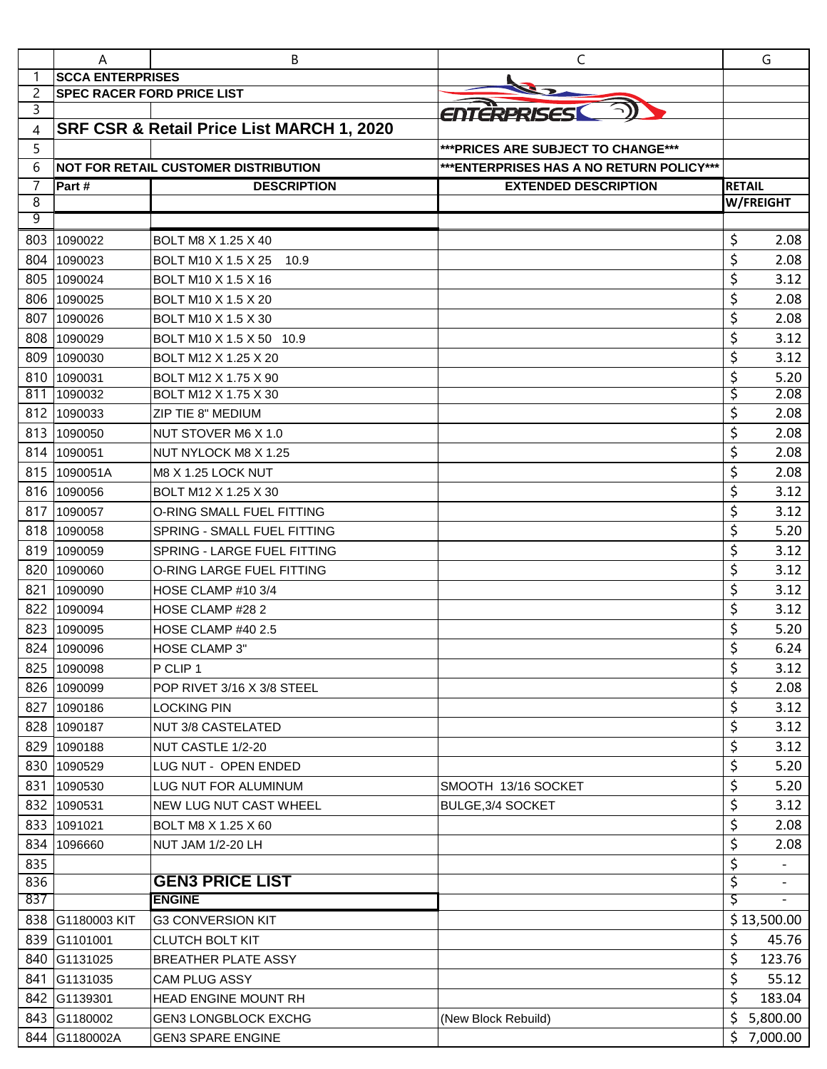|                | A                                 | В                                            | C                                         |               | G                |
|----------------|-----------------------------------|----------------------------------------------|-------------------------------------------|---------------|------------------|
| 1              | <b>SCCA ENTERPRISES</b>           |                                              |                                           |               |                  |
| $\overline{2}$ | <b>SPEC RACER FORD PRICE LIST</b> |                                              |                                           |               |                  |
| 3              |                                   |                                              | ENTERPRISES                               |               |                  |
| 4              |                                   | SRF CSR & Retail Price List MARCH 1, 2020    |                                           |               |                  |
| 5              |                                   |                                              | *** PRICES ARE SUBJECT TO CHANGE***       |               |                  |
| 6              |                                   | INOT FOR RETAIL CUSTOMER DISTRIBUTION        | *** ENTERPRISES HAS A NO RETURN POLICY*** |               |                  |
| 7              | Part #                            | <b>DESCRIPTION</b>                           | <b>EXTENDED DESCRIPTION</b>               | <b>RETAIL</b> |                  |
| 8<br>9         |                                   |                                              |                                           |               | <b>W/FREIGHT</b> |
| 803            |                                   |                                              |                                           |               |                  |
|                | 1090022                           | BOLT M8 X 1.25 X 40                          |                                           | \$<br>\$      | 2.08             |
| 804<br>805     | 1090023                           | BOLT M10 X 1.5 X 25<br>10.9                  |                                           | \$            | 2.08             |
| 806            | 1090024                           | <b>BOLT M10 X 1.5 X 16</b>                   |                                           |               | 3.12             |
|                | 1090025                           | BOLT M10 X 1.5 X 20                          |                                           | \$            | 2.08             |
| 807            | 1090026                           | <b>BOLT M10 X 1.5 X 30</b>                   |                                           | \$<br>\$      | 2.08             |
| 808            | 1090029                           | BOLT M10 X 1.5 X 50 10.9                     |                                           |               | 3.12             |
| 809            | 1090030                           | BOLT M12 X 1.25 X 20                         |                                           | \$            | 3.12             |
| 810<br>811     | 1090031<br>1090032                | BOLT M12 X 1.75 X 90<br>BOLT M12 X 1.75 X 30 |                                           | \$<br>\$      | 5.20<br>2.08     |
| 812            | 1090033                           | ZIP TIE 8" MEDIUM                            |                                           | \$            | 2.08             |
| 813            | 1090050                           | NUT STOVER M6 X 1.0                          |                                           | \$            | 2.08             |
| 814            | 1090051                           | NUT NYLOCK M8 X 1.25                         |                                           | \$            | 2.08             |
| 815            | 1090051A                          | M8 X 1.25 LOCK NUT                           |                                           | \$            | 2.08             |
| 816            | 1090056                           | BOLT M12 X 1.25 X 30                         |                                           | \$            | 3.12             |
| 817            | 1090057                           | O-RING SMALL FUEL FITTING                    |                                           | \$            | 3.12             |
| 818            | 1090058                           | <b>SPRING - SMALL FUEL FITTING</b>           |                                           | \$            | 5.20             |
| 819            | 1090059                           | SPRING - LARGE FUEL FITTING                  |                                           | \$            | 3.12             |
| 820            | 1090060                           | O-RING LARGE FUEL FITTING                    |                                           | \$            | 3.12             |
| 821            | 1090090                           | HOSE CLAMP #10 3/4                           |                                           | \$            | 3.12             |
| 822            | 1090094                           | HOSE CLAMP #28 2                             |                                           | \$            | 3.12             |
| 823            | 1090095                           | HOSE CLAMP #40 2.5                           |                                           | \$            | 5.20             |
| 824            | 1090096                           | <b>HOSE CLAMP 3"</b>                         |                                           | \$            | 6.24             |
| 825            | 1090098                           | P CLIP 1                                     |                                           | \$            | 3.12             |
|                | 826 1090099                       | POP RIVET 3/16 X 3/8 STEEL                   |                                           | \$            | 2.08             |
| 827            | 1090186                           | <b>LOCKING PIN</b>                           |                                           | \$            | 3.12             |
| 828            | 1090187                           | <b>NUT 3/8 CASTELATED</b>                    |                                           | \$            | 3.12             |
| 829            | 1090188                           | NUT CASTLE 1/2-20                            |                                           | \$            | 3.12             |
| 830            | 1090529                           | LUG NUT - OPEN ENDED                         |                                           | \$            | 5.20             |
|                | 831 1090530                       | LUG NUT FOR ALUMINUM                         | SMOOTH 13/16 SOCKET                       | \$            | 5.20             |
| 832            | 1090531                           | <b>NEW LUG NUT CAST WHEEL</b>                | BULGE, 3/4 SOCKET                         | \$            | 3.12             |
|                | 833 1091021                       | BOLT M8 X 1.25 X 60                          |                                           | \$            | 2.08             |
| 834            | 1096660                           | <b>NUT JAM 1/2-20 LH</b>                     |                                           | \$            | 2.08             |
| 835            |                                   |                                              |                                           | \$            |                  |
| 836            |                                   | <b>GEN3 PRICE LIST</b>                       |                                           | \$            |                  |
| 837            |                                   | <b>ENGINE</b>                                |                                           | \$            |                  |
|                | 838 G1180003 KIT                  | <b>G3 CONVERSION KIT</b>                     |                                           |               | \$13,500.00      |
|                | 839 G1101001                      | <b>CLUTCH BOLT KIT</b>                       |                                           | \$            | 45.76            |
|                | 840 G1131025                      | <b>BREATHER PLATE ASSY</b>                   |                                           | \$            | 123.76           |
|                | 841 G1131035                      | <b>CAM PLUG ASSY</b>                         |                                           | \$            | 55.12            |
|                | 842 G1139301                      | <b>HEAD ENGINE MOUNT RH</b>                  |                                           | \$            | 183.04           |
|                | 843 G1180002                      | <b>GEN3 LONGBLOCK EXCHG</b>                  | (New Block Rebuild)                       | \$            | 5,800.00         |
|                | 844 G1180002A                     | <b>GEN3 SPARE ENGINE</b>                     |                                           | \$            | 7,000.00         |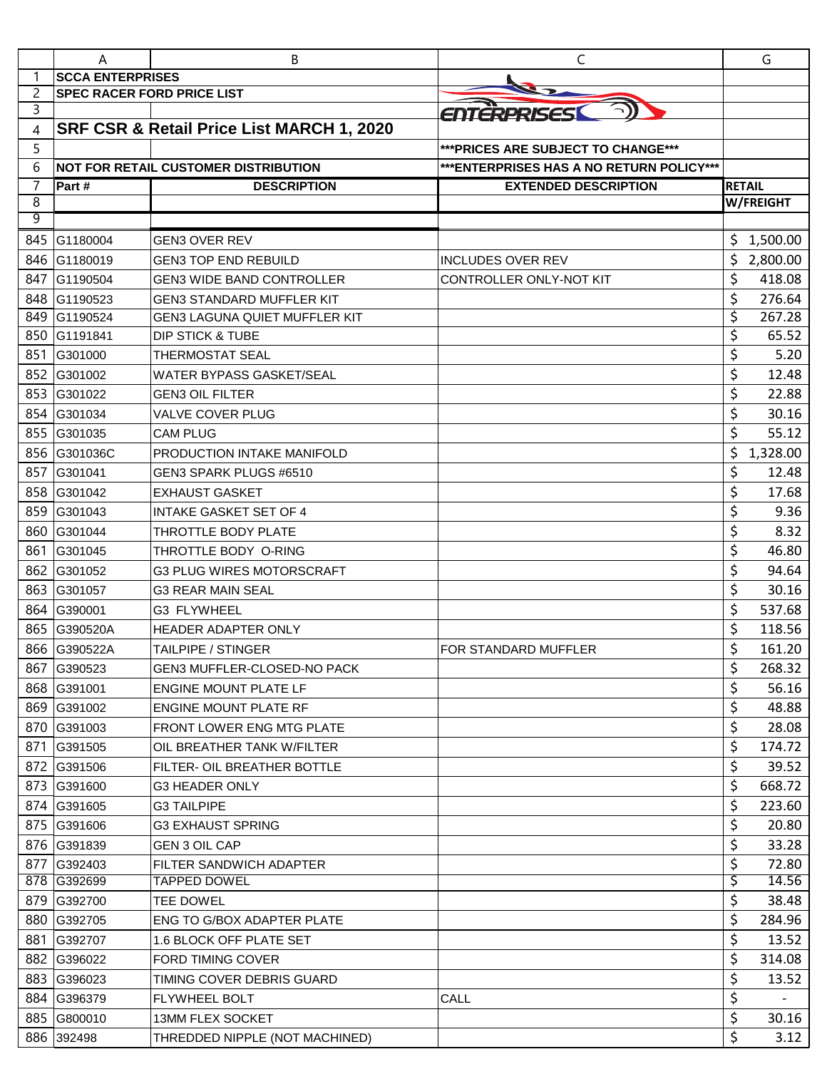|     | A                                 | В                                           | C                                         |               | G                |
|-----|-----------------------------------|---------------------------------------------|-------------------------------------------|---------------|------------------|
|     | <b>SCCA ENTERPRISES</b>           |                                             |                                           |               |                  |
| 2   | <b>SPEC RACER FORD PRICE LIST</b> |                                             |                                           |               |                  |
| 3   |                                   |                                             | ENTERPRISES                               |               |                  |
| 4   |                                   | SRF CSR & Retail Price List MARCH 1, 2020   |                                           |               |                  |
| 5   |                                   |                                             | *** PRICES ARE SUBJECT TO CHANGE***       |               |                  |
| 6   |                                   | <b>NOT FOR RETAIL CUSTOMER DISTRIBUTION</b> | *** ENTERPRISES HAS A NO RETURN POLICY*** |               |                  |
| 7   | Part#                             | <b>DESCRIPTION</b>                          | <b>EXTENDED DESCRIPTION</b>               | <b>RETAIL</b> |                  |
| 8   |                                   |                                             |                                           |               | <b>W/FREIGHT</b> |
| 9   |                                   |                                             |                                           |               |                  |
| 845 | G1180004                          | <b>GEN3 OVER REV</b>                        |                                           |               | 1,500.00         |
| 846 | G1180019                          | <b>GEN3 TOP END REBUILD</b>                 | <b>INCLUDES OVER REV</b>                  | \$            | 2,800.00         |
| 847 | G1190504                          | <b>GEN3 WIDE BAND CONTROLLER</b>            | CONTROLLER ONLY-NOT KIT                   | \$            | 418.08           |
| 848 | G1190523                          | <b>GEN3 STANDARD MUFFLER KIT</b>            |                                           | \$            | 276.64           |
| 849 | G1190524                          | <b>GEN3 LAGUNA QUIET MUFFLER KIT</b>        |                                           | \$            | 267.28           |
| 850 | G1191841                          | <b>DIP STICK &amp; TUBE</b>                 |                                           | \$            | 65.52            |
| 851 | G301000                           | <b>THERMOSTAT SEAL</b>                      |                                           | \$            | 5.20             |
| 852 | G301002                           | <b>WATER BYPASS GASKET/SEAL</b>             |                                           | \$            | 12.48            |
| 853 | G301022                           | <b>GEN3 OIL FILTER</b>                      |                                           | \$            | 22.88            |
| 854 | G301034                           | VALVE COVER PLUG                            |                                           | \$            | 30.16            |
| 855 | G301035                           | <b>CAM PLUG</b>                             |                                           | \$            | 55.12            |
| 856 | G301036C                          | <b>PRODUCTION INTAKE MANIFOLD</b>           |                                           | \$            | 1,328.00         |
| 857 | G301041                           | GEN3 SPARK PLUGS #6510                      |                                           | \$            | 12.48            |
| 858 | G301042                           | <b>EXHAUST GASKET</b>                       |                                           | \$            | 17.68            |
| 859 | G301043                           | <b>INTAKE GASKET SET OF 4</b>               |                                           | \$            | 9.36             |
| 860 | G301044                           | THROTTLE BODY PLATE                         |                                           | \$            | 8.32             |
| 861 | G301045                           | THROTTLE BODY O-RING                        |                                           | \$            | 46.80            |
| 862 | G301052                           | <b>G3 PLUG WIRES MOTORSCRAFT</b>            |                                           | \$            | 94.64            |
| 863 | G301057                           | <b>G3 REAR MAIN SEAL</b>                    |                                           | \$            | 30.16            |
| 864 | G390001                           | G3 FLYWHEEL                                 |                                           | \$            | 537.68           |
| 865 | G390520A                          | HEADER ADAPTER ONLY                         |                                           | \$            | 118.56           |
|     | 866 G390522A                      | <b>TAILPIPE / STINGER</b>                   | FOR STANDARD MUFFLER                      | \$            | 161.20           |
| 867 | G390523                           | GEN3 MUFFLER-CLOSED-NO PACK                 |                                           | \$            | 268.32           |
|     | 868 G391001                       | <b>ENGINE MOUNT PLATE LF</b>                |                                           | \$            | 56.16            |
|     | 869 G391002                       | <b>ENGINE MOUNT PLATE RF</b>                |                                           | \$            | 48.88            |
|     | 870 G391003                       | FRONT LOWER ENG MTG PLATE                   |                                           | \$            | 28.08            |
|     | 871 G391505                       | OIL BREATHER TANK W/FILTER                  |                                           | \$            | 174.72           |
|     | 872 G391506                       | <b>FILTER- OIL BREATHER BOTTLE</b>          |                                           | \$            | 39.52            |
|     | 873 G391600                       | <b>G3 HEADER ONLY</b>                       |                                           | \$            | 668.72           |
|     | 874 G391605                       | <b>G3 TAILPIPE</b>                          |                                           | \$            | 223.60           |
|     | 875 G391606                       | <b>G3 EXHAUST SPRING</b>                    |                                           | \$            | 20.80            |
|     | 876 G391839                       | <b>GEN 3 OIL CAP</b>                        |                                           | \$            | 33.28            |
|     | 877 G392403                       | FILTER SANDWICH ADAPTER                     |                                           | \$            | 72.80            |
|     | 878 G392699                       | <b>TAPPED DOWEL</b>                         |                                           | \$            | 14.56            |
|     | 879 G392700                       | <b>TEE DOWEL</b>                            |                                           | \$            | 38.48            |
|     | 880 G392705                       | <b>ENG TO G/BOX ADAPTER PLATE</b>           |                                           | \$            | 284.96           |
|     | 881 G392707                       | 1.6 BLOCK OFF PLATE SET                     |                                           | \$            | 13.52            |
|     | 882 G396022                       | <b>FORD TIMING COVER</b>                    |                                           | \$            | 314.08           |
|     | 883 G396023                       | TIMING COVER DEBRIS GUARD                   |                                           | \$            | 13.52            |
|     | 884 G396379                       | <b>FLYWHEEL BOLT</b>                        | CALL                                      | \$            |                  |
|     | 885 G800010                       |                                             |                                           | \$            |                  |
|     |                                   | 13MM FLEX SOCKET                            |                                           | \$            | 30.16            |
|     | 886 392498                        | THREDDED NIPPLE (NOT MACHINED)              |                                           |               | 3.12             |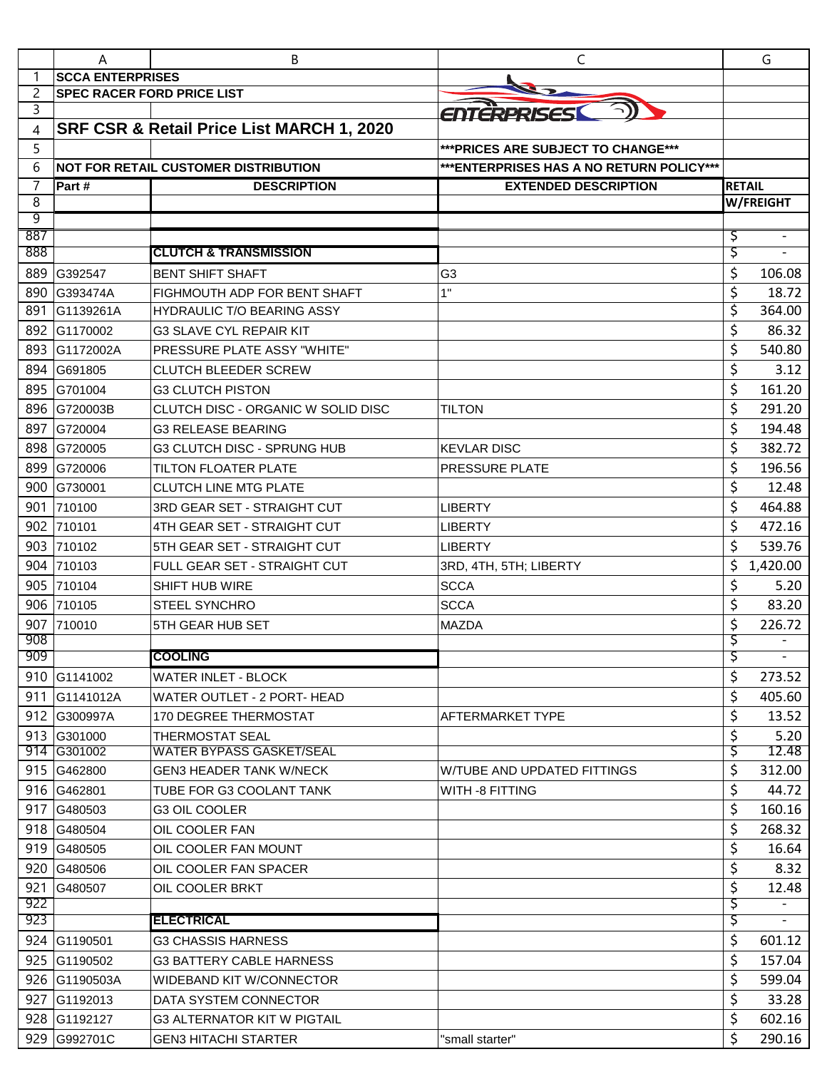|            | A                                 | В                                           | C                                         |        | G             |
|------------|-----------------------------------|---------------------------------------------|-------------------------------------------|--------|---------------|
|            | <b>SCCA ENTERPRISES</b>           |                                             |                                           |        |               |
| 2          | <b>SPEC RACER FORD PRICE LIST</b> |                                             |                                           |        |               |
| 3          |                                   |                                             | ENTERPRISES                               |        |               |
| 4          |                                   | SRF CSR & Retail Price List MARCH 1, 2020   |                                           |        |               |
| 5          |                                   |                                             | *** PRICES ARE SUBJECT TO CHANGE***       |        |               |
| 6          |                                   | <b>NOT FOR RETAIL CUSTOMER DISTRIBUTION</b> | *** ENTERPRISES HAS A NO RETURN POLICY*** |        |               |
| 7          | Part #                            | <b>DESCRIPTION</b>                          | <b>EXTENDED DESCRIPTION</b>               |        | <b>RETAIL</b> |
| 8<br>9     |                                   |                                             |                                           |        | W/FREIGHT     |
| 887        |                                   |                                             |                                           | Ş      |               |
| 888        |                                   | <b>CLUTCH &amp; TRANSMISSION</b>            |                                           | \$,    |               |
| 889        | G392547                           | <b>BENT SHIFT SHAFT</b>                     | G <sub>3</sub>                            | \$     | 106.08        |
| 890        | G393474A                          | FIGHMOUTH ADP FOR BENT SHAFT                | 1"                                        | \$     | 18.72         |
| 891        | IG1139261A                        | <b>HYDRAULIC T/O BEARING ASSY</b>           |                                           | \$     | 364.00        |
| 892        | G1170002                          | <b>G3 SLAVE CYL REPAIR KIT</b>              |                                           | \$     | 86.32         |
| 893        | G1172002A                         | <b>PRESSURE PLATE ASSY "WHITE"</b>          |                                           | \$     | 540.80        |
| 894        | G691805                           | <b>CLUTCH BLEEDER SCREW</b>                 |                                           | \$     | 3.12          |
| 895        | G701004                           | <b>G3 CLUTCH PISTON</b>                     |                                           | \$     | 161.20        |
| 896        | G720003B                          | CLUTCH DISC - ORGANIC W SOLID DISC          | <b>TILTON</b>                             | \$     | 291.20        |
| 897        | G720004                           | <b>G3 RELEASE BEARING</b>                   |                                           | \$     | 194.48        |
| 898        | G720005                           | G3 CLUTCH DISC - SPRUNG HUB                 | <b>KEVLAR DISC</b>                        | \$     | 382.72        |
| 899        |                                   |                                             |                                           |        | 196.56        |
|            | G720006                           | <b>TILTON FLOATER PLATE</b>                 | PRESSURE PLATE                            | \$     |               |
| 900        | G730001                           | <b>CLUTCH LINE MTG PLATE</b>                |                                           | \$     | 12.48         |
| 901        | 710100                            | <b>3RD GEAR SET - STRAIGHT CUT</b>          | <b>LIBERTY</b>                            | \$     | 464.88        |
| 902        | 710101                            | 4TH GEAR SET - STRAIGHT CUT                 | <b>LIBERTY</b>                            | \$     | 472.16        |
| 903        | 710102                            | 5TH GEAR SET - STRAIGHT CUT                 | <b>LIBERTY</b>                            | \$     | 539.76        |
| 904        | 710103                            | FULL GEAR SET - STRAIGHT CUT                | 3RD, 4TH, 5TH; LIBERTY                    | \$     | 1,420.00      |
| 905        | 710104                            | SHIFT HUB WIRE                              | <b>SCCA</b>                               | \$     | 5.20          |
| 906        | 710105                            | <b>STEEL SYNCHRO</b>                        | <b>SCCA</b>                               | \$     | 83.20         |
| 907<br>908 | 710010                            | 5TH GEAR HUB SET                            | <b>MAZDA</b>                              | \$     | 226.72        |
| 909        |                                   | <b>COOLING</b>                              |                                           | Ş<br>Ş |               |
|            | 910 G1141002                      | WATER INLET - BLOCK                         |                                           | \$     | 273.52        |
|            | 911 G1141012A                     | WATER OUTLET - 2 PORT- HEAD                 |                                           | \$     | 405.60        |
|            | 912 G300997A                      | <b>170 DEGREE THERMOSTAT</b>                | AFTERMARKET TYPE                          | \$     | 13.52         |
|            | 913 G301000                       | <b>THERMOSTAT SEAL</b>                      |                                           | \$     | 5.20          |
|            | 914 G301002                       | <b>WATER BYPASS GASKET/SEAL</b>             |                                           | Ş      | 12.48         |
|            | 915 G462800                       | <b>GEN3 HEADER TANK W/NECK</b>              | W/TUBE AND UPDATED FITTINGS               | \$     | 312.00        |
|            | 916 G462801                       | TUBE FOR G3 COOLANT TANK                    | WITH -8 FITTING                           | \$     | 44.72         |
|            | 917 G480503                       | <b>G3 OIL COOLER</b>                        |                                           | \$     | 160.16        |
|            | 918 G480504                       | OIL COOLER FAN                              |                                           | \$     | 268.32        |
|            | 919 G480505                       | OIL COOLER FAN MOUNT                        |                                           | \$     | 16.64         |
| 920        | G480506                           | OIL COOLER FAN SPACER                       |                                           | \$     | 8.32          |
| 921        | G480507                           | OIL COOLER BRKT                             |                                           | \$     | 12.48         |
| 922        |                                   |                                             |                                           | ड़     |               |
| 923        |                                   | <b>IELECTRICAL</b>                          |                                           | Ş      |               |
|            | 924 G1190501                      | <b>G3 CHASSIS HARNESS</b>                   |                                           | \$     | 601.12        |
|            | 925 G1190502                      | <b>G3 BATTERY CABLE HARNESS</b>             |                                           | \$     | 157.04        |
|            | 926 G1190503A                     | <b>WIDEBAND KIT W/CONNECTOR</b>             |                                           | \$     | 599.04        |
| 927        | G1192013                          | DATA SYSTEM CONNECTOR                       |                                           | \$     | 33.28         |
|            | 928 G1192127                      | <b>G3 ALTERNATOR KIT W PIGTAIL</b>          |                                           | \$     | 602.16        |
| 929        | G992701C                          | GEN3 HITACHI STARTER                        | "small starter"                           | \$     | 290.16        |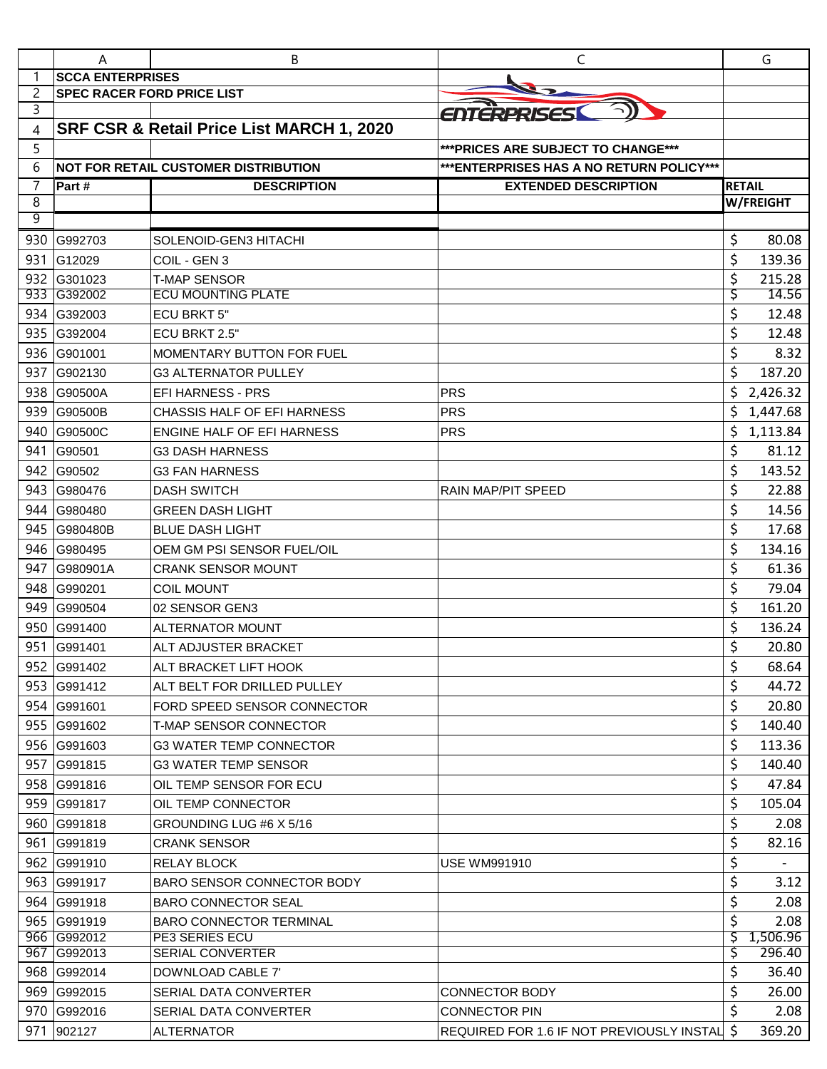|            | A                                 | В                                                               | C                                            |               | G               |
|------------|-----------------------------------|-----------------------------------------------------------------|----------------------------------------------|---------------|-----------------|
| 1          | <b>SCCA ENTERPRISES</b>           |                                                                 |                                              |               |                 |
| 2          | <b>SPEC RACER FORD PRICE LIST</b> |                                                                 |                                              |               |                 |
| 3          |                                   |                                                                 | ENTERPRISES                                  |               |                 |
| 4          |                                   | SRF CSR & Retail Price List MARCH 1, 2020                       |                                              |               |                 |
| 5          |                                   |                                                                 | *** PRICES ARE SUBJECT TO CHANGE***          |               |                 |
| 6          |                                   | <b>NOT FOR RETAIL CUSTOMER DISTRIBUTION</b>                     | *** ENTERPRISES HAS A NO RETURN POLICY***    |               |                 |
| 7          | Part #                            | <b>DESCRIPTION</b>                                              | <b>EXTENDED DESCRIPTION</b>                  | <b>RETAIL</b> |                 |
| 8<br>9     |                                   |                                                                 |                                              |               | W/FREIGHT       |
|            |                                   |                                                                 |                                              |               |                 |
| 930        | G992703                           | SOLENOID-GEN3 HITACHI                                           |                                              | \$            | 80.08           |
| 931        | G12029                            | COIL - GEN 3                                                    |                                              | \$            | 139.36          |
| 932<br>933 | G301023<br>G392002                | <b>T-MAP SENSOR</b><br><b>ECU MOUNTING PLATE</b>                |                                              | \$<br>Ş       | 215.28<br>14.56 |
| 934        | G392003                           | <b>ECU BRKT 5"</b>                                              |                                              | \$            | 12.48           |
| 935        | G392004                           | <b>ECU BRKT 2.5"</b>                                            |                                              | \$            | 12.48           |
| 936        | G901001                           | <b>MOMENTARY BUTTON FOR FUEL</b>                                |                                              | \$            | 8.32            |
| 937        | G902130                           | <b>G3 ALTERNATOR PULLEY</b>                                     |                                              | \$            | 187.20          |
| 938        | G90500A                           | <b>EFI HARNESS - PRS</b>                                        | <b>PRS</b>                                   | \$            | 2,426.32        |
| 939        | G90500B                           | CHASSIS HALF OF EFI HARNESS                                     | <b>PRS</b>                                   | \$            | 1,447.68        |
| 940        | G90500C                           | ENGINE HALF OF EFI HARNESS                                      | <b>PRS</b>                                   | \$            | 1,113.84        |
| 941        | G90501                            | <b>G3 DASH HARNESS</b>                                          |                                              | \$            | 81.12           |
| 942        | G90502                            | <b>G3 FAN HARNESS</b>                                           |                                              | \$            | 143.52          |
| 943        | G980476                           | <b>DASH SWITCH</b>                                              | RAIN MAP/PIT SPEED                           | \$            | 22.88           |
| 944        | G980480                           | <b>GREEN DASH LIGHT</b>                                         |                                              | \$            | 14.56           |
| 945        | <b>G980480B</b>                   | <b>BLUE DASH LIGHT</b>                                          |                                              | \$            | 17.68           |
| 946        | G980495                           | OEM GM PSI SENSOR FUEL/OIL                                      |                                              | \$            | 134.16          |
| 947        | G980901A                          | <b>CRANK SENSOR MOUNT</b>                                       |                                              | \$            | 61.36           |
| 948        | G990201                           | <b>COIL MOUNT</b>                                               |                                              | \$            | 79.04           |
| 949        | G990504                           | 02 SENSOR GEN3                                                  |                                              | \$            | 161.20          |
| 950        | G991400                           | <b>ALTERNATOR MOUNT</b>                                         |                                              | \$            | 136.24          |
| 951        | G991401                           | ALT ADJUSTER BRACKET                                            |                                              | \$            | 20.80           |
|            | 952 G991402                       | ALT BRACKET LIFT HOOK                                           |                                              | \$            | 68.64           |
|            | 953 G991412                       | ALT BELT FOR DRILLED PULLEY                                     |                                              | \$            | 44.72           |
|            | 954 G991601                       | FORD SPEED SENSOR CONNECTOR                                     |                                              | \$            | 20.80           |
|            | 955 G991602                       | T-MAP SENSOR CONNECTOR                                          |                                              | \$            | 140.40          |
|            | 956 G991603                       | <b>G3 WATER TEMP CONNECTOR</b>                                  |                                              | \$            | 113.36          |
| 957        | G991815                           | G3 WATER TEMP SENSOR                                            |                                              | \$            | 140.40          |
|            | 958 G991816                       | OIL TEMP SENSOR FOR ECU                                         |                                              | \$            | 47.84           |
|            | 959 G991817                       | OIL TEMP CONNECTOR                                              |                                              | \$            | 105.04          |
|            | 960 G991818                       | GROUNDING LUG #6 X 5/16                                         |                                              | \$            | 2.08            |
| 961        | G991819                           | <b>CRANK SENSOR</b>                                             |                                              | \$            | 82.16           |
|            | 962 G991910                       | <b>RELAY BLOCK</b>                                              | <b>USE WM991910</b>                          | \$            |                 |
|            | 963 G991917                       |                                                                 |                                              | \$            |                 |
| 964        | G991918                           | <b>BARO SENSOR CONNECTOR BODY</b><br><b>BARO CONNECTOR SEAL</b> |                                              | \$            | 3.12<br>2.08    |
|            | 965 G991919                       | <b>BARO CONNECTOR TERMINAL</b>                                  |                                              | \$            | 2.08            |
|            | 966 G992012                       | <b>PE3 SERIES ECU</b>                                           |                                              | \$            | 1,506.96        |
|            | 967 G992013                       | SERIAL CONVERTER                                                |                                              | \$            | 296.40          |
|            | 968 G992014                       | DOWNLOAD CABLE 7'                                               |                                              | \$            | 36.40           |
|            | 969 G992015                       | SERIAL DATA CONVERTER                                           | CONNECTOR BODY                               | \$            | 26.00           |
|            | 970 G992016                       | SERIAL DATA CONVERTER                                           | <b>CONNECTOR PIN</b>                         | \$            | 2.08            |
| 971        | 902127                            | <b>ALTERNATOR</b>                                               | REQUIRED FOR 1.6 IF NOT PREVIOUSLY INSTAL \$ |               | 369.20          |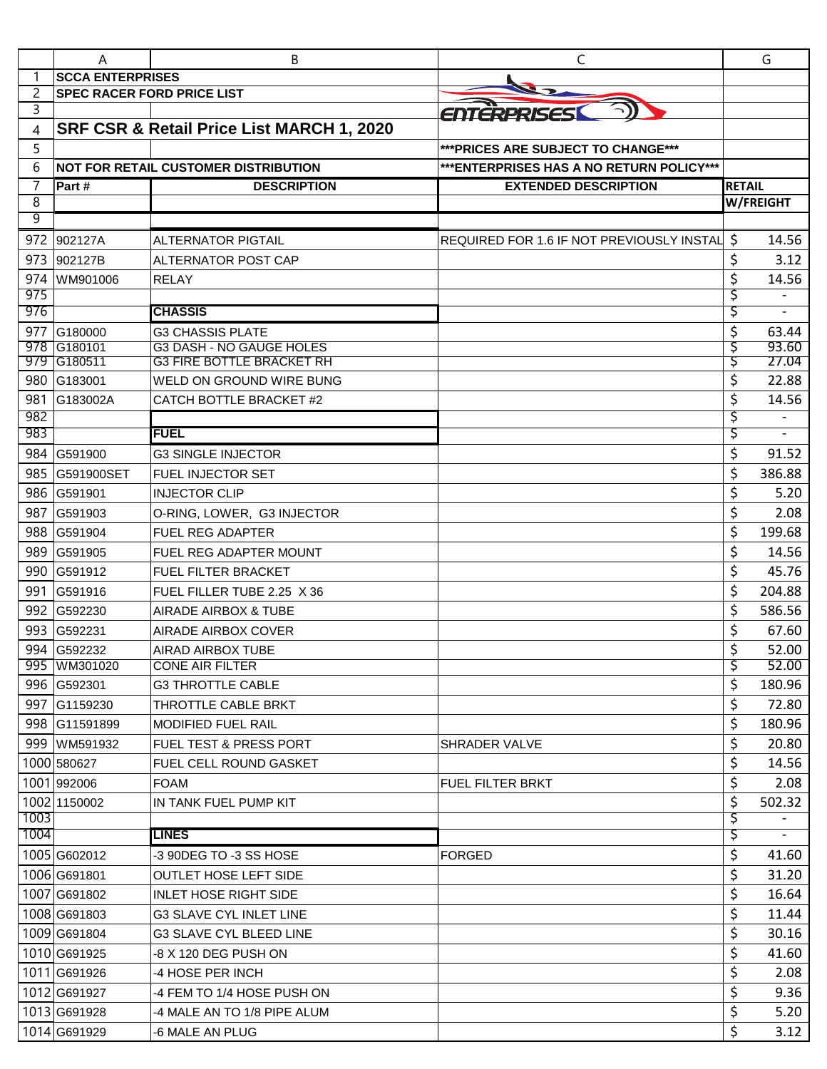| <b>SCCA ENTERPRISES</b><br>2<br><b>SPEC RACER FORD PRICE LIST</b><br>3<br>ENTERPRISES<br>SRF CSR & Retail Price List MARCH 1, 2020<br>4<br>5<br>*** PRICES ARE SUBJECT TO CHANGE***<br>6<br><b>NOT FOR RETAIL CUSTOMER DISTRIBUTION</b><br>*** ENTERPRISES HAS A NO RETURN POLICY***<br>7<br>Part#<br><b>EXTENDED DESCRIPTION</b><br><b>DESCRIPTION</b><br><b>RETAIL</b><br>8<br><b>W/FREIGHT</b><br>9<br>\$<br>972<br>902127A<br><b>ALTERNATOR PIGTAIL</b><br>REQUIRED FOR 1.6 IF NOT PREVIOUSLY INSTAL<br>\$<br>973<br>902127B<br><b>ALTERNATOR POST CAP</b> | 14.56<br>3.12<br>14.56<br>$\overline{\phantom{a}}$<br>63.44<br>93.60<br>27.04 |
|----------------------------------------------------------------------------------------------------------------------------------------------------------------------------------------------------------------------------------------------------------------------------------------------------------------------------------------------------------------------------------------------------------------------------------------------------------------------------------------------------------------------------------------------------------------|-------------------------------------------------------------------------------|
|                                                                                                                                                                                                                                                                                                                                                                                                                                                                                                                                                                |                                                                               |
|                                                                                                                                                                                                                                                                                                                                                                                                                                                                                                                                                                |                                                                               |
|                                                                                                                                                                                                                                                                                                                                                                                                                                                                                                                                                                |                                                                               |
|                                                                                                                                                                                                                                                                                                                                                                                                                                                                                                                                                                |                                                                               |
|                                                                                                                                                                                                                                                                                                                                                                                                                                                                                                                                                                |                                                                               |
|                                                                                                                                                                                                                                                                                                                                                                                                                                                                                                                                                                |                                                                               |
|                                                                                                                                                                                                                                                                                                                                                                                                                                                                                                                                                                |                                                                               |
|                                                                                                                                                                                                                                                                                                                                                                                                                                                                                                                                                                |                                                                               |
|                                                                                                                                                                                                                                                                                                                                                                                                                                                                                                                                                                |                                                                               |
|                                                                                                                                                                                                                                                                                                                                                                                                                                                                                                                                                                |                                                                               |
|                                                                                                                                                                                                                                                                                                                                                                                                                                                                                                                                                                |                                                                               |
| \$<br>974<br>WM901006<br><b>RELAY</b>                                                                                                                                                                                                                                                                                                                                                                                                                                                                                                                          |                                                                               |
| 975<br>Ş<br>976<br><b>CHASSIS</b>                                                                                                                                                                                                                                                                                                                                                                                                                                                                                                                              |                                                                               |
| Ş                                                                                                                                                                                                                                                                                                                                                                                                                                                                                                                                                              |                                                                               |
| \$<br>977<br>G180000<br><b>G3 CHASSIS PLATE</b><br>G180101<br><b>G3 DASH - NO GAUGE HOLES</b><br>978<br>Ş                                                                                                                                                                                                                                                                                                                                                                                                                                                      |                                                                               |
| 979 G180511<br><b>G3 FIRE BOTTLE BRACKET RH</b><br>Ş                                                                                                                                                                                                                                                                                                                                                                                                                                                                                                           |                                                                               |
| \$<br>980 G183001<br>WELD ON GROUND WIRE BUNG                                                                                                                                                                                                                                                                                                                                                                                                                                                                                                                  | 22.88                                                                         |
| \$<br>981<br>G183002A<br>CATCH BOTTLE BRACKET #2                                                                                                                                                                                                                                                                                                                                                                                                                                                                                                               | 14.56                                                                         |
| 982<br>Ş                                                                                                                                                                                                                                                                                                                                                                                                                                                                                                                                                       |                                                                               |
| 983<br><b>FUEL</b><br>Ş                                                                                                                                                                                                                                                                                                                                                                                                                                                                                                                                        |                                                                               |
| \$<br>984<br><b>G3 SINGLE INJECTOR</b><br>G591900                                                                                                                                                                                                                                                                                                                                                                                                                                                                                                              | 91.52                                                                         |
| \$<br>985<br><b>G591900SET</b><br><b>FUEL INJECTOR SET</b>                                                                                                                                                                                                                                                                                                                                                                                                                                                                                                     | 386.88                                                                        |
| \$<br>986 G591901<br><b>INJECTOR CLIP</b>                                                                                                                                                                                                                                                                                                                                                                                                                                                                                                                      | 5.20                                                                          |
| \$<br>987<br>G591903<br>O-RING, LOWER, G3 INJECTOR                                                                                                                                                                                                                                                                                                                                                                                                                                                                                                             | 2.08                                                                          |
| \$<br>988<br>G591904<br><b>FUEL REG ADAPTER</b>                                                                                                                                                                                                                                                                                                                                                                                                                                                                                                                | 199.68                                                                        |
| \$<br>989<br>G591905<br><b>FUEL REG ADAPTER MOUNT</b>                                                                                                                                                                                                                                                                                                                                                                                                                                                                                                          | 14.56                                                                         |
| \$<br>990<br>G591912<br>FUEL FILTER BRACKET                                                                                                                                                                                                                                                                                                                                                                                                                                                                                                                    | 45.76                                                                         |
| \$<br>991<br>G591916<br>FUEL FILLER TUBE 2.25 X 36                                                                                                                                                                                                                                                                                                                                                                                                                                                                                                             | 204.88                                                                        |
| \$<br>992<br>G592230<br>AIRADE AIRBOX & TUBE                                                                                                                                                                                                                                                                                                                                                                                                                                                                                                                   | 586.56                                                                        |
| \$<br>993<br>G592231<br><b>AIRADE AIRBOX COVER</b>                                                                                                                                                                                                                                                                                                                                                                                                                                                                                                             | 67.60                                                                         |
| \$<br>994<br>G592232<br><b>AIRAD AIRBOX TUBE</b>                                                                                                                                                                                                                                                                                                                                                                                                                                                                                                               | 52.00                                                                         |
| ड़<br>995 WM301020<br><b>CONE AIR FILTER</b>                                                                                                                                                                                                                                                                                                                                                                                                                                                                                                                   | 52.00                                                                         |
| \$<br>996 G592301<br><b>G3 THROTTLE CABLE</b>                                                                                                                                                                                                                                                                                                                                                                                                                                                                                                                  | 180.96                                                                        |
| \$<br>997 G1159230<br>THROTTLE CABLE BRKT                                                                                                                                                                                                                                                                                                                                                                                                                                                                                                                      | 72.80                                                                         |
| \$<br>998 G11591899<br><b>MODIFIED FUEL RAIL</b>                                                                                                                                                                                                                                                                                                                                                                                                                                                                                                               | 180.96                                                                        |
| \$<br>999 WM591932<br><b>FUEL TEST &amp; PRESS PORT</b><br>SHRADER VALVE                                                                                                                                                                                                                                                                                                                                                                                                                                                                                       | 20.80                                                                         |
| \$<br>1000 580627<br>FUEL CELL ROUND GASKET                                                                                                                                                                                                                                                                                                                                                                                                                                                                                                                    | 14.56                                                                         |
| \$<br>1001 992006<br><b>FOAM</b><br><b>FUEL FILTER BRKT</b>                                                                                                                                                                                                                                                                                                                                                                                                                                                                                                    | 2.08                                                                          |
| \$<br>1002 1150002<br>IN TANK FUEL PUMP KIT                                                                                                                                                                                                                                                                                                                                                                                                                                                                                                                    | 502.32                                                                        |
| 1003<br>Ş                                                                                                                                                                                                                                                                                                                                                                                                                                                                                                                                                      |                                                                               |
| \$<br>1004<br>LINES                                                                                                                                                                                                                                                                                                                                                                                                                                                                                                                                            |                                                                               |
| \$<br>1005 G602012<br><b>FORGED</b><br>-3 90DEG TO -3 SS HOSE                                                                                                                                                                                                                                                                                                                                                                                                                                                                                                  | 41.60                                                                         |
| \$<br>1006 G691801<br><b>OUTLET HOSE LEFT SIDE</b>                                                                                                                                                                                                                                                                                                                                                                                                                                                                                                             | 31.20                                                                         |
| \$<br>1007 G691802<br><b>INLET HOSE RIGHT SIDE</b>                                                                                                                                                                                                                                                                                                                                                                                                                                                                                                             | 16.64                                                                         |
| \$<br>1008 G691803<br><b>G3 SLAVE CYL INLET LINE</b>                                                                                                                                                                                                                                                                                                                                                                                                                                                                                                           | 11.44                                                                         |
| \$<br>1009 G691804<br><b>G3 SLAVE CYL BLEED LINE</b>                                                                                                                                                                                                                                                                                                                                                                                                                                                                                                           | 30.16                                                                         |
| \$<br>1010 G691925<br>-8 X 120 DEG PUSH ON                                                                                                                                                                                                                                                                                                                                                                                                                                                                                                                     | 41.60                                                                         |
| \$<br>1011 G691926<br>-4 HOSE PER INCH                                                                                                                                                                                                                                                                                                                                                                                                                                                                                                                         | 2.08                                                                          |
| \$<br>1012 G691927<br>-4 FEM TO 1/4 HOSE PUSH ON                                                                                                                                                                                                                                                                                                                                                                                                                                                                                                               | 9.36                                                                          |
| \$<br>1013 G691928<br>-4 MALE AN TO 1/8 PIPE ALUM                                                                                                                                                                                                                                                                                                                                                                                                                                                                                                              | 5.20                                                                          |
| \$<br>1014 G691929<br>-6 MALE AN PLUG                                                                                                                                                                                                                                                                                                                                                                                                                                                                                                                          |                                                                               |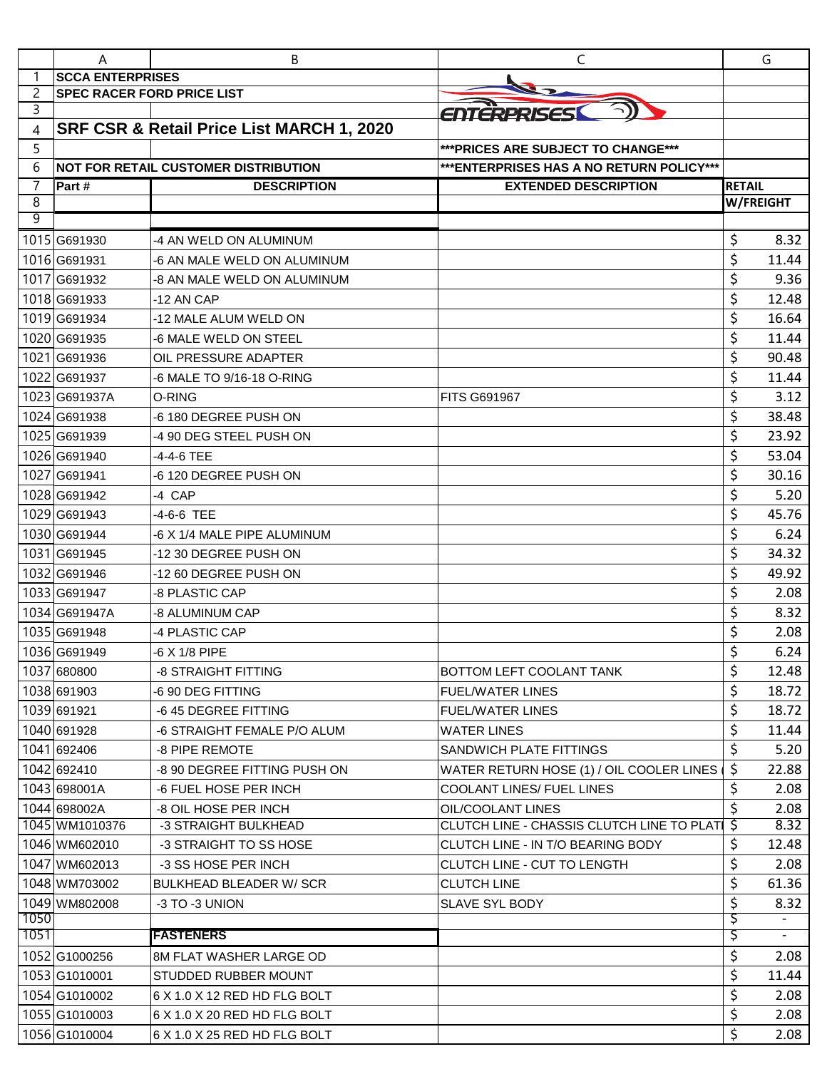|        | Α                                 | B                                           | C                                           |                  | G                        |
|--------|-----------------------------------|---------------------------------------------|---------------------------------------------|------------------|--------------------------|
|        | <b>SCCA ENTERPRISES</b>           |                                             |                                             |                  |                          |
| 2      | <b>SPEC RACER FORD PRICE LIST</b> |                                             |                                             |                  |                          |
| 3      |                                   |                                             | ENTERPRISES                                 |                  |                          |
| 4      |                                   | SRF CSR & Retail Price List MARCH 1, 2020   |                                             |                  |                          |
| 5      |                                   |                                             | *** PRICES ARE SUBJECT TO CHANGE***         |                  |                          |
| 6      |                                   | <b>NOT FOR RETAIL CUSTOMER DISTRIBUTION</b> | *** ENTERPRISES HAS A NO RETURN POLICY***   |                  |                          |
| 7      | Part#                             | <b>DESCRIPTION</b>                          | <b>EXTENDED DESCRIPTION</b>                 | <b>RETAIL</b>    |                          |
| 8<br>9 |                                   |                                             |                                             | <b>W/FREIGHT</b> |                          |
|        |                                   |                                             |                                             |                  |                          |
|        | 1015 G691930                      | -4 AN WELD ON ALUMINUM                      |                                             | \$               | 8.32                     |
|        | 1016 G691931                      | -6 AN MALE WELD ON ALUMINUM                 |                                             | \$               | 11.44                    |
|        | 1017 G691932                      | -8 AN MALE WELD ON ALUMINUM                 |                                             | \$               | 9.36                     |
|        | 1018 G691933                      | -12 AN CAP                                  |                                             | \$               | 12.48                    |
|        | 1019 G691934                      | -12 MALE ALUM WELD ON                       |                                             | \$               | 16.64                    |
|        | 1020 G691935                      | -6 MALE WELD ON STEEL                       |                                             | \$               | 11.44                    |
|        | 1021G691936                       | OIL PRESSURE ADAPTER                        |                                             | \$               | 90.48                    |
|        | 1022 G691937                      | -6 MALE TO 9/16-18 O-RING                   |                                             | \$               | 11.44                    |
|        | 1023 G691937A                     | O-RING                                      | <b>FITS G691967</b>                         | \$               | 3.12                     |
|        | 1024 G691938                      | -6 180 DEGREE PUSH ON                       |                                             | \$               | 38.48                    |
|        | 1025 G691939                      | -4 90 DEG STEEL PUSH ON                     |                                             | \$               | 23.92                    |
|        | 1026 G691940                      | -4-4-6 TEE                                  |                                             | \$               | 53.04                    |
|        | 1027 G691941                      | -6 120 DEGREE PUSH ON                       |                                             | \$               | 30.16                    |
|        | 1028 G691942                      | -4 CAP                                      |                                             | \$               | 5.20                     |
|        | 1029 G691943                      | -4-6-6 TEE                                  |                                             | \$               | 45.76                    |
|        | 1030 G691944                      | -6 X 1/4 MALE PIPE ALUMINUM                 |                                             | \$               | 6.24                     |
|        | 1031 G691945                      | -12 30 DEGREE PUSH ON                       |                                             | \$               | 34.32                    |
|        | 1032 G691946                      | -12 60 DEGREE PUSH ON                       |                                             | \$               | 49.92                    |
|        | 1033 G691947                      | -8 PLASTIC CAP                              |                                             | \$               | 2.08                     |
|        | 1034 G691947A                     | -8 ALUMINUM CAP                             |                                             | \$               | 8.32                     |
|        | 1035 G691948                      | -4 PLASTIC CAP                              |                                             | \$               | 2.08                     |
|        | 1036 G691949                      | -6 X 1/8 PIPE                               |                                             | Ś                | 6.24                     |
|        | 1037 680800                       | -8 STRAIGHT FITTING                         | BOTTOM LEFT COOLANT TANK                    | \$               | 12.48                    |
|        | 1038 691903                       | -6 90 DEG FITTING                           | <b>FUEL/WATER LINES</b>                     | \$               | 18.72                    |
|        | 1039 691921                       | -645 DEGREE FITTING                         | <b>FUEL/WATER LINES</b>                     | \$               | 18.72                    |
|        | 1040 691928                       | -6 STRAIGHT FEMALE P/O ALUM                 | <b>WATER LINES</b>                          | \$               | 11.44                    |
|        | 1041 692406                       | -8 PIPE REMOTE                              | SANDWICH PLATE FITTINGS                     | \$               | 5.20                     |
|        | 1042 692410                       | -8 90 DEGREE FITTING PUSH ON                | WATER RETURN HOSE (1) / OIL COOLER LINES    | \$               | 22.88                    |
|        | 1043 698001A                      | -6 FUEL HOSE PER INCH                       | <b>COOLANT LINES/ FUEL LINES</b>            | \$               | 2.08                     |
|        | 1044 698002A                      | -8 OIL HOSE PER INCH                        | OIL/COOLANT LINES                           | \$               | 2.08                     |
|        | 1045 WM1010376                    | -3 STRAIGHT BULKHEAD                        | CLUTCH LINE - CHASSIS CLUTCH LINE TO PLATES |                  | 8.32                     |
|        | 1046 WM602010                     | -3 STRAIGHT TO SS HOSE                      | CLUTCH LINE - IN T/O BEARING BODY           | \$               | 12.48                    |
|        | 1047 WM602013                     | -3 SS HOSE PER INCH                         | CLUTCH LINE - CUT TO LENGTH                 | \$               | 2.08                     |
|        | 1048 WM703002                     | BULKHEAD BLEADER W/ SCR                     | <b>CLUTCH LINE</b>                          | \$               | 61.36                    |
|        | 1049 WM802008                     | -3 TO -3 UNION                              | SLAVE SYL BODY                              | \$               | 8.32                     |
| 1050   |                                   |                                             |                                             | Ş                | $\overline{\phantom{a}}$ |
| 1051   |                                   | <b>FASTENERS</b>                            |                                             | \$               | $\overline{\phantom{0}}$ |
|        | 1052G1000256                      | 8M FLAT WASHER LARGE OD                     |                                             | \$               | 2.08                     |
|        | 1053 G1010001                     | STUDDED RUBBER MOUNT                        |                                             | \$               | 11.44                    |
|        | 1054 G1010002                     | 6 X 1.0 X 12 RED HD FLG BOLT                |                                             | \$               | 2.08                     |
|        | 1055 G1010003                     | 6 X 1.0 X 20 RED HD FLG BOLT                |                                             | \$               | 2.08                     |
|        | 1056 G1010004                     | 6 X 1.0 X 25 RED HD FLG BOLT                |                                             | \$               | 2.08                     |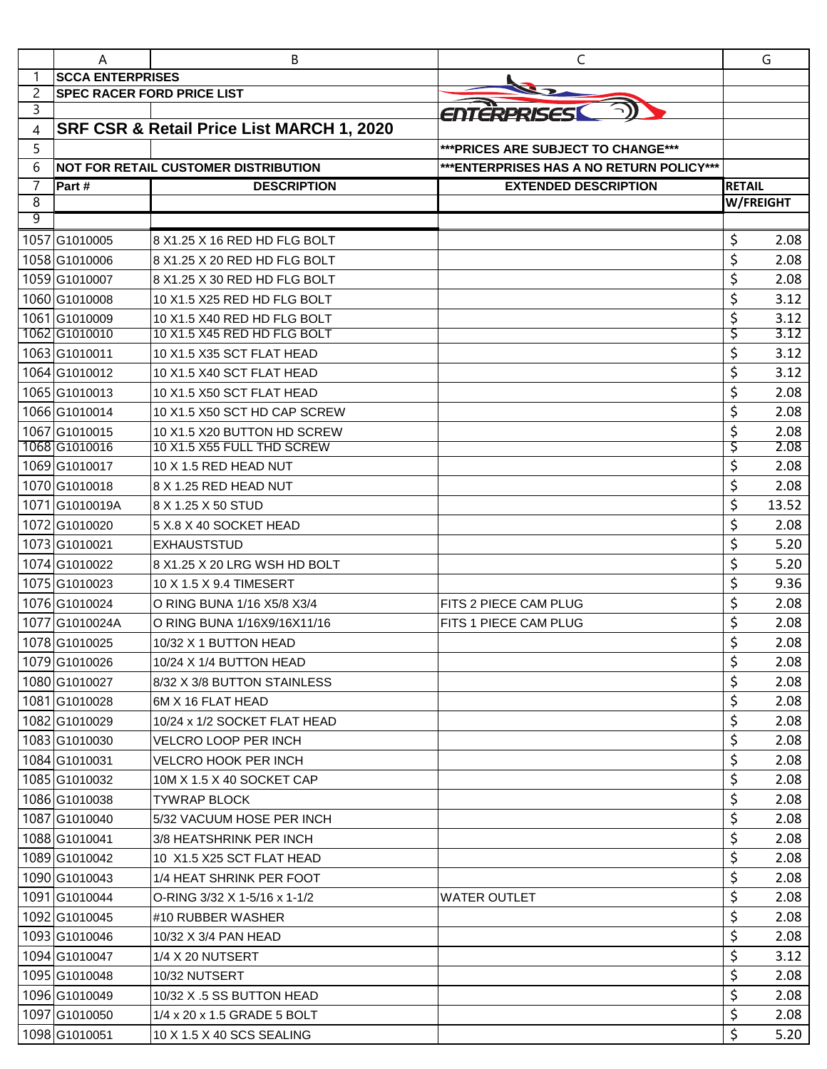|                | A                                 | B                                                          | C                                         | G                |              |
|----------------|-----------------------------------|------------------------------------------------------------|-------------------------------------------|------------------|--------------|
|                | <b>SCCA ENTERPRISES</b>           |                                                            |                                           |                  |              |
| $\overline{c}$ | <b>SPEC RACER FORD PRICE LIST</b> |                                                            |                                           |                  |              |
| 3              |                                   |                                                            | ENTERPRISES                               |                  |              |
| 4              |                                   | SRF CSR & Retail Price List MARCH 1, 2020                  |                                           |                  |              |
| 5              |                                   |                                                            | *** PRICES ARE SUBJECT TO CHANGE***       |                  |              |
| 6              |                                   | <b>NOT FOR RETAIL CUSTOMER DISTRIBUTION</b>                | *** ENTERPRISES HAS A NO RETURN POLICY*** |                  |              |
| $\overline{7}$ | Part#                             | <b>DESCRIPTION</b>                                         | <b>EXTENDED DESCRIPTION</b>               | <b>RETAIL</b>    |              |
| 8<br>9         |                                   |                                                            |                                           | <b>W/FREIGHT</b> |              |
|                |                                   |                                                            |                                           |                  |              |
|                | 1057 G1010005                     | 8 X1.25 X 16 RED HD FLG BOLT                               |                                           | \$               | 2.08         |
|                | 1058 G1010006                     | 8 X1.25 X 20 RED HD FLG BOLT                               |                                           | \$               | 2.08         |
|                | 1059G1010007                      | 8 X1.25 X 30 RED HD FLG BOLT                               |                                           | \$               | 2.08         |
|                | 1060G1010008                      | 10 X1.5 X25 RED HD FLG BOLT                                |                                           | \$               | 3.12         |
|                | 1061G1010009<br>1062 G1010010     | 10 X1.5 X40 RED HD FLG BOLT<br>10 X1.5 X45 RED HD FLG BOLT |                                           | \$               | 3.12<br>3.12 |
|                | 1063 G1010011                     |                                                            |                                           | Ş<br>\$          |              |
|                |                                   | 10 X1.5 X35 SCT FLAT HEAD                                  |                                           |                  | 3.12         |
|                | 1064 G1010012                     | 10 X1.5 X40 SCT FLAT HEAD                                  |                                           | \$               | 3.12         |
|                | 1065G1010013                      | 10 X1.5 X50 SCT FLAT HEAD                                  |                                           | \$               | 2.08         |
|                | 1066G1010014                      | 10 X1.5 X50 SCT HD CAP SCREW                               |                                           | \$               | 2.08         |
|                | 1067G1010015<br>1068 G1010016     | 10 X1.5 X20 BUTTON HD SCREW<br>10 X1.5 X55 FULL THD SCREW  |                                           | \$<br>Ş          | 2.08<br>2.08 |
|                | 1069G1010017                      | 10 X 1.5 RED HEAD NUT                                      |                                           | \$               | 2.08         |
|                | 1070G1010018                      | $ 8$ X 1.25 RED HEAD NUT                                   |                                           | \$               | 2.08         |
|                | 1071G1010019A                     | 8 X 1.25 X 50 STUD                                         |                                           | \$               | 13.52        |
|                | 1072G1010020                      | 5 X.8 X 40 SOCKET HEAD                                     |                                           | \$               | 2.08         |
|                | 1073 G1010021                     | <b>EXHAUSTSTUD</b>                                         |                                           | \$               | 5.20         |
|                |                                   |                                                            |                                           | \$               |              |
|                | 1074G1010022<br>1075 G1010023     | 8 X1.25 X 20 LRG WSH HD BOLT                               |                                           | \$               | 5.20<br>9.36 |
|                |                                   | 10 X 1.5 X 9.4 TIMESERT                                    |                                           | \$               |              |
|                | 1076G1010024                      | O RING BUNA 1/16 X5/8 X3/4                                 | FITS 2 PIECE CAM PLUG                     |                  | 2.08         |
|                | 1077 G1010024A                    | O RING BUNA 1/16X9/16X11/16                                | FITS 1 PIECE CAM PLUG                     | \$               | 2.08         |
|                | 1078 G1010025                     | 10/32 X 1 BUTTON HEAD                                      |                                           | \$               | 2.08         |
|                | 1079 G1010026                     | 10/24 X 1/4 BUTTON HEAD                                    |                                           | \$               | 2.08         |
|                | 1080G1010027                      | 8/32 X 3/8 BUTTON STAINLESS                                |                                           | \$               | 2.08         |
|                | 1081G1010028                      | 6M X 16 FLAT HEAD                                          |                                           | \$               | 2.08         |
|                | 1082G1010029                      | 10/24 x 1/2 SOCKET FLAT HEAD                               |                                           | \$               | 2.08         |
|                | 1083G1010030                      | VELCRO LOOP PER INCH                                       |                                           | \$               | 2.08         |
|                | 1084 G1010031                     | VELCRO HOOK PER INCH                                       |                                           | \$               | 2.08         |
|                | 1085G1010032                      | 10M X 1.5 X 40 SOCKET CAP                                  |                                           | \$               | 2.08         |
|                | 1086G1010038                      | TYWRAP BLOCK                                               |                                           | \$               | 2.08         |
|                | 1087 G1010040                     | 5/32 VACUUM HOSE PER INCH                                  |                                           | \$               | 2.08         |
|                | 1088 G1010041                     | 3/8 HEATSHRINK PER INCH                                    |                                           | \$               | 2.08         |
|                | 1089 G1010042                     | 10 X1.5 X25 SCT FLAT HEAD                                  |                                           | \$               | 2.08         |
|                | 1090 G1010043                     | 1/4 HEAT SHRINK PER FOOT                                   |                                           | \$               | 2.08         |
|                | 1091 G1010044                     | O-RING 3/32 X 1-5/16 x 1-1/2                               | <b>WATER OUTLET</b>                       | \$               | 2.08         |
|                | 1092G1010045                      | #10 RUBBER WASHER                                          |                                           | \$               | 2.08         |
|                | 1093 G1010046                     | 10/32 X 3/4 PAN HEAD                                       |                                           | \$               | 2.08         |
|                | 1094 G1010047                     | 1/4 X 20 NUTSERT                                           |                                           | \$               | 3.12         |
|                | 1095G1010048                      | 10/32 NUTSERT                                              |                                           | \$               | 2.08         |
|                | 1096 G1010049                     | 10/32 X .5 SS BUTTON HEAD                                  |                                           | \$               | 2.08         |
|                | 1097 G1010050                     | 1/4 x 20 x 1.5 GRADE 5 BOLT                                |                                           | \$               | 2.08         |
|                | 1098 G1010051                     | 10 X 1.5 X 40 SCS SEALING                                  |                                           | \$               | 5.20         |